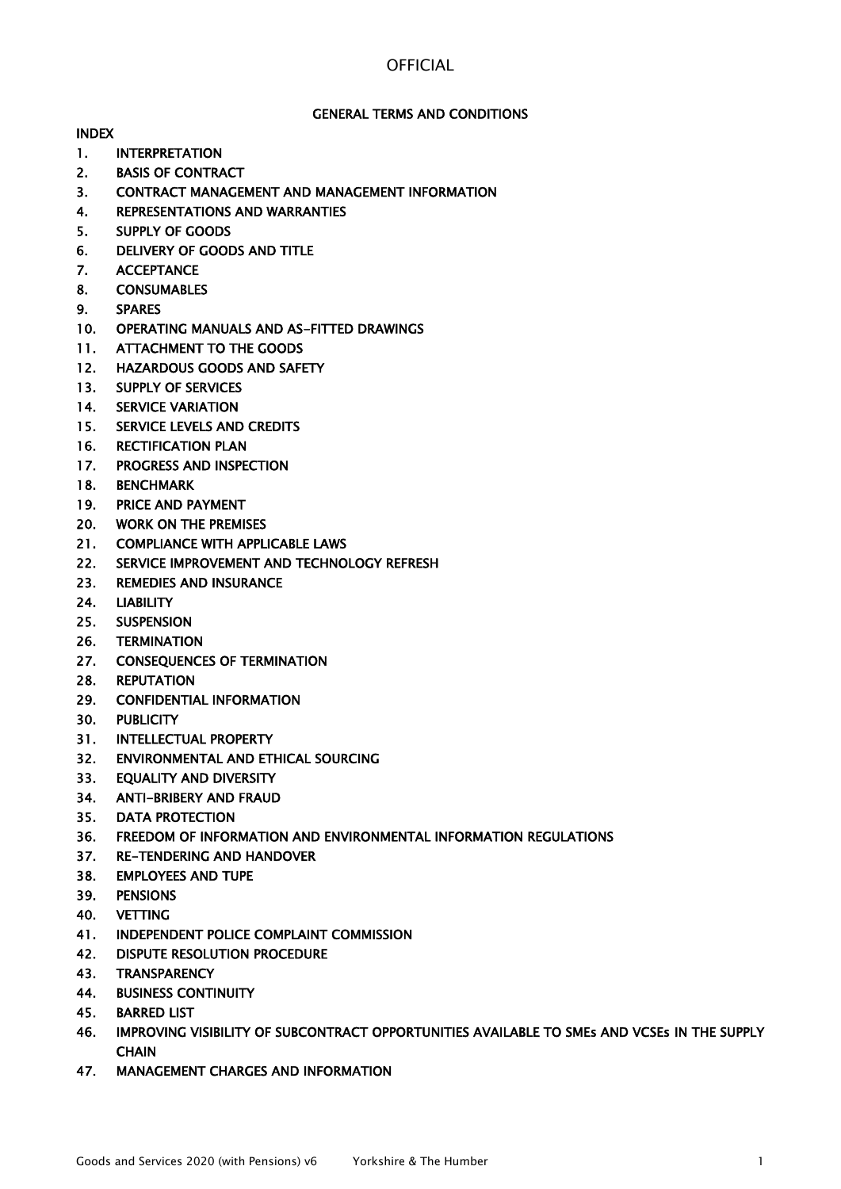### GENERAL TERMS AND CONDITIONS

INDEX

- 1. INTERPRETATION
- 2. BASIS OF CONTRACT
- 3. CONTRACT MANAGEMENT AND MANAGEMENT INFORMATION
- 4. REPRESENTATIONS AND WARRANTIES
- 5. SUPPLY OF GOODS
- 6. DELIVERY OF GOODS AND TITLE
- 7. ACCEPTANCE
- 8. CONSUMABLES
- 9. SPARES
- 10. OPERATING MANUALS AND AS-FITTED DRAWINGS
- 11. ATTACHMENT TO THE GOODS
- 12. HAZARDOUS GOODS AND SAFETY
- 13. SUPPLY OF SERVICES
- 14. SERVICE VARIATION
- 15. SERVICE LEVELS AND CREDITS
- 16. RECTIFICATION PLAN
- 17. PROGRESS AND INSPECTION
- 18. BENCHMARK
- 19. PRICE AND PAYMENT
- 20. WORK ON THE PREMISES
- 21. COMPLIANCE WITH APPLICABLE LAWS
- 22. SERVICE IMPROVEMENT AND TECHNOLOGY REFRESH
- 23. REMEDIES AND INSURANCE
- 24. LIABILITY
- 25. SUSPENSION
- 26. TERMINATION
- 27. CONSEQUENCES OF TERMINATION
- 28. REPUTATION
- 29. CONFIDENTIAL INFORMATION
- 30. PUBLICITY
- 31. INTELLECTUAL PROPERTY
- 32. ENVIRONMENTAL AND ETHICAL SOURCING
- 33. EQUALITY AND DIVERSITY
- 34. ANTI-BRIBERY AND FRAUD
- 35. DATA PROTECTION
- 36. FREEDOM OF INFORMATION AND ENVIRONMENTAL INFORMATION REGULATIONS
- 37. RE-TENDERING AND HANDOVER
- 38. EMPLOYEES AND TUPE
- 39. PENSIONS
- 40. VETTING
- 41. INDEPENDENT POLICE COMPLAINT COMMISSION
- 42. DISPUTE RESOLUTION PROCEDURE
- 43. TRANSPARENCY
- 44. BUSINESS CONTINUITY
- 45. BARRED LIST
- 46. IMPROVING VISIBILITY OF SUBCONTRACT OPPORTUNITIES AVAILABLE TO SMEs AND VCSEs IN THE SUPPLY **CHAIN**
- 47. MANAGEMENT CHARGES AND INFORMATION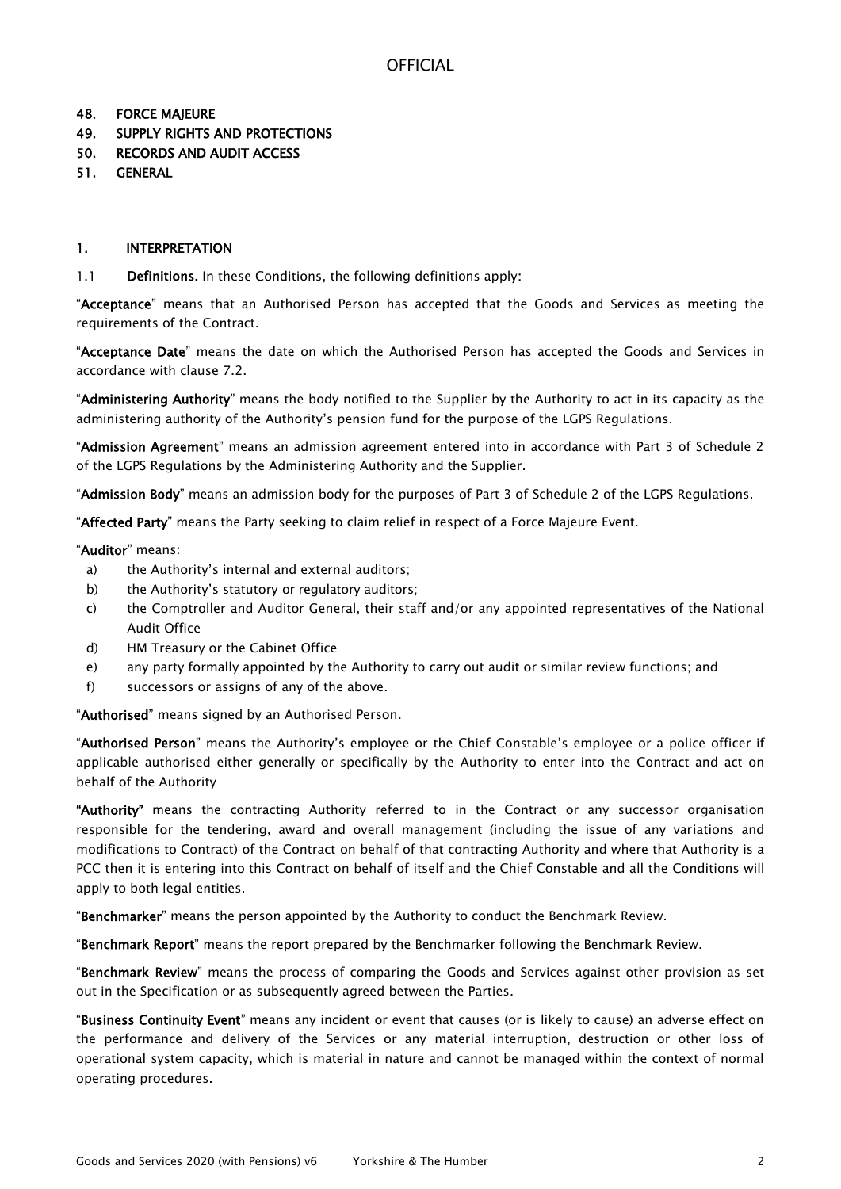#### 48. FORCE MAJEURE

- 49. SUPPLY RIGHTS AND PROTECTIONS
- 50. RECORDS AND AUDIT ACCESS
- 51. GENERAL

#### 1. INTERPRETATION

1.1 Definitions. In these Conditions, the following definitions apply:

"Acceptance" means that an Authorised Person has accepted that the Goods and Services as meeting the requirements of the Contract.

"Acceptance Date" means the date on which the Authorised Person has accepted the Goods and Services in accordance with clause 7.2.

"Administering Authority" means the body notified to the Supplier by the Authority to act in its capacity as the administering authority of the Authority's pension fund for the purpose of the LGPS Regulations.

"Admission Agreement" means an admission agreement entered into in accordance with Part 3 of Schedule 2 of the LGPS Regulations by the Administering Authority and the Supplier.

"Admission Body" means an admission body for the purposes of Part 3 of Schedule 2 of the LGPS Regulations.

"Affected Party" means the Party seeking to claim relief in respect of a Force Majeure Event.

#### "Auditor" means:

- a) the Authority's internal and external auditors;
- b) the Authority's statutory or regulatory auditors;
- c) the Comptroller and Auditor General, their staff and/or any appointed representatives of the National Audit Office
- d) HM Treasury or the Cabinet Office
- e) any party formally appointed by the Authority to carry out audit or similar review functions; and
- f) successors or assigns of any of the above.

"Authorised" means signed by an Authorised Person.

"Authorised Person" means the Authority's employee or the Chief Constable's employee or a police officer if applicable authorised either generally or specifically by the Authority to enter into the Contract and act on behalf of the Authority

"Authority" means the contracting Authority referred to in the Contract or any successor organisation responsible for the tendering, award and overall management (including the issue of any variations and modifications to Contract) of the Contract on behalf of that contracting Authority and where that Authority is a PCC then it is entering into this Contract on behalf of itself and the Chief Constable and all the Conditions will apply to both legal entities.

"Benchmarker" means the person appointed by the Authority to conduct the Benchmark Review.

"Benchmark Report" means the report prepared by the Benchmarker following the Benchmark Review.

"Benchmark Review" means the process of comparing the Goods and Services against other provision as set out in the Specification or as subsequently agreed between the Parties.

"Business Continuity Event" means any incident or event that causes (or is likely to cause) an adverse effect on the performance and delivery of the Services or any material interruption, destruction or other loss of operational system capacity, which is material in nature and cannot be managed within the context of normal operating procedures.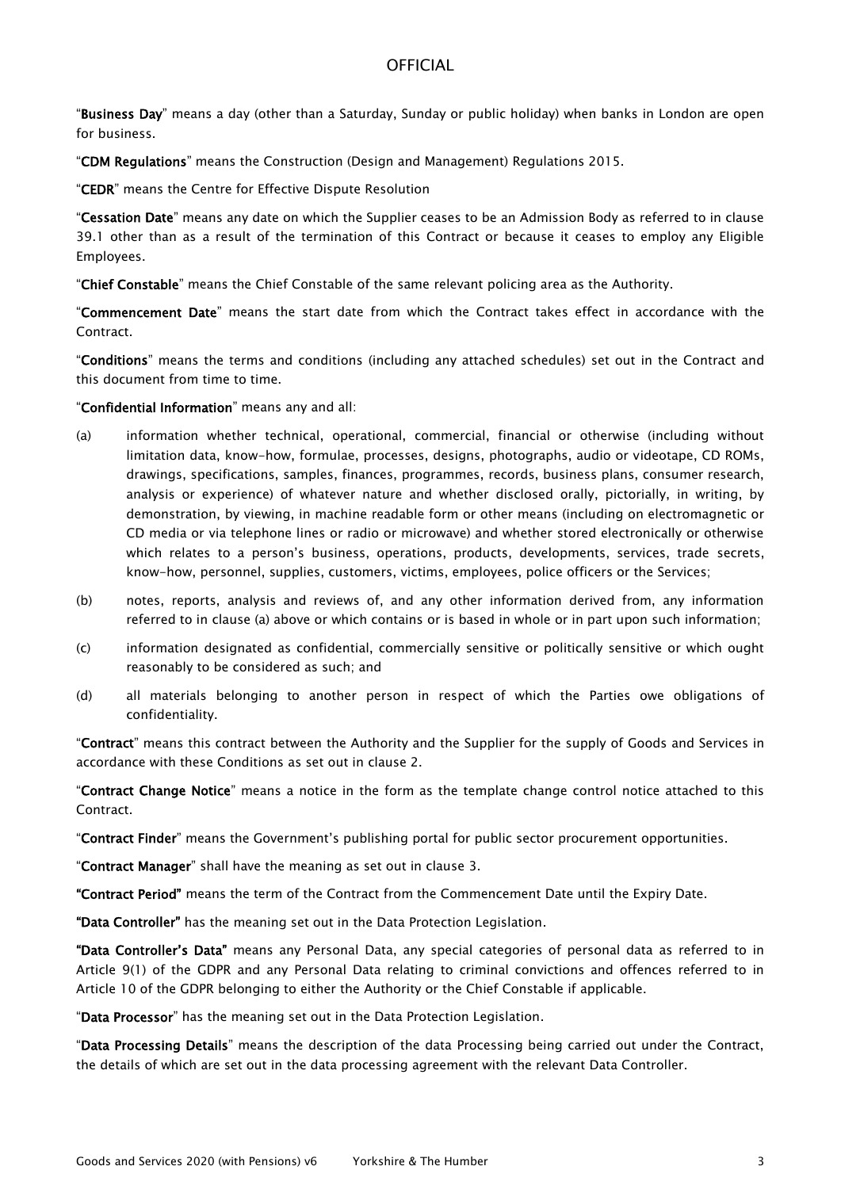"Business Day" means a day (other than a Saturday, Sunday or public holiday) when banks in London are open for business.

"CDM Regulations" means the Construction (Design and Management) Regulations 2015.

"CEDR" means the Centre for Effective Dispute Resolution

"Cessation Date" means any date on which the Supplier ceases to be an Admission Body as referred to in clause 39.1 other than as a result of the termination of this Contract or because it ceases to employ any Eligible Employees.

"Chief Constable" means the Chief Constable of the same relevant policing area as the Authority.

"Commencement Date" means the start date from which the Contract takes effect in accordance with the Contract.

"Conditions" means the terms and conditions (including any attached schedules) set out in the Contract and this document from time to time.

"Confidential Information" means any and all:

- (a) information whether technical, operational, commercial, financial or otherwise (including without limitation data, know-how, formulae, processes, designs, photographs, audio or videotape, CD ROMs, drawings, specifications, samples, finances, programmes, records, business plans, consumer research, analysis or experience) of whatever nature and whether disclosed orally, pictorially, in writing, by demonstration, by viewing, in machine readable form or other means (including on electromagnetic or CD media or via telephone lines or radio or microwave) and whether stored electronically or otherwise which relates to a person's business, operations, products, developments, services, trade secrets, know-how, personnel, supplies, customers, victims, employees, police officers or the Services;
- (b) notes, reports, analysis and reviews of, and any other information derived from, any information referred to in clause (a) above or which contains or is based in whole or in part upon such information;
- (c) information designated as confidential, commercially sensitive or politically sensitive or which ought reasonably to be considered as such; and
- (d) all materials belonging to another person in respect of which the Parties owe obligations of confidentiality.

"Contract" means this contract between the Authority and the Supplier for the supply of Goods and Services in accordance with these Conditions as set out in clause 2.

"Contract Change Notice" means a notice in the form as the template change control notice attached to this Contract.

"Contract Finder" means the Government's publishing portal for public sector procurement opportunities.

"Contract Manager" shall have the meaning as set out in clause 3.

"Contract Period" means the term of the Contract from the Commencement Date until the Expiry Date.

"Data Controller" has the meaning set out in the Data Protection Legislation.

"Data Controller's Data" means any Personal Data, any special categories of personal data as referred to in Article 9(1) of the GDPR and any Personal Data relating to criminal convictions and offences referred to in Article 10 of the GDPR belonging to either the Authority or the Chief Constable if applicable.

"Data Processor" has the meaning set out in the Data Protection Legislation.

"Data Processing Details" means the description of the data Processing being carried out under the Contract, the details of which are set out in the data processing agreement with the relevant Data Controller.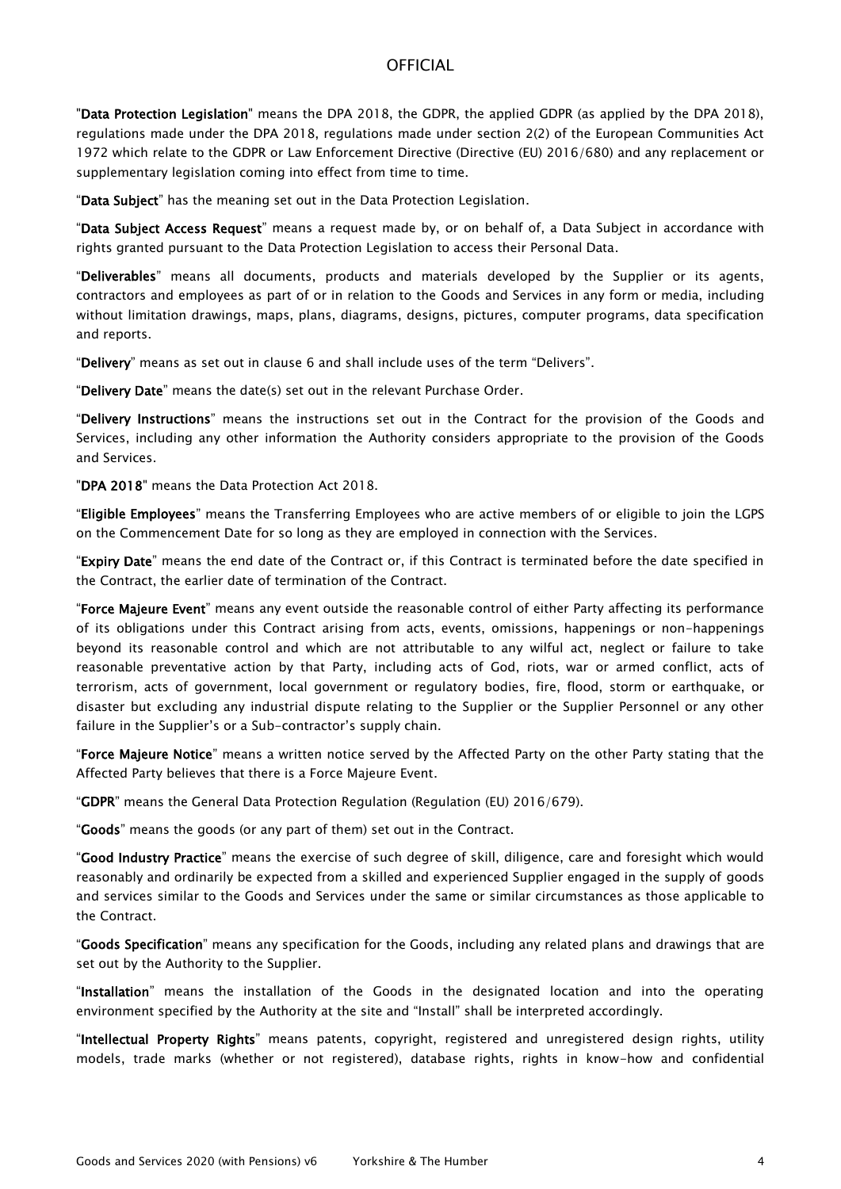"Data Protection Legislation" means the DPA 2018, the GDPR, the applied GDPR (as applied by the DPA 2018), regulations made under the DPA 2018, regulations made under section 2(2) of the European Communities Act 1972 which relate to the GDPR or Law Enforcement Directive (Directive (EU) 2016/680) and any replacement or supplementary legislation coming into effect from time to time.

"Data Subject" has the meaning set out in the Data Protection Legislation.

"Data Subject Access Request" means a request made by, or on behalf of, a Data Subject in accordance with rights granted pursuant to the Data Protection Legislation to access their Personal Data.

"Deliverables" means all documents, products and materials developed by the Supplier or its agents, contractors and employees as part of or in relation to the Goods and Services in any form or media, including without limitation drawings, maps, plans, diagrams, designs, pictures, computer programs, data specification and reports.

"Delivery" means as set out in clause 6 and shall include uses of the term "Delivers".

"Delivery Date" means the date(s) set out in the relevant Purchase Order.

"Delivery Instructions" means the instructions set out in the Contract for the provision of the Goods and Services, including any other information the Authority considers appropriate to the provision of the Goods and Services.

"DPA 2018" means the Data Protection Act 2018.

"Eligible Employees" means the Transferring Employees who are active members of or eligible to join the LGPS on the Commencement Date for so long as they are employed in connection with the Services.

"Expiry Date" means the end date of the Contract or, if this Contract is terminated before the date specified in the Contract, the earlier date of termination of the Contract.

"Force Majeure Event" means any event outside the reasonable control of either Party affecting its performance of its obligations under this Contract arising from acts, events, omissions, happenings or non-happenings beyond its reasonable control and which are not attributable to any wilful act, neglect or failure to take reasonable preventative action by that Party, including acts of God, riots, war or armed conflict, acts of terrorism, acts of government, local government or regulatory bodies, fire, flood, storm or earthquake, or disaster but excluding any industrial dispute relating to the Supplier or the Supplier Personnel or any other failure in the Supplier's or a Sub-contractor's supply chain.

"Force Majeure Notice" means a written notice served by the Affected Party on the other Party stating that the Affected Party believes that there is a Force Majeure Event.

"GDPR" means the General Data Protection Regulation (Regulation (EU) 2016/679).

"Goods" means the goods (or any part of them) set out in the Contract.

"Good Industry Practice" means the exercise of such degree of skill, diligence, care and foresight which would reasonably and ordinarily be expected from a skilled and experienced Supplier engaged in the supply of goods and services similar to the Goods and Services under the same or similar circumstances as those applicable to the Contract.

"Goods Specification" means any specification for the Goods, including any related plans and drawings that are set out by the Authority to the Supplier.

"Installation" means the installation of the Goods in the designated location and into the operating environment specified by the Authority at the site and "Install" shall be interpreted accordingly.

"Intellectual Property Rights" means patents, copyright, registered and unregistered design rights, utility models, trade marks (whether or not registered), database rights, rights in know-how and confidential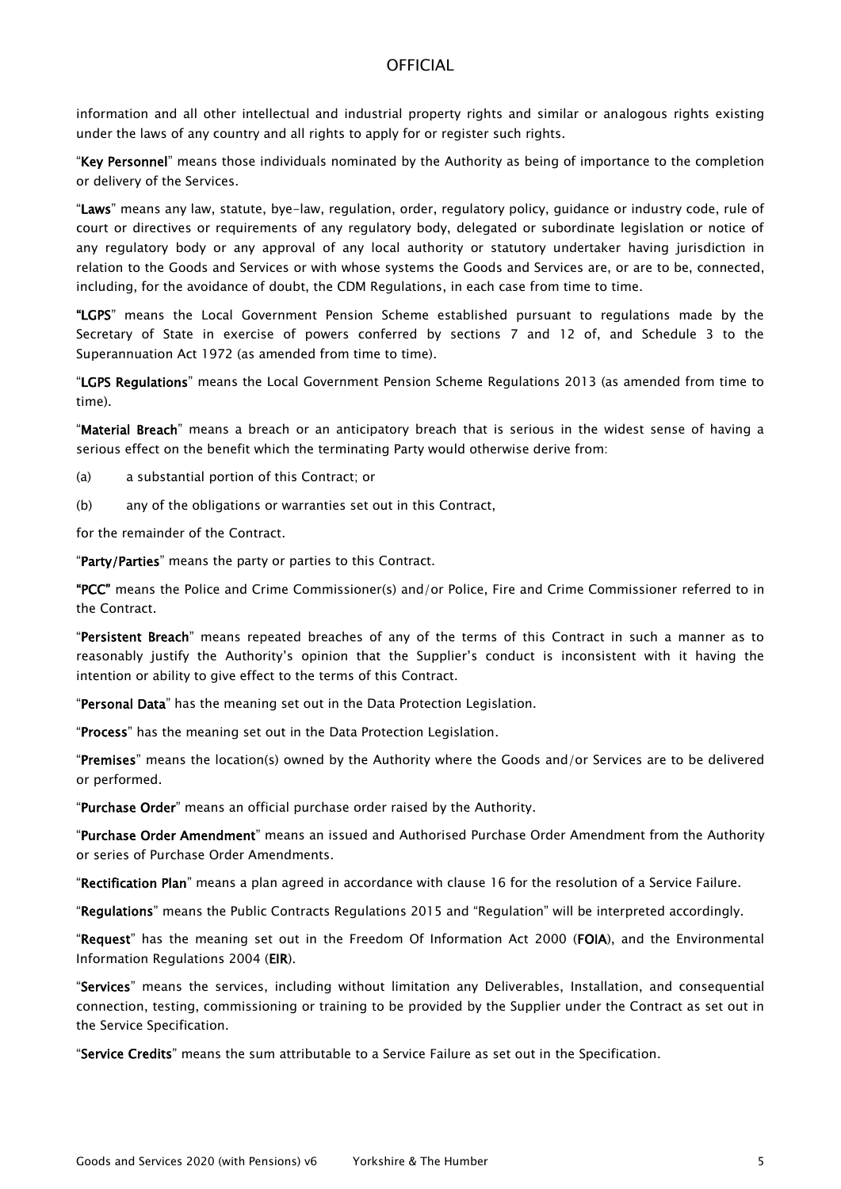information and all other intellectual and industrial property rights and similar or analogous rights existing under the laws of any country and all rights to apply for or register such rights.

"Key Personnel" means those individuals nominated by the Authority as being of importance to the completion or delivery of the Services.

"Laws" means any law, statute, bye-law, regulation, order, regulatory policy, guidance or industry code, rule of court or directives or requirements of any regulatory body, delegated or subordinate legislation or notice of any regulatory body or any approval of any local authority or statutory undertaker having jurisdiction in relation to the Goods and Services or with whose systems the Goods and Services are, or are to be, connected, including, for the avoidance of doubt, the CDM Regulations, in each case from time to time.

"LGPS" means the Local Government Pension Scheme established pursuant to regulations made by the Secretary of State in exercise of powers conferred by sections 7 and 12 of, and Schedule 3 to the Superannuation Act 1972 (as amended from time to time).

"LGPS Regulations" means the Local Government Pension Scheme Regulations 2013 (as amended from time to time).

"Material Breach" means a breach or an anticipatory breach that is serious in the widest sense of having a serious effect on the benefit which the terminating Party would otherwise derive from:

(a) a substantial portion of this Contract; or

(b) any of the obligations or warranties set out in this Contract,

for the remainder of the Contract.

"Party/Parties" means the party or parties to this Contract.

"PCC" means the Police and Crime Commissioner(s) and/or Police, Fire and Crime Commissioner referred to in the Contract.

"Persistent Breach" means repeated breaches of any of the terms of this Contract in such a manner as to reasonably justify the Authority's opinion that the Supplier's conduct is inconsistent with it having the intention or ability to give effect to the terms of this Contract.

"Personal Data" has the meaning set out in the Data Protection Legislation.

"Process" has the meaning set out in the Data Protection Legislation.

"Premises" means the location(s) owned by the Authority where the Goods and/or Services are to be delivered or performed.

"Purchase Order" means an official purchase order raised by the Authority.

"Purchase Order Amendment" means an issued and Authorised Purchase Order Amendment from the Authority or series of Purchase Order Amendments.

"Rectification Plan" means a plan agreed in accordance with clause 16 for the resolution of a Service Failure.

"Regulations" means the Public Contracts Regulations 2015 and "Regulation" will be interpreted accordingly.

"Request" has the meaning set out in the Freedom Of Information Act 2000 (FOIA), and the Environmental Information Regulations 2004 (EIR).

"Services" means the services, including without limitation any Deliverables, Installation, and consequential connection, testing, commissioning or training to be provided by the Supplier under the Contract as set out in the Service Specification.

"Service Credits" means the sum attributable to a Service Failure as set out in the Specification.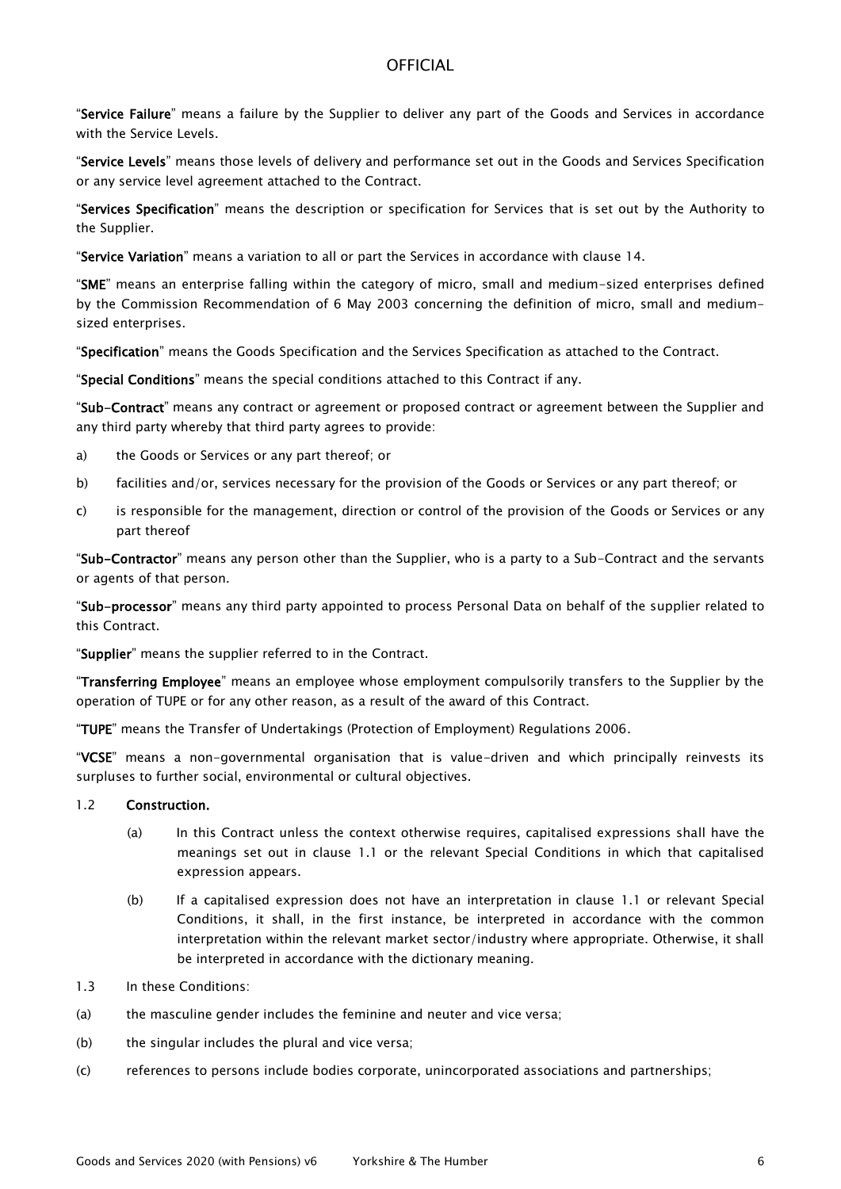"Service Failure" means a failure by the Supplier to deliver any part of the Goods and Services in accordance with the Service Levels.

"Service Levels" means those levels of delivery and performance set out in the Goods and Services Specification or any service level agreement attached to the Contract.

"Services Specification" means the description or specification for Services that is set out by the Authority to the Supplier.

"Service Variation" means a variation to all or part the Services in accordance with clause 14.

"SME" means an enterprise falling within the category of micro, small and medium-sized enterprises defined by the Commission Recommendation of 6 May 2003 concerning the definition of micro, small and mediumsized enterprises.

"Specification" means the Goods Specification and the Services Specification as attached to the Contract.

"Special Conditions" means the special conditions attached to this Contract if any.

"Sub-Contract" means any contract or agreement or proposed contract or agreement between the Supplier and any third party whereby that third party agrees to provide:

- a) the Goods or Services or any part thereof; or
- b) facilities and/or, services necessary for the provision of the Goods or Services or any part thereof; or
- c) is responsible for the management, direction or control of the provision of the Goods or Services or any part thereof

"Sub-Contractor" means any person other than the Supplier, who is a party to a Sub-Contract and the servants or agents of that person.

"Sub-processor" means any third party appointed to process Personal Data on behalf of the supplier related to this Contract.

"Supplier" means the supplier referred to in the Contract.

"Transferring Employee" means an employee whose employment compulsorily transfers to the Supplier by the operation of TUPE or for any other reason, as a result of the award of this Contract.

"TUPE" means the Transfer of Undertakings (Protection of Employment) Regulations 2006.

"VCSE" means a non-governmental organisation that is value-driven and which principally reinvests its surpluses to further social, environmental or cultural objectives.

#### 1.2 Construction.

- (a) In this Contract unless the context otherwise requires, capitalised expressions shall have the meanings set out in clause 1.1 or the relevant Special Conditions in which that capitalised expression appears.
- (b) If a capitalised expression does not have an interpretation in clause 1.1 or relevant Special Conditions, it shall, in the first instance, be interpreted in accordance with the common interpretation within the relevant market sector/industry where appropriate. Otherwise, it shall be interpreted in accordance with the dictionary meaning.
- 1.3 In these Conditions:
- (a) the masculine gender includes the feminine and neuter and vice versa;
- (b) the singular includes the plural and vice versa;
- (c) references to persons include bodies corporate, unincorporated associations and partnerships;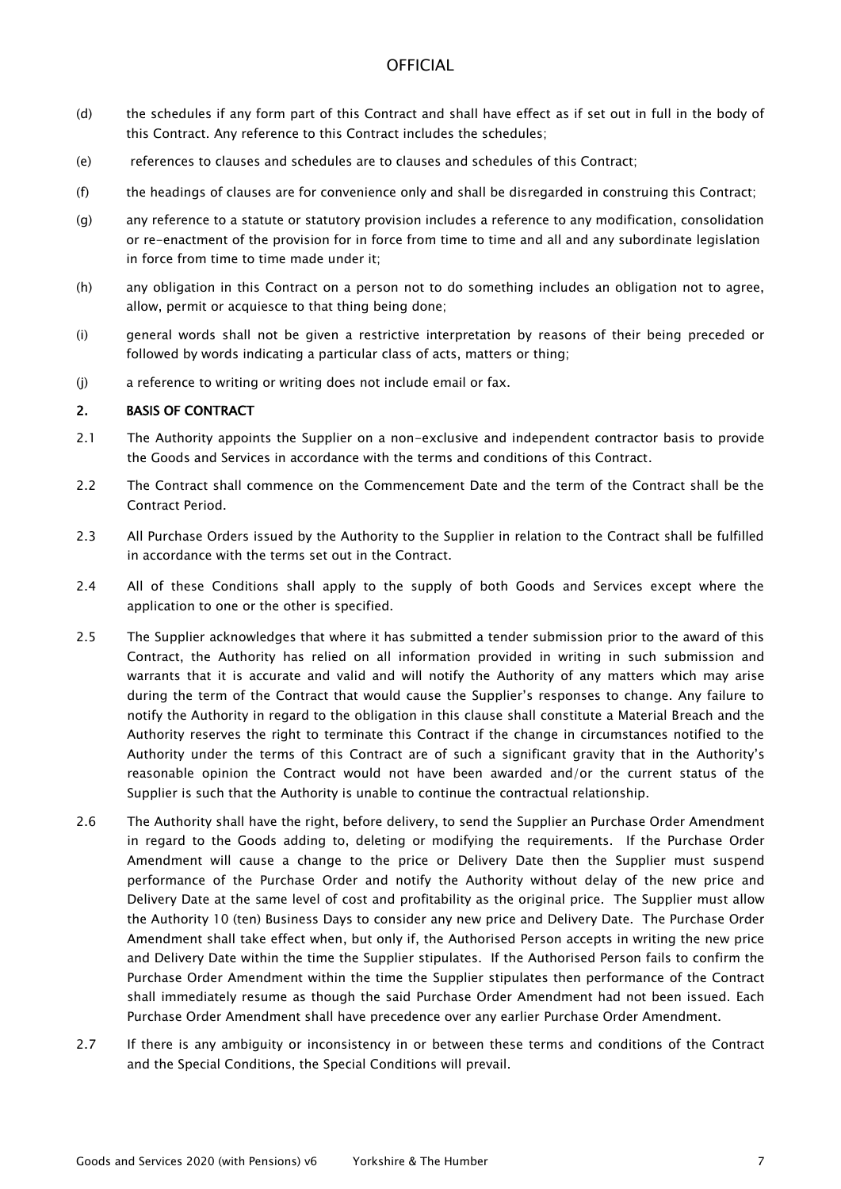- (d) the schedules if any form part of this Contract and shall have effect as if set out in full in the body of this Contract. Any reference to this Contract includes the schedules;
- (e) references to clauses and schedules are to clauses and schedules of this Contract;
- (f) the headings of clauses are for convenience only and shall be disregarded in construing this Contract;
- (g) any reference to a statute or statutory provision includes a reference to any modification, consolidation or re-enactment of the provision for in force from time to time and all and any subordinate legislation in force from time to time made under it;
- (h) any obligation in this Contract on a person not to do something includes an obligation not to agree, allow, permit or acquiesce to that thing being done;
- (i) general words shall not be given a restrictive interpretation by reasons of their being preceded or followed by words indicating a particular class of acts, matters or thing;
- (j) a reference to writing or writing does not include email or fax.

#### 2. BASIS OF CONTRACT

- 2.1 The Authority appoints the Supplier on a non-exclusive and independent contractor basis to provide the Goods and Services in accordance with the terms and conditions of this Contract.
- 2.2 The Contract shall commence on the Commencement Date and the term of the Contract shall be the Contract Period.
- 2.3 All Purchase Orders issued by the Authority to the Supplier in relation to the Contract shall be fulfilled in accordance with the terms set out in the Contract.
- 2.4 All of these Conditions shall apply to the supply of both Goods and Services except where the application to one or the other is specified.
- 2.5 The Supplier acknowledges that where it has submitted a tender submission prior to the award of this Contract, the Authority has relied on all information provided in writing in such submission and warrants that it is accurate and valid and will notify the Authority of any matters which may arise during the term of the Contract that would cause the Supplier's responses to change. Any failure to notify the Authority in regard to the obligation in this clause shall constitute a Material Breach and the Authority reserves the right to terminate this Contract if the change in circumstances notified to the Authority under the terms of this Contract are of such a significant gravity that in the Authority's reasonable opinion the Contract would not have been awarded and/or the current status of the Supplier is such that the Authority is unable to continue the contractual relationship.
- 2.6 The Authority shall have the right, before delivery, to send the Supplier an Purchase Order Amendment in regard to the Goods adding to, deleting or modifying the requirements. If the Purchase Order Amendment will cause a change to the price or Delivery Date then the Supplier must suspend performance of the Purchase Order and notify the Authority without delay of the new price and Delivery Date at the same level of cost and profitability as the original price. The Supplier must allow the Authority 10 (ten) Business Days to consider any new price and Delivery Date. The Purchase Order Amendment shall take effect when, but only if, the Authorised Person accepts in writing the new price and Delivery Date within the time the Supplier stipulates. If the Authorised Person fails to confirm the Purchase Order Amendment within the time the Supplier stipulates then performance of the Contract shall immediately resume as though the said Purchase Order Amendment had not been issued. Each Purchase Order Amendment shall have precedence over any earlier Purchase Order Amendment.
- 2.7 If there is any ambiguity or inconsistency in or between these terms and conditions of the Contract and the Special Conditions, the Special Conditions will prevail.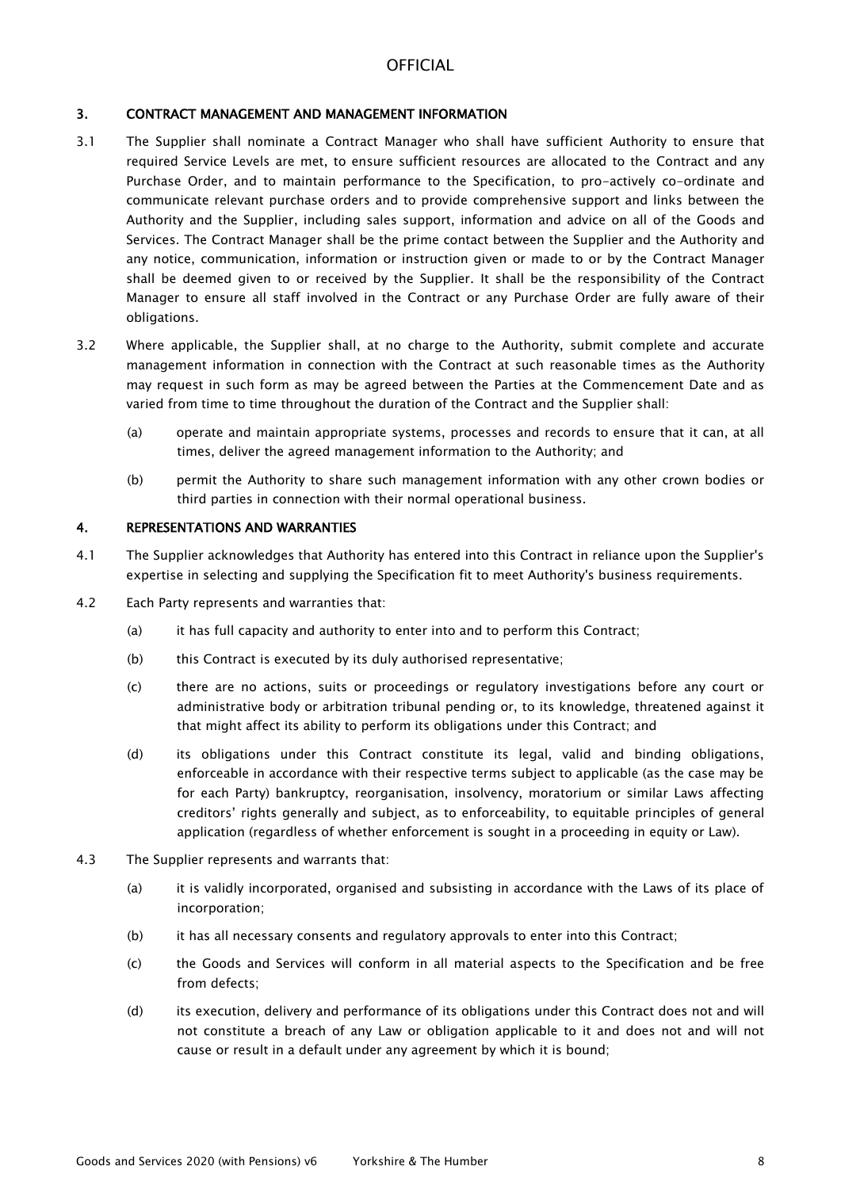## 3. CONTRACT MANAGEMENT AND MANAGEMENT INFORMATION

- 3.1 The Supplier shall nominate a Contract Manager who shall have sufficient Authority to ensure that required Service Levels are met, to ensure sufficient resources are allocated to the Contract and any Purchase Order, and to maintain performance to the Specification, to pro-actively co-ordinate and communicate relevant purchase orders and to provide comprehensive support and links between the Authority and the Supplier, including sales support, information and advice on all of the Goods and Services. The Contract Manager shall be the prime contact between the Supplier and the Authority and any notice, communication, information or instruction given or made to or by the Contract Manager shall be deemed given to or received by the Supplier. It shall be the responsibility of the Contract Manager to ensure all staff involved in the Contract or any Purchase Order are fully aware of their obligations.
- 3.2 Where applicable, the Supplier shall, at no charge to the Authority, submit complete and accurate management information in connection with the Contract at such reasonable times as the Authority may request in such form as may be agreed between the Parties at the Commencement Date and as varied from time to time throughout the duration of the Contract and the Supplier shall:
	- (a) operate and maintain appropriate systems, processes and records to ensure that it can, at all times, deliver the agreed management information to the Authority; and
	- (b) permit the Authority to share such management information with any other crown bodies or third parties in connection with their normal operational business.

### 4. REPRESENTATIONS AND WARRANTIES

- 4.1 The Supplier acknowledges that Authority has entered into this Contract in reliance upon the Supplier's expertise in selecting and supplying the Specification fit to meet Authority's business requirements.
- 4.2 Each Party represents and warranties that:
	- (a) it has full capacity and authority to enter into and to perform this Contract;
	- (b) this Contract is executed by its duly authorised representative;
	- (c) there are no actions, suits or proceedings or regulatory investigations before any court or administrative body or arbitration tribunal pending or, to its knowledge, threatened against it that might affect its ability to perform its obligations under this Contract; and
	- (d) its obligations under this Contract constitute its legal, valid and binding obligations, enforceable in accordance with their respective terms subject to applicable (as the case may be for each Party) bankruptcy, reorganisation, insolvency, moratorium or similar Laws affecting creditors' rights generally and subject, as to enforceability, to equitable principles of general application (regardless of whether enforcement is sought in a proceeding in equity or Law).
- 4.3 The Supplier represents and warrants that:
	- (a) it is validly incorporated, organised and subsisting in accordance with the Laws of its place of incorporation;
	- (b) it has all necessary consents and regulatory approvals to enter into this Contract;
	- (c) the Goods and Services will conform in all material aspects to the Specification and be free from defects;
	- (d) its execution, delivery and performance of its obligations under this Contract does not and will not constitute a breach of any Law or obligation applicable to it and does not and will not cause or result in a default under any agreement by which it is bound;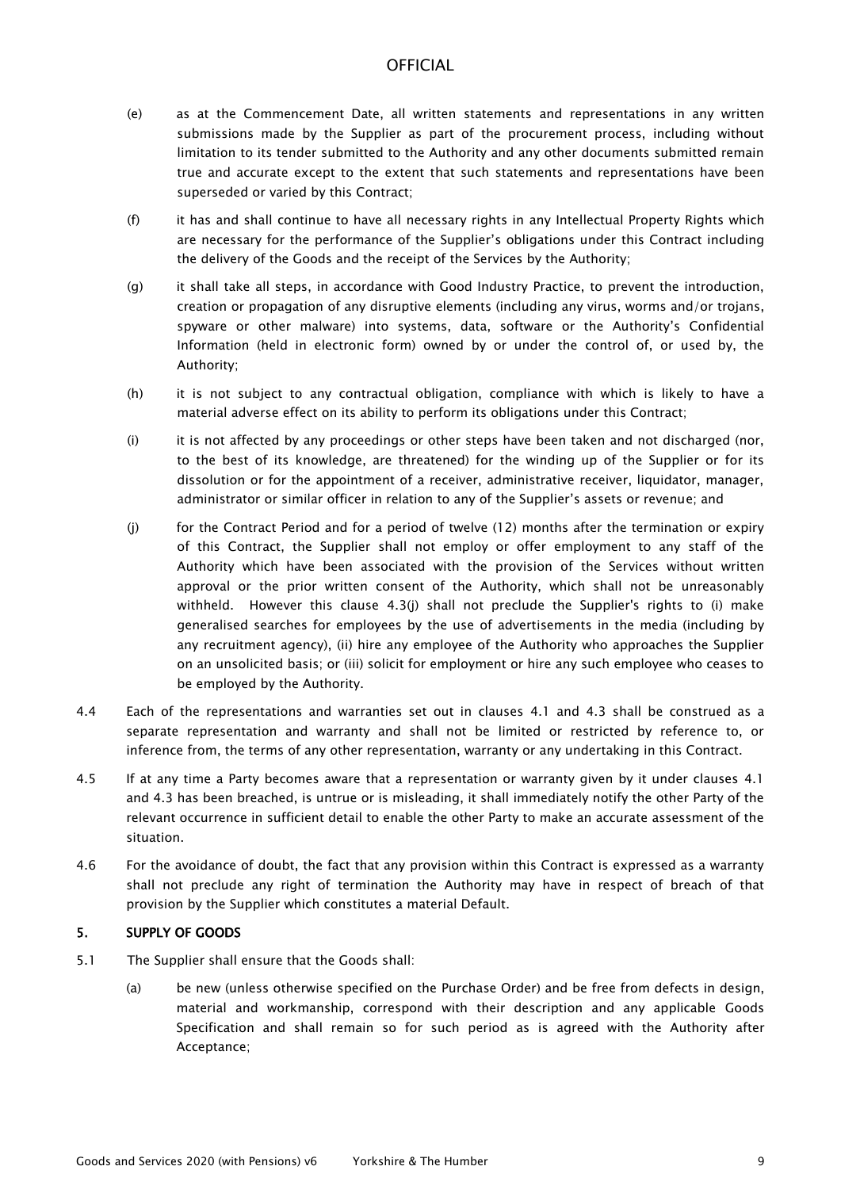- (e) as at the Commencement Date, all written statements and representations in any written submissions made by the Supplier as part of the procurement process, including without limitation to its tender submitted to the Authority and any other documents submitted remain true and accurate except to the extent that such statements and representations have been superseded or varied by this Contract;
- (f) it has and shall continue to have all necessary rights in any Intellectual Property Rights which are necessary for the performance of the Supplier's obligations under this Contract including the delivery of the Goods and the receipt of the Services by the Authority;
- (g) it shall take all steps, in accordance with Good Industry Practice, to prevent the introduction, creation or propagation of any disruptive elements (including any virus, worms and/or trojans, spyware or other malware) into systems, data, software or the Authority's Confidential Information (held in electronic form) owned by or under the control of, or used by, the Authority;
- (h) it is not subject to any contractual obligation, compliance with which is likely to have a material adverse effect on its ability to perform its obligations under this Contract;
- (i) it is not affected by any proceedings or other steps have been taken and not discharged (nor, to the best of its knowledge, are threatened) for the winding up of the Supplier or for its dissolution or for the appointment of a receiver, administrative receiver, liquidator, manager, administrator or similar officer in relation to any of the Supplier's assets or revenue; and
- (j) for the Contract Period and for a period of twelve (12) months after the termination or expiry of this Contract, the Supplier shall not employ or offer employment to any staff of the Authority which have been associated with the provision of the Services without written approval or the prior written consent of the Authority, which shall not be unreasonably withheld. However this clause 4.3(j) shall not preclude the Supplier's rights to (i) make generalised searches for employees by the use of advertisements in the media (including by any recruitment agency), (ii) hire any employee of the Authority who approaches the Supplier on an unsolicited basis; or (iii) solicit for employment or hire any such employee who ceases to be employed by the Authority.
- 4.4 Each of the representations and warranties set out in clauses 4.1 and 4.3 shall be construed as a separate representation and warranty and shall not be limited or restricted by reference to, or inference from, the terms of any other representation, warranty or any undertaking in this Contract.
- 4.5 If at any time a Party becomes aware that a representation or warranty given by it under clauses 4.1 and 4.3 has been breached, is untrue or is misleading, it shall immediately notify the other Party of the relevant occurrence in sufficient detail to enable the other Party to make an accurate assessment of the situation.
- 4.6 For the avoidance of doubt, the fact that any provision within this Contract is expressed as a warranty shall not preclude any right of termination the Authority may have in respect of breach of that provision by the Supplier which constitutes a material Default.

### 5. SUPPLY OF GOODS

- 5.1 The Supplier shall ensure that the Goods shall:
	- (a) be new (unless otherwise specified on the Purchase Order) and be free from defects in design, material and workmanship, correspond with their description and any applicable Goods Specification and shall remain so for such period as is agreed with the Authority after Acceptance;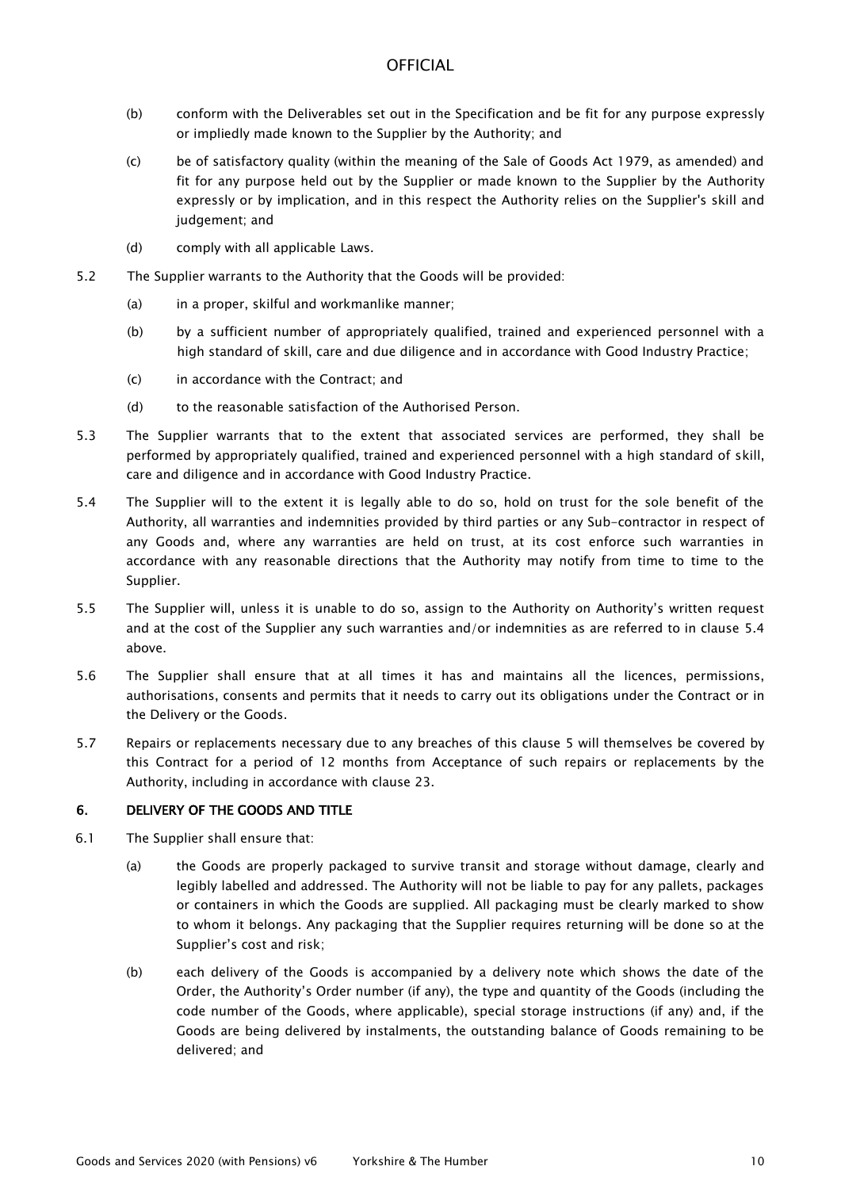- (b) conform with the Deliverables set out in the Specification and be fit for any purpose expressly or impliedly made known to the Supplier by the Authority; and
- (c) be of satisfactory quality (within the meaning of the Sale of Goods Act 1979, as amended) and fit for any purpose held out by the Supplier or made known to the Supplier by the Authority expressly or by implication, and in this respect the Authority relies on the Supplier's skill and judgement; and
- (d) comply with all applicable Laws.
- 5.2 The Supplier warrants to the Authority that the Goods will be provided:
	- (a) in a proper, skilful and workmanlike manner;
	- (b) by a sufficient number of appropriately qualified, trained and experienced personnel with a high standard of skill, care and due diligence and in accordance with Good Industry Practice;
	- (c) in accordance with the Contract; and
	- (d) to the reasonable satisfaction of the Authorised Person.
- 5.3 The Supplier warrants that to the extent that associated services are performed, they shall be performed by appropriately qualified, trained and experienced personnel with a high standard of skill, care and diligence and in accordance with Good Industry Practice.
- 5.4 The Supplier will to the extent it is legally able to do so, hold on trust for the sole benefit of the Authority, all warranties and indemnities provided by third parties or any Sub-contractor in respect of any Goods and, where any warranties are held on trust, at its cost enforce such warranties in accordance with any reasonable directions that the Authority may notify from time to time to the Supplier.
- 5.5 The Supplier will, unless it is unable to do so, assign to the Authority on Authority's written request and at the cost of the Supplier any such warranties and/or indemnities as are referred to in clause 5.4 above.
- 5.6 The Supplier shall ensure that at all times it has and maintains all the licences, permissions, authorisations, consents and permits that it needs to carry out its obligations under the Contract or in the Delivery or the Goods.
- 5.7 Repairs or replacements necessary due to any breaches of this clause 5 will themselves be covered by this Contract for a period of 12 months from Acceptance of such repairs or replacements by the Authority, including in accordance with clause 23.

### 6. DELIVERY OF THE GOODS AND TITLE

- 6.1 The Supplier shall ensure that:
	- (a) the Goods are properly packaged to survive transit and storage without damage, clearly and legibly labelled and addressed. The Authority will not be liable to pay for any pallets, packages or containers in which the Goods are supplied. All packaging must be clearly marked to show to whom it belongs. Any packaging that the Supplier requires returning will be done so at the Supplier's cost and risk;
	- (b) each delivery of the Goods is accompanied by a delivery note which shows the date of the Order, the Authority's Order number (if any), the type and quantity of the Goods (including the code number of the Goods, where applicable), special storage instructions (if any) and, if the Goods are being delivered by instalments, the outstanding balance of Goods remaining to be delivered; and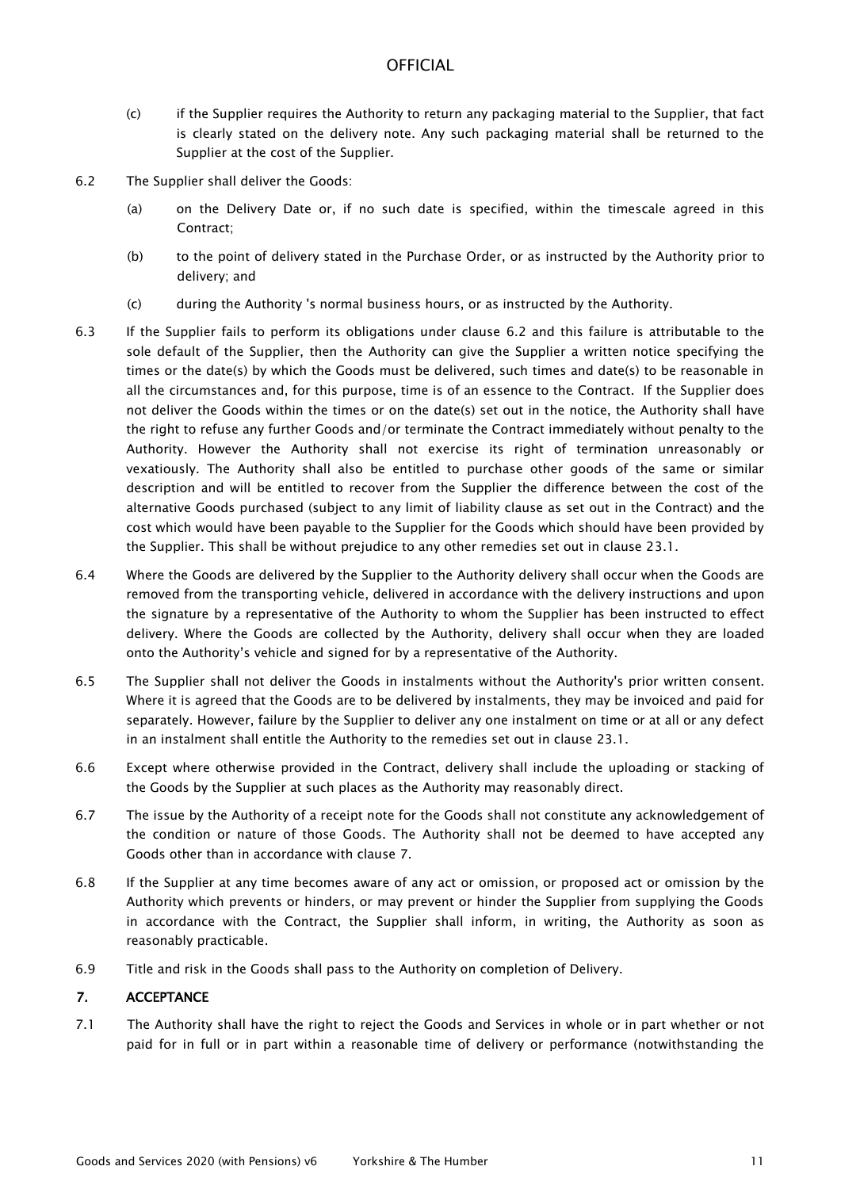- (c) if the Supplier requires the Authority to return any packaging material to the Supplier, that fact is clearly stated on the delivery note. Any such packaging material shall be returned to the Supplier at the cost of the Supplier.
- 6.2 The Supplier shall deliver the Goods:
	- (a) on the Delivery Date or, if no such date is specified, within the timescale agreed in this Contract;
	- (b) to the point of delivery stated in the Purchase Order, or as instructed by the Authority prior to delivery; and
	- (c) during the Authority 's normal business hours, or as instructed by the Authority.
- 6.3 If the Supplier fails to perform its obligations under clause 6.2 and this failure is attributable to the sole default of the Supplier, then the Authority can give the Supplier a written notice specifying the times or the date(s) by which the Goods must be delivered, such times and date(s) to be reasonable in all the circumstances and, for this purpose, time is of an essence to the Contract. If the Supplier does not deliver the Goods within the times or on the date(s) set out in the notice, the Authority shall have the right to refuse any further Goods and/or terminate the Contract immediately without penalty to the Authority. However the Authority shall not exercise its right of termination unreasonably or vexatiously. The Authority shall also be entitled to purchase other goods of the same or similar description and will be entitled to recover from the Supplier the difference between the cost of the alternative Goods purchased (subject to any limit of liability clause as set out in the Contract) and the cost which would have been payable to the Supplier for the Goods which should have been provided by the Supplier. This shall be without prejudice to any other remedies set out in clause 23.1.
- 6.4 Where the Goods are delivered by the Supplier to the Authority delivery shall occur when the Goods are removed from the transporting vehicle, delivered in accordance with the delivery instructions and upon the signature by a representative of the Authority to whom the Supplier has been instructed to effect delivery. Where the Goods are collected by the Authority, delivery shall occur when they are loaded onto the Authority's vehicle and signed for by a representative of the Authority.
- 6.5 The Supplier shall not deliver the Goods in instalments without the Authority's prior written consent. Where it is agreed that the Goods are to be delivered by instalments, they may be invoiced and paid for separately. However, failure by the Supplier to deliver any one instalment on time or at all or any defect in an instalment shall entitle the Authority to the remedies set out in clause 23.1.
- 6.6 Except where otherwise provided in the Contract, delivery shall include the uploading or stacking of the Goods by the Supplier at such places as the Authority may reasonably direct.
- 6.7 The issue by the Authority of a receipt note for the Goods shall not constitute any acknowledgement of the condition or nature of those Goods. The Authority shall not be deemed to have accepted any Goods other than in accordance with clause 7.
- 6.8 If the Supplier at any time becomes aware of any act or omission, or proposed act or omission by the Authority which prevents or hinders, or may prevent or hinder the Supplier from supplying the Goods in accordance with the Contract, the Supplier shall inform, in writing, the Authority as soon as reasonably practicable.
- 6.9 Title and risk in the Goods shall pass to the Authority on completion of Delivery.

## 7. ACCEPTANCE

7.1 The Authority shall have the right to reject the Goods and Services in whole or in part whether or not paid for in full or in part within a reasonable time of delivery or performance (notwithstanding the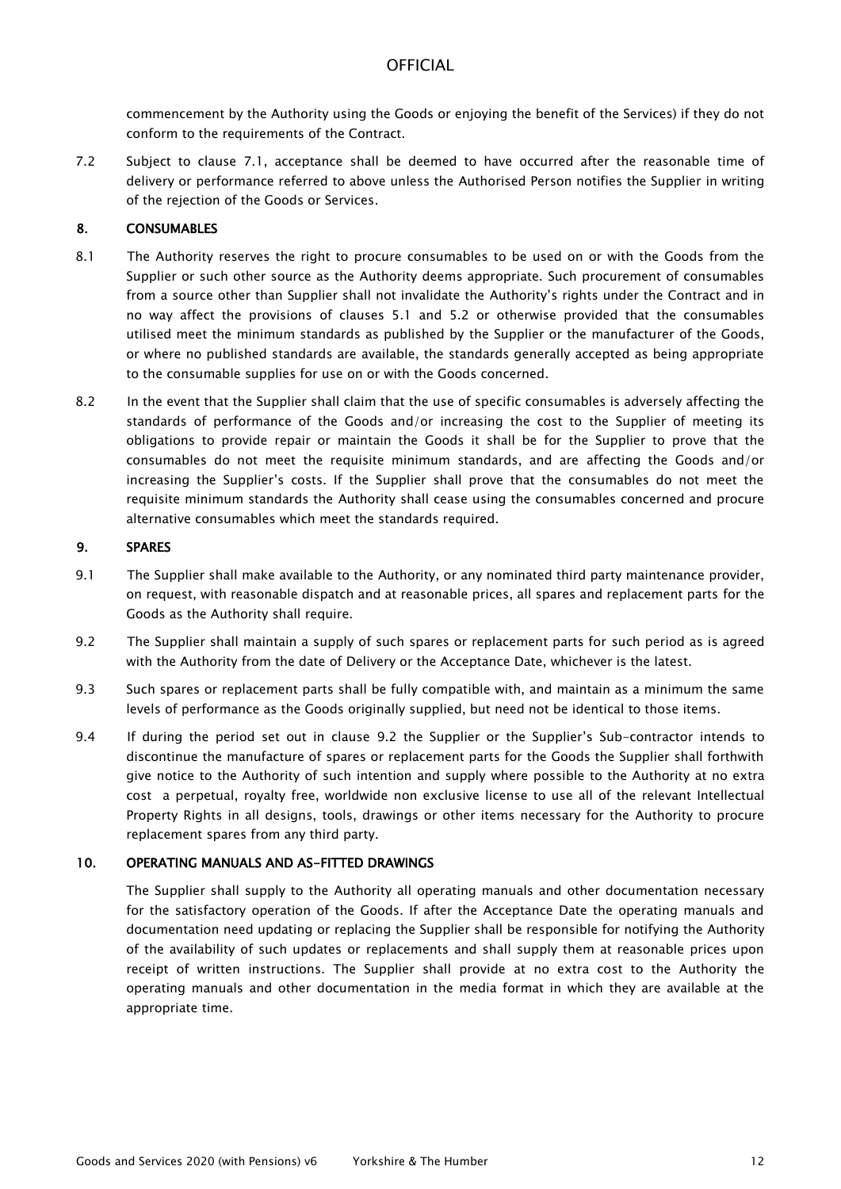commencement by the Authority using the Goods or enjoying the benefit of the Services) if they do not conform to the requirements of the Contract.

7.2 Subject to clause 7.1, acceptance shall be deemed to have occurred after the reasonable time of delivery or performance referred to above unless the Authorised Person notifies the Supplier in writing of the rejection of the Goods or Services.

#### 8. CONSUMABLES

- 8.1 The Authority reserves the right to procure consumables to be used on or with the Goods from the Supplier or such other source as the Authority deems appropriate. Such procurement of consumables from a source other than Supplier shall not invalidate the Authority's rights under the Contract and in no way affect the provisions of clauses 5.1 and 5.2 or otherwise provided that the consumables utilised meet the minimum standards as published by the Supplier or the manufacturer of the Goods, or where no published standards are available, the standards generally accepted as being appropriate to the consumable supplies for use on or with the Goods concerned.
- 8.2 In the event that the Supplier shall claim that the use of specific consumables is adversely affecting the standards of performance of the Goods and/or increasing the cost to the Supplier of meeting its obligations to provide repair or maintain the Goods it shall be for the Supplier to prove that the consumables do not meet the requisite minimum standards, and are affecting the Goods and/or increasing the Supplier's costs. If the Supplier shall prove that the consumables do not meet the requisite minimum standards the Authority shall cease using the consumables concerned and procure alternative consumables which meet the standards required.

#### 9. SPARES

- 9.1 The Supplier shall make available to the Authority, or any nominated third party maintenance provider, on request, with reasonable dispatch and at reasonable prices, all spares and replacement parts for the Goods as the Authority shall require.
- 9.2 The Supplier shall maintain a supply of such spares or replacement parts for such period as is agreed with the Authority from the date of Delivery or the Acceptance Date, whichever is the latest.
- 9.3 Such spares or replacement parts shall be fully compatible with, and maintain as a minimum the same levels of performance as the Goods originally supplied, but need not be identical to those items.
- 9.4 If during the period set out in clause 9.2 the Supplier or the Supplier's Sub-contractor intends to discontinue the manufacture of spares or replacement parts for the Goods the Supplier shall forthwith give notice to the Authority of such intention and supply where possible to the Authority at no extra cost a perpetual, royalty free, worldwide non exclusive license to use all of the relevant Intellectual Property Rights in all designs, tools, drawings or other items necessary for the Authority to procure replacement spares from any third party.

#### 10. OPERATING MANUALS AND AS-FITTED DRAWINGS

The Supplier shall supply to the Authority all operating manuals and other documentation necessary for the satisfactory operation of the Goods. If after the Acceptance Date the operating manuals and documentation need updating or replacing the Supplier shall be responsible for notifying the Authority of the availability of such updates or replacements and shall supply them at reasonable prices upon receipt of written instructions. The Supplier shall provide at no extra cost to the Authority the operating manuals and other documentation in the media format in which they are available at the appropriate time.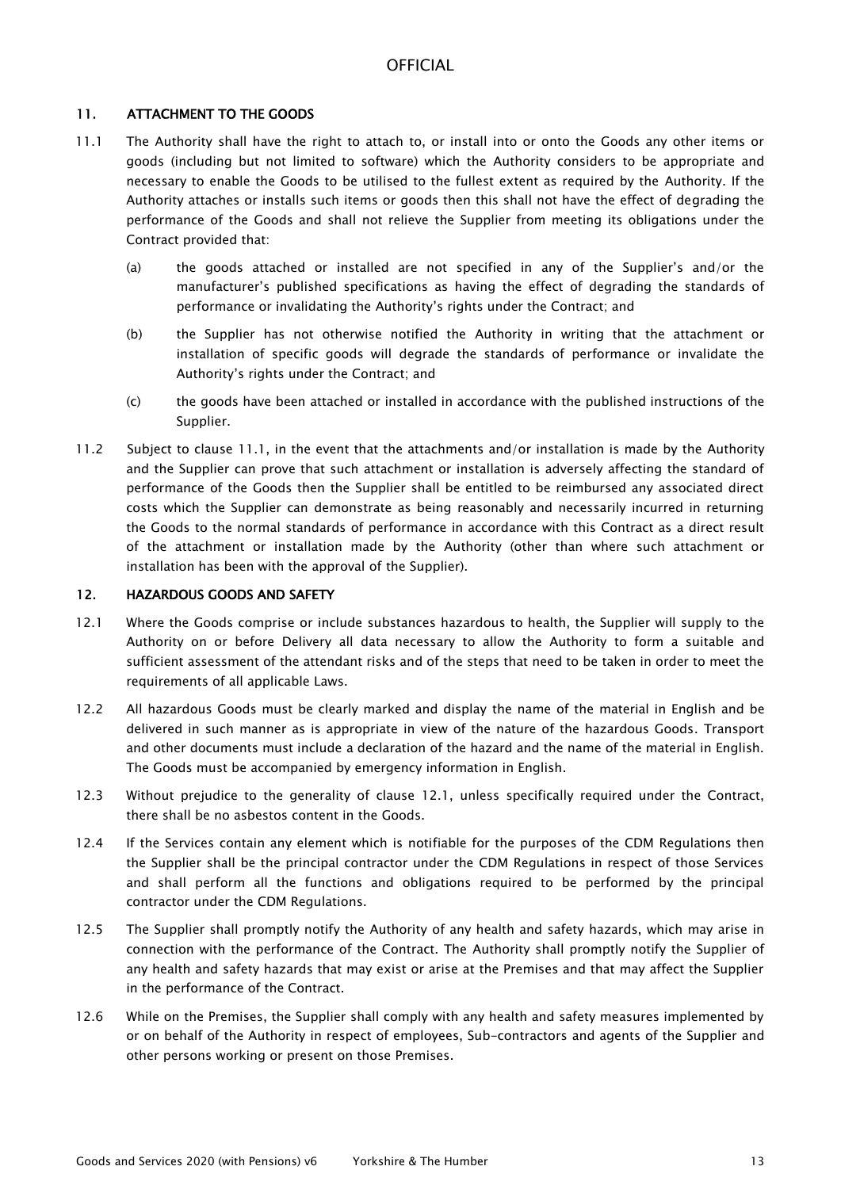## 11. ATTACHMENT TO THE GOODS

- 11.1 The Authority shall have the right to attach to, or install into or onto the Goods any other items or goods (including but not limited to software) which the Authority considers to be appropriate and necessary to enable the Goods to be utilised to the fullest extent as required by the Authority. If the Authority attaches or installs such items or goods then this shall not have the effect of degrading the performance of the Goods and shall not relieve the Supplier from meeting its obligations under the Contract provided that:
	- (a) the goods attached or installed are not specified in any of the Supplier's and/or the manufacturer's published specifications as having the effect of degrading the standards of performance or invalidating the Authority's rights under the Contract; and
	- (b) the Supplier has not otherwise notified the Authority in writing that the attachment or installation of specific goods will degrade the standards of performance or invalidate the Authority's rights under the Contract; and
	- (c) the goods have been attached or installed in accordance with the published instructions of the Supplier.
- 11.2 Subject to clause 11.1, in the event that the attachments and/or installation is made by the Authority and the Supplier can prove that such attachment or installation is adversely affecting the standard of performance of the Goods then the Supplier shall be entitled to be reimbursed any associated direct costs which the Supplier can demonstrate as being reasonably and necessarily incurred in returning the Goods to the normal standards of performance in accordance with this Contract as a direct result of the attachment or installation made by the Authority (other than where such attachment or installation has been with the approval of the Supplier).

#### 12. HAZARDOUS GOODS AND SAFETY

- 12.1 Where the Goods comprise or include substances hazardous to health, the Supplier will supply to the Authority on or before Delivery all data necessary to allow the Authority to form a suitable and sufficient assessment of the attendant risks and of the steps that need to be taken in order to meet the requirements of all applicable Laws.
- 12.2 All hazardous Goods must be clearly marked and display the name of the material in English and be delivered in such manner as is appropriate in view of the nature of the hazardous Goods. Transport and other documents must include a declaration of the hazard and the name of the material in English. The Goods must be accompanied by emergency information in English.
- 12.3 Without prejudice to the generality of clause 12.1, unless specifically required under the Contract, there shall be no asbestos content in the Goods.
- 12.4 If the Services contain any element which is notifiable for the purposes of the CDM Regulations then the Supplier shall be the principal contractor under the CDM Regulations in respect of those Services and shall perform all the functions and obligations required to be performed by the principal contractor under the CDM Regulations.
- 12.5 The Supplier shall promptly notify the Authority of any health and safety hazards, which may arise in connection with the performance of the Contract. The Authority shall promptly notify the Supplier of any health and safety hazards that may exist or arise at the Premises and that may affect the Supplier in the performance of the Contract.
- 12.6 While on the Premises, the Supplier shall comply with any health and safety measures implemented by or on behalf of the Authority in respect of employees, Sub-contractors and agents of the Supplier and other persons working or present on those Premises.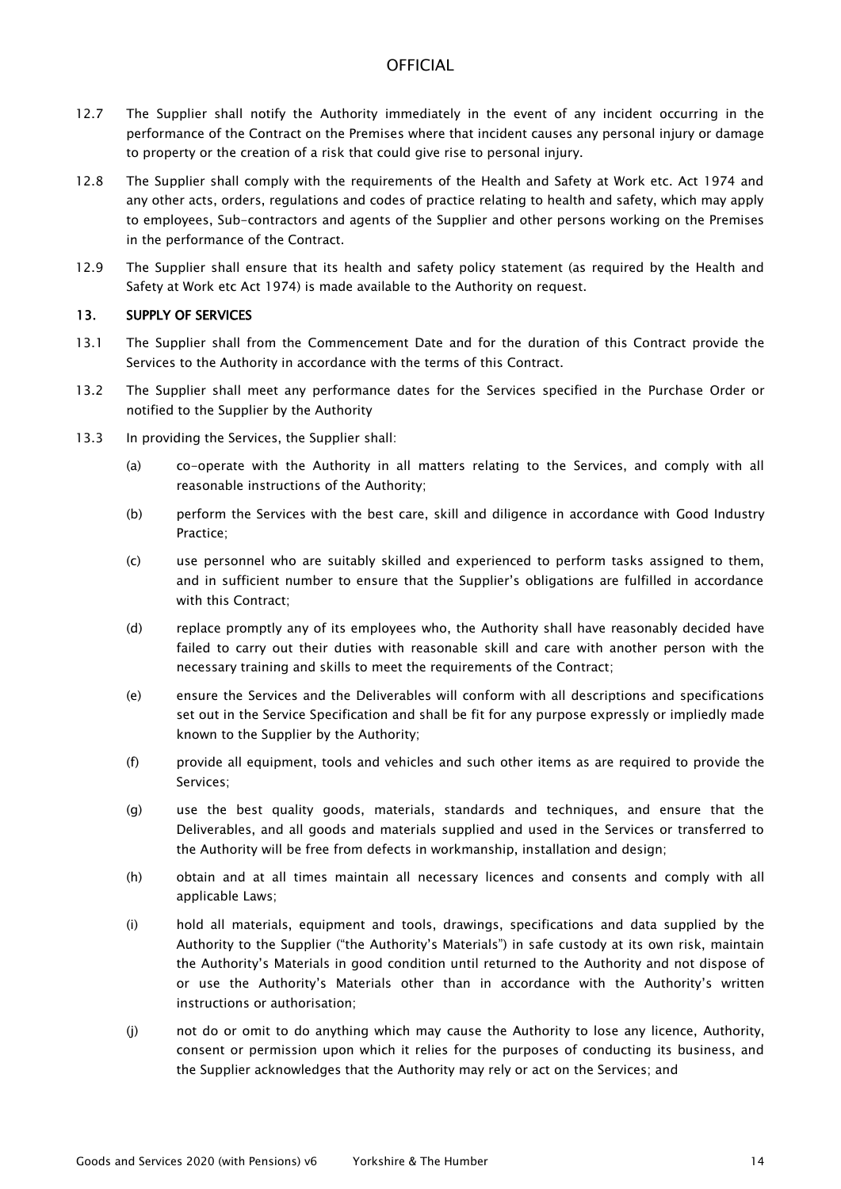- 12.7 The Supplier shall notify the Authority immediately in the event of any incident occurring in the performance of the Contract on the Premises where that incident causes any personal injury or damage to property or the creation of a risk that could give rise to personal injury.
- 12.8 The Supplier shall comply with the requirements of the Health and Safety at Work etc. Act 1974 and any other acts, orders, regulations and codes of practice relating to health and safety, which may apply to employees, Sub-contractors and agents of the Supplier and other persons working on the Premises in the performance of the Contract.
- 12.9 The Supplier shall ensure that its health and safety policy statement (as required by the Health and Safety at Work etc Act 1974) is made available to the Authority on request.

### 13. SUPPLY OF SERVICES

- 13.1 The Supplier shall from the Commencement Date and for the duration of this Contract provide the Services to the Authority in accordance with the terms of this Contract.
- 13.2 The Supplier shall meet any performance dates for the Services specified in the Purchase Order or notified to the Supplier by the Authority
- 13.3 In providing the Services, the Supplier shall:
	- (a) co-operate with the Authority in all matters relating to the Services, and comply with all reasonable instructions of the Authority;
	- (b) perform the Services with the best care, skill and diligence in accordance with Good Industry Practice;
	- (c) use personnel who are suitably skilled and experienced to perform tasks assigned to them, and in sufficient number to ensure that the Supplier's obligations are fulfilled in accordance with this Contract;
	- (d) replace promptly any of its employees who, the Authority shall have reasonably decided have failed to carry out their duties with reasonable skill and care with another person with the necessary training and skills to meet the requirements of the Contract;
	- (e) ensure the Services and the Deliverables will conform with all descriptions and specifications set out in the Service Specification and shall be fit for any purpose expressly or impliedly made known to the Supplier by the Authority;
	- (f) provide all equipment, tools and vehicles and such other items as are required to provide the Services;
	- (g) use the best quality goods, materials, standards and techniques, and ensure that the Deliverables, and all goods and materials supplied and used in the Services or transferred to the Authority will be free from defects in workmanship, installation and design;
	- (h) obtain and at all times maintain all necessary licences and consents and comply with all applicable Laws;
	- (i) hold all materials, equipment and tools, drawings, specifications and data supplied by the Authority to the Supplier ("the Authority's Materials") in safe custody at its own risk, maintain the Authority's Materials in good condition until returned to the Authority and not dispose of or use the Authority's Materials other than in accordance with the Authority's written instructions or authorisation;
	- (j) not do or omit to do anything which may cause the Authority to lose any licence, Authority, consent or permission upon which it relies for the purposes of conducting its business, and the Supplier acknowledges that the Authority may rely or act on the Services; and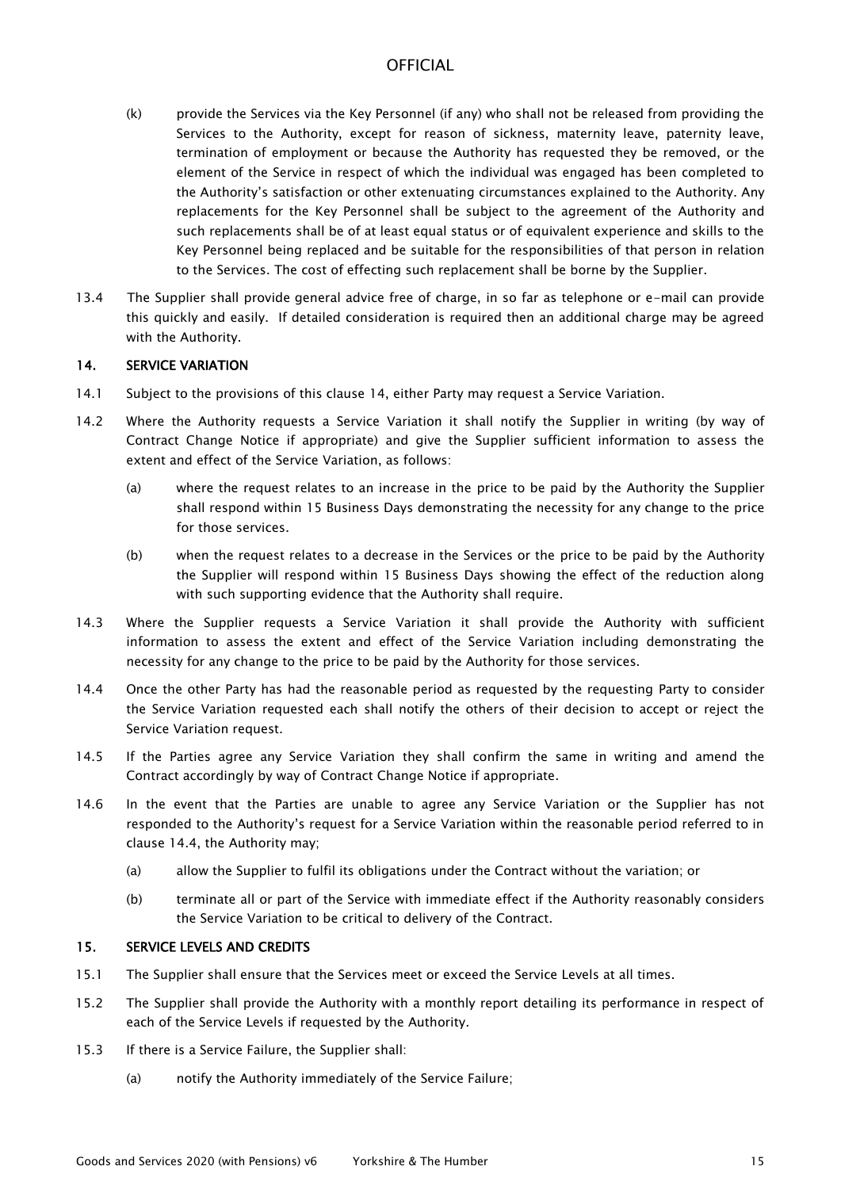- (k) provide the Services via the Key Personnel (if any) who shall not be released from providing the Services to the Authority, except for reason of sickness, maternity leave, paternity leave, termination of employment or because the Authority has requested they be removed, or the element of the Service in respect of which the individual was engaged has been completed to the Authority's satisfaction or other extenuating circumstances explained to the Authority. Any replacements for the Key Personnel shall be subject to the agreement of the Authority and such replacements shall be of at least equal status or of equivalent experience and skills to the Key Personnel being replaced and be suitable for the responsibilities of that person in relation to the Services. The cost of effecting such replacement shall be borne by the Supplier.
- 13.4 The Supplier shall provide general advice free of charge, in so far as telephone or e-mail can provide this quickly and easily. If detailed consideration is required then an additional charge may be agreed with the Authority.

#### 14. SERVICE VARIATION

- 14.1 Subject to the provisions of this clause 14, either Party may request a Service Variation.
- 14.2 Where the Authority requests a Service Variation it shall notify the Supplier in writing (by way of Contract Change Notice if appropriate) and give the Supplier sufficient information to assess the extent and effect of the Service Variation, as follows:
	- (a) where the request relates to an increase in the price to be paid by the Authority the Supplier shall respond within 15 Business Days demonstrating the necessity for any change to the price for those services.
	- (b) when the request relates to a decrease in the Services or the price to be paid by the Authority the Supplier will respond within 15 Business Days showing the effect of the reduction along with such supporting evidence that the Authority shall require.
- 14.3 Where the Supplier requests a Service Variation it shall provide the Authority with sufficient information to assess the extent and effect of the Service Variation including demonstrating the necessity for any change to the price to be paid by the Authority for those services.
- 14.4 Once the other Party has had the reasonable period as requested by the requesting Party to consider the Service Variation requested each shall notify the others of their decision to accept or reject the Service Variation request.
- 14.5 If the Parties agree any Service Variation they shall confirm the same in writing and amend the Contract accordingly by way of Contract Change Notice if appropriate.
- 14.6 In the event that the Parties are unable to agree any Service Variation or the Supplier has not responded to the Authority's request for a Service Variation within the reasonable period referred to in clause 14.4, the Authority may;
	- (a) allow the Supplier to fulfil its obligations under the Contract without the variation; or
	- (b) terminate all or part of the Service with immediate effect if the Authority reasonably considers the Service Variation to be critical to delivery of the Contract.

### 15. SERVICE LEVELS AND CREDITS

- 15.1 The Supplier shall ensure that the Services meet or exceed the Service Levels at all times.
- 15.2 The Supplier shall provide the Authority with a monthly report detailing its performance in respect of each of the Service Levels if requested by the Authority.
- 15.3 If there is a Service Failure, the Supplier shall:
	- (a) notify the Authority immediately of the Service Failure;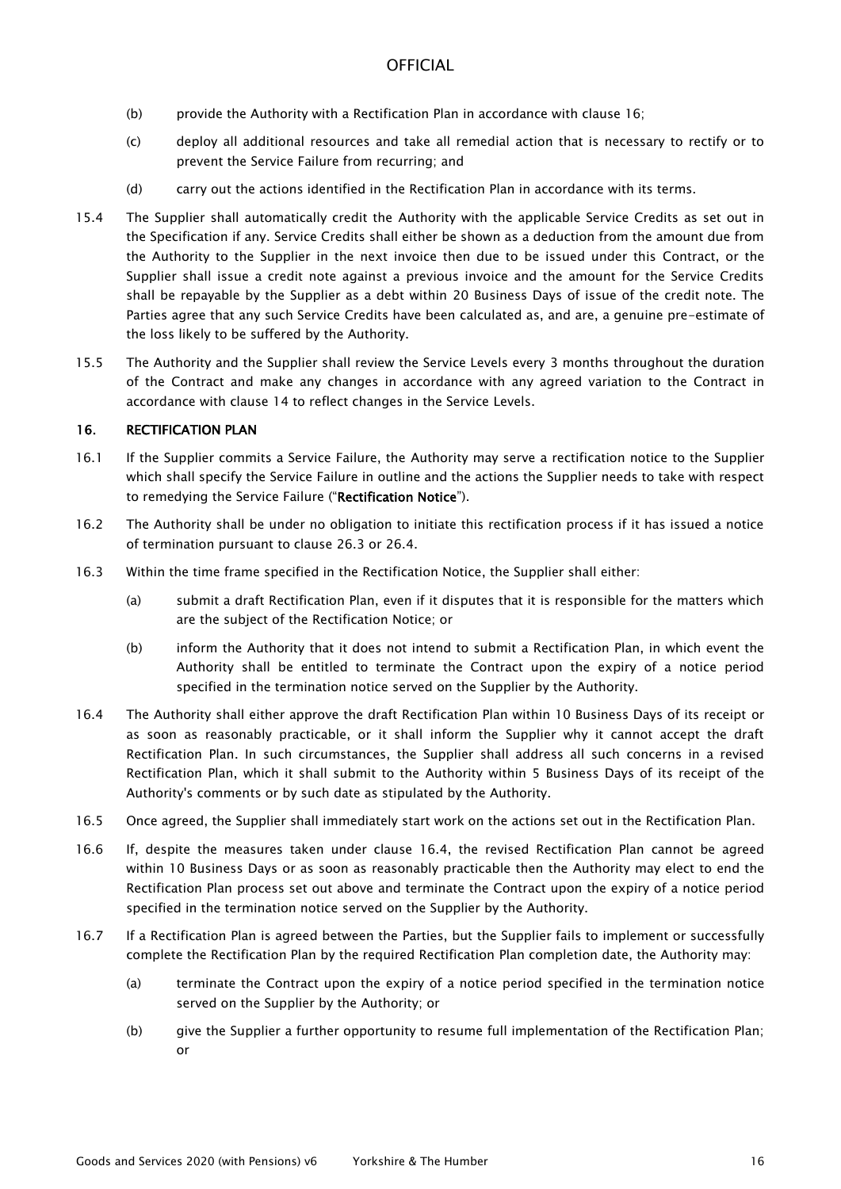- (b) provide the Authority with a Rectification Plan in accordance with clause 16;
- (c) deploy all additional resources and take all remedial action that is necessary to rectify or to prevent the Service Failure from recurring; and
- (d) carry out the actions identified in the Rectification Plan in accordance with its terms.
- 15.4 The Supplier shall automatically credit the Authority with the applicable Service Credits as set out in the Specification if any. Service Credits shall either be shown as a deduction from the amount due from the Authority to the Supplier in the next invoice then due to be issued under this Contract, or the Supplier shall issue a credit note against a previous invoice and the amount for the Service Credits shall be repayable by the Supplier as a debt within 20 Business Days of issue of the credit note. The Parties agree that any such Service Credits have been calculated as, and are, a genuine pre-estimate of the loss likely to be suffered by the Authority.
- 15.5 The Authority and the Supplier shall review the Service Levels every 3 months throughout the duration of the Contract and make any changes in accordance with any agreed variation to the Contract in accordance with clause 14 to reflect changes in the Service Levels.

#### 16. RECTIFICATION PLAN

- 16.1 If the Supplier commits a Service Failure, the Authority may serve a rectification notice to the Supplier which shall specify the Service Failure in outline and the actions the Supplier needs to take with respect to remedying the Service Failure ("Rectification Notice").
- 16.2 The Authority shall be under no obligation to initiate this rectification process if it has issued a notice of termination pursuant to clause 26.3 or 26.4.
- 16.3 Within the time frame specified in the Rectification Notice, the Supplier shall either:
	- (a) submit a draft Rectification Plan, even if it disputes that it is responsible for the matters which are the subject of the Rectification Notice; or
	- (b) inform the Authority that it does not intend to submit a Rectification Plan, in which event the Authority shall be entitled to terminate the Contract upon the expiry of a notice period specified in the termination notice served on the Supplier by the Authority.
- 16.4 The Authority shall either approve the draft Rectification Plan within 10 Business Days of its receipt or as soon as reasonably practicable, or it shall inform the Supplier why it cannot accept the draft Rectification Plan. In such circumstances, the Supplier shall address all such concerns in a revised Rectification Plan, which it shall submit to the Authority within 5 Business Days of its receipt of the Authority's comments or by such date as stipulated by the Authority.
- 16.5 Once agreed, the Supplier shall immediately start work on the actions set out in the Rectification Plan.
- 16.6 If, despite the measures taken under clause 16.4, the revised Rectification Plan cannot be agreed within 10 Business Days or as soon as reasonably practicable then the Authority may elect to end the Rectification Plan process set out above and terminate the Contract upon the expiry of a notice period specified in the termination notice served on the Supplier by the Authority.
- 16.7 If a Rectification Plan is agreed between the Parties, but the Supplier fails to implement or successfully complete the Rectification Plan by the required Rectification Plan completion date, the Authority may:
	- (a) terminate the Contract upon the expiry of a notice period specified in the termination notice served on the Supplier by the Authority; or
	- (b) give the Supplier a further opportunity to resume full implementation of the Rectification Plan; or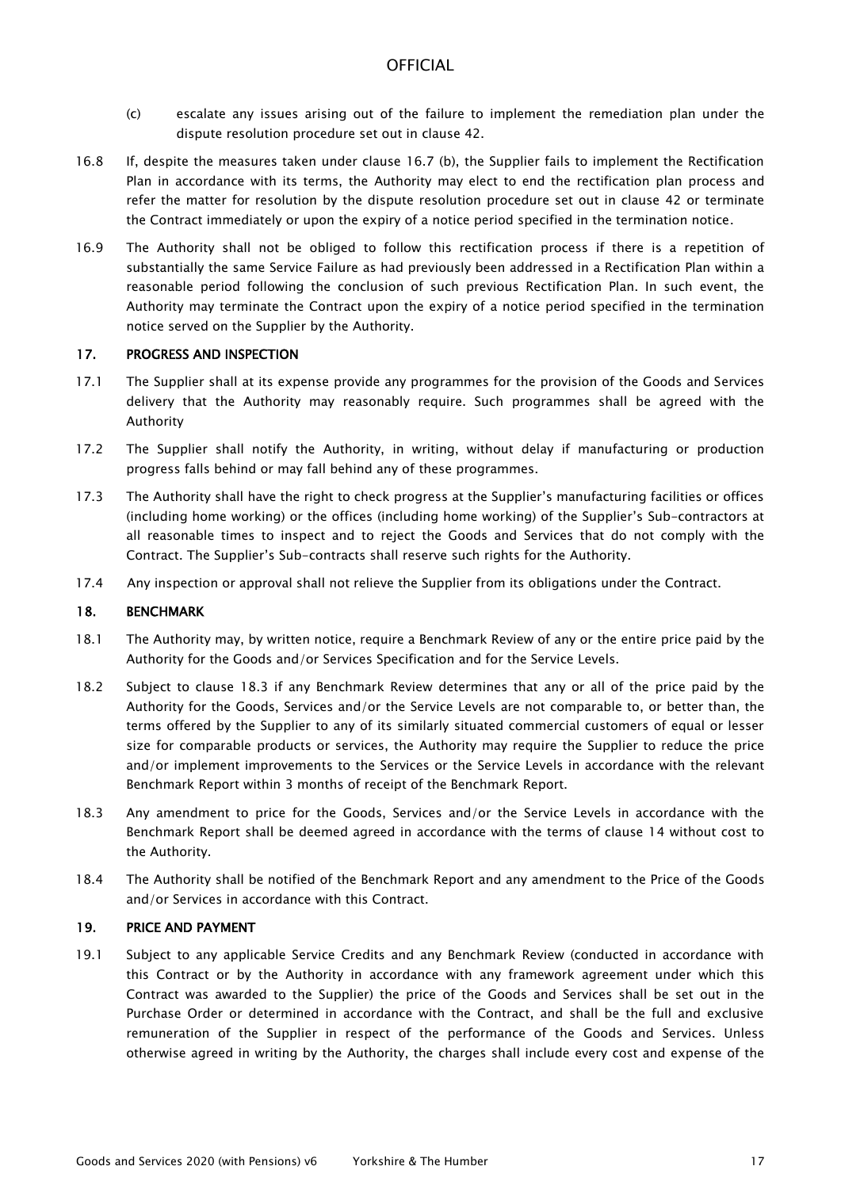- (c) escalate any issues arising out of the failure to implement the remediation plan under the dispute resolution procedure set out in clause 42.
- 16.8 If, despite the measures taken under clause 16.7 (b), the Supplier fails to implement the Rectification Plan in accordance with its terms, the Authority may elect to end the rectification plan process and refer the matter for resolution by the dispute resolution procedure set out in clause 42 or terminate the Contract immediately or upon the expiry of a notice period specified in the termination notice.
- 16.9 The Authority shall not be obliged to follow this rectification process if there is a repetition of substantially the same Service Failure as had previously been addressed in a Rectification Plan within a reasonable period following the conclusion of such previous Rectification Plan. In such event, the Authority may terminate the Contract upon the expiry of a notice period specified in the termination notice served on the Supplier by the Authority.

### 17. PROGRESS AND INSPECTION

- 17.1 The Supplier shall at its expense provide any programmes for the provision of the Goods and Services delivery that the Authority may reasonably require. Such programmes shall be agreed with the Authority
- 17.2 The Supplier shall notify the Authority, in writing, without delay if manufacturing or production progress falls behind or may fall behind any of these programmes.
- 17.3 The Authority shall have the right to check progress at the Supplier's manufacturing facilities or offices (including home working) or the offices (including home working) of the Supplier's Sub-contractors at all reasonable times to inspect and to reject the Goods and Services that do not comply with the Contract. The Supplier's Sub-contracts shall reserve such rights for the Authority.
- 17.4 Any inspection or approval shall not relieve the Supplier from its obligations under the Contract.

#### 18. BENCHMARK

- 18.1 The Authority may, by written notice, require a Benchmark Review of any or the entire price paid by the Authority for the Goods and/or Services Specification and for the Service Levels.
- 18.2 Subject to clause 18.3 if any Benchmark Review determines that any or all of the price paid by the Authority for the Goods, Services and/or the Service Levels are not comparable to, or better than, the terms offered by the Supplier to any of its similarly situated commercial customers of equal or lesser size for comparable products or services, the Authority may require the Supplier to reduce the price and/or implement improvements to the Services or the Service Levels in accordance with the relevant Benchmark Report within 3 months of receipt of the Benchmark Report.
- 18.3 Any amendment to price for the Goods, Services and/or the Service Levels in accordance with the Benchmark Report shall be deemed agreed in accordance with the terms of clause 14 without cost to the Authority.
- 18.4 The Authority shall be notified of the Benchmark Report and any amendment to the Price of the Goods and/or Services in accordance with this Contract.

#### 19. PRICE AND PAYMENT

19.1 Subject to any applicable Service Credits and any Benchmark Review (conducted in accordance with this Contract or by the Authority in accordance with any framework agreement under which this Contract was awarded to the Supplier) the price of the Goods and Services shall be set out in the Purchase Order or determined in accordance with the Contract, and shall be the full and exclusive remuneration of the Supplier in respect of the performance of the Goods and Services. Unless otherwise agreed in writing by the Authority, the charges shall include every cost and expense of the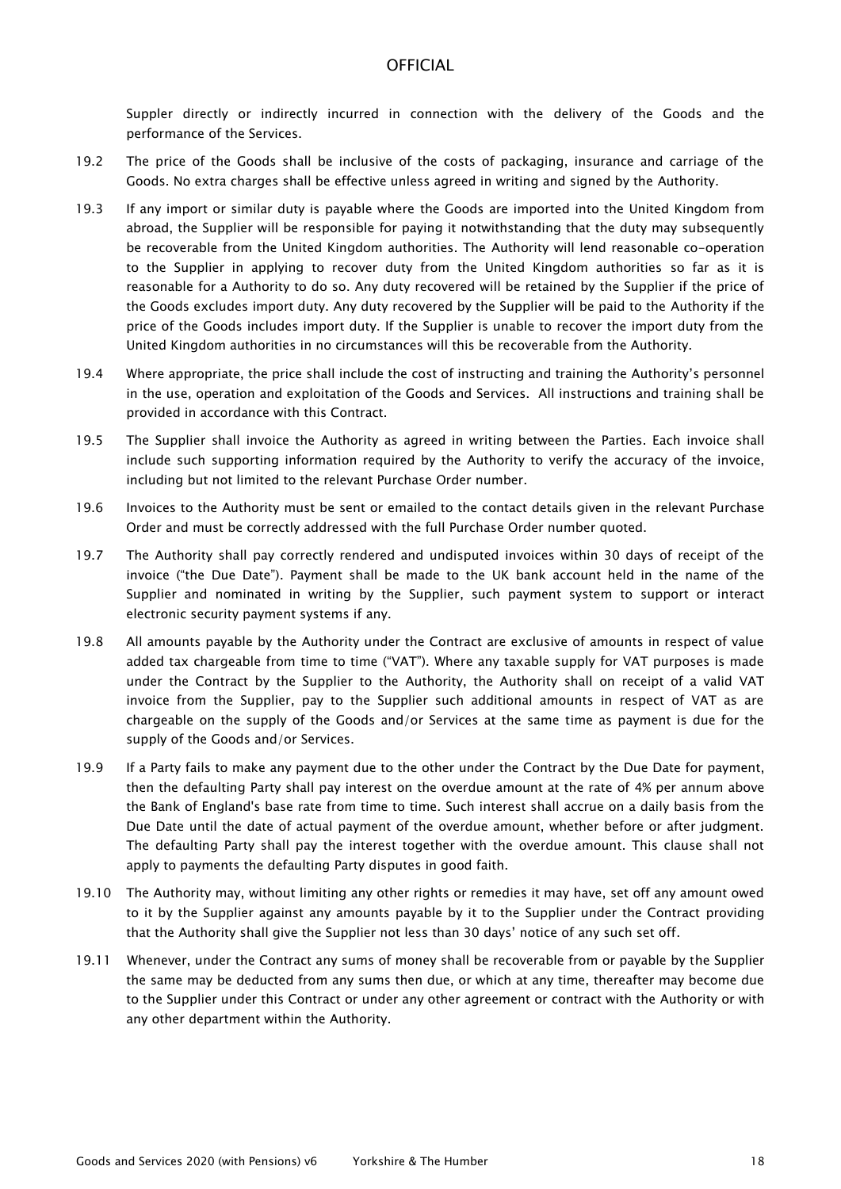Suppler directly or indirectly incurred in connection with the delivery of the Goods and the performance of the Services.

- 19.2 The price of the Goods shall be inclusive of the costs of packaging, insurance and carriage of the Goods. No extra charges shall be effective unless agreed in writing and signed by the Authority.
- 19.3 If any import or similar duty is payable where the Goods are imported into the United Kingdom from abroad, the Supplier will be responsible for paying it notwithstanding that the duty may subsequently be recoverable from the United Kingdom authorities. The Authority will lend reasonable co-operation to the Supplier in applying to recover duty from the United Kingdom authorities so far as it is reasonable for a Authority to do so. Any duty recovered will be retained by the Supplier if the price of the Goods excludes import duty. Any duty recovered by the Supplier will be paid to the Authority if the price of the Goods includes import duty. If the Supplier is unable to recover the import duty from the United Kingdom authorities in no circumstances will this be recoverable from the Authority.
- 19.4 Where appropriate, the price shall include the cost of instructing and training the Authority's personnel in the use, operation and exploitation of the Goods and Services. All instructions and training shall be provided in accordance with this Contract.
- 19.5 The Supplier shall invoice the Authority as agreed in writing between the Parties. Each invoice shall include such supporting information required by the Authority to verify the accuracy of the invoice, including but not limited to the relevant Purchase Order number.
- 19.6 Invoices to the Authority must be sent or emailed to the contact details given in the relevant Purchase Order and must be correctly addressed with the full Purchase Order number quoted.
- 19.7 The Authority shall pay correctly rendered and undisputed invoices within 30 days of receipt of the invoice ("the Due Date"). Payment shall be made to the UK bank account held in the name of the Supplier and nominated in writing by the Supplier, such payment system to support or interact electronic security payment systems if any.
- 19.8 All amounts payable by the Authority under the Contract are exclusive of amounts in respect of value added tax chargeable from time to time ("VAT"). Where any taxable supply for VAT purposes is made under the Contract by the Supplier to the Authority, the Authority shall on receipt of a valid VAT invoice from the Supplier, pay to the Supplier such additional amounts in respect of VAT as are chargeable on the supply of the Goods and/or Services at the same time as payment is due for the supply of the Goods and/or Services.
- 19.9 If a Party fails to make any payment due to the other under the Contract by the Due Date for payment, then the defaulting Party shall pay interest on the overdue amount at the rate of 4% per annum above the Bank of England's base rate from time to time. Such interest shall accrue on a daily basis from the Due Date until the date of actual payment of the overdue amount, whether before or after judgment. The defaulting Party shall pay the interest together with the overdue amount. This clause shall not apply to payments the defaulting Party disputes in good faith.
- 19.10 The Authority may, without limiting any other rights or remedies it may have, set off any amount owed to it by the Supplier against any amounts payable by it to the Supplier under the Contract providing that the Authority shall give the Supplier not less than 30 days' notice of any such set off.
- 19.11 Whenever, under the Contract any sums of money shall be recoverable from or payable by the Supplier the same may be deducted from any sums then due, or which at any time, thereafter may become due to the Supplier under this Contract or under any other agreement or contract with the Authority or with any other department within the Authority.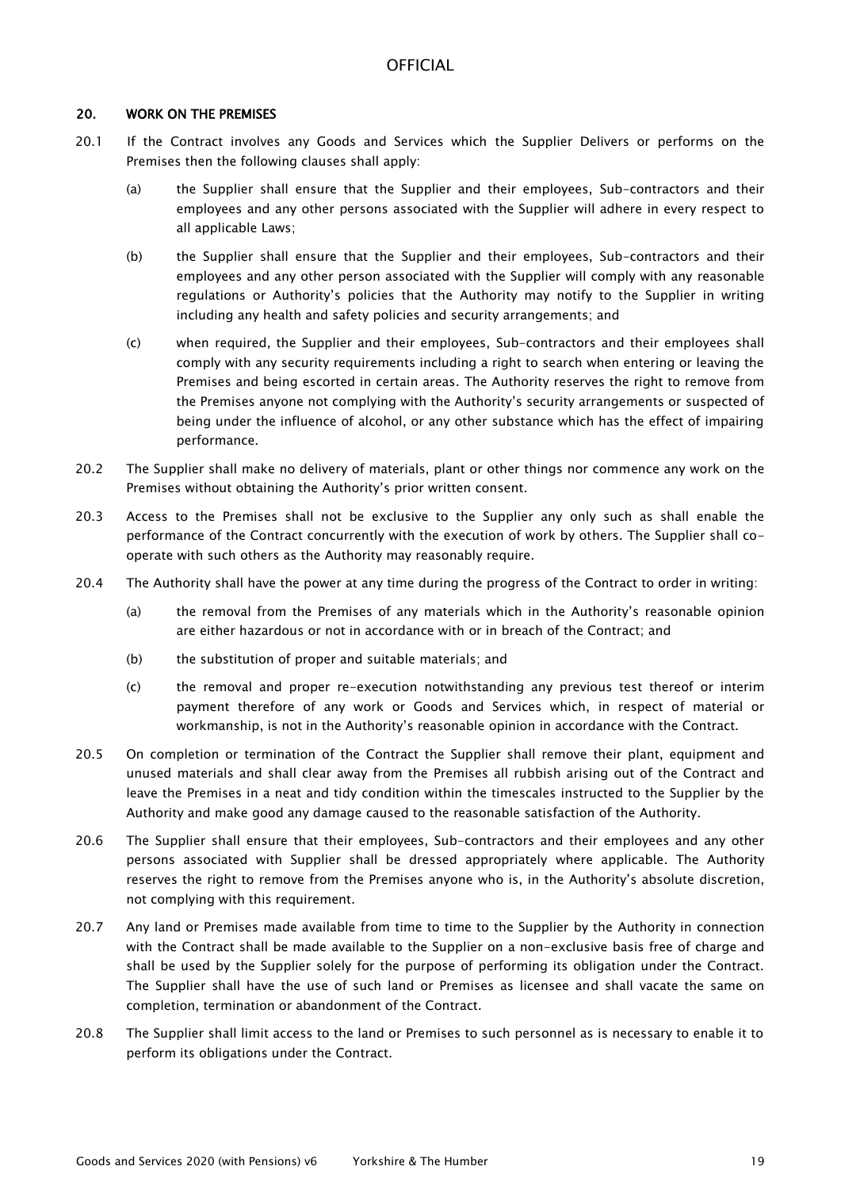### 20. WORK ON THE PREMISES

- 20.1 If the Contract involves any Goods and Services which the Supplier Delivers or performs on the Premises then the following clauses shall apply:
	- (a) the Supplier shall ensure that the Supplier and their employees, Sub-contractors and their employees and any other persons associated with the Supplier will adhere in every respect to all applicable Laws;
	- (b) the Supplier shall ensure that the Supplier and their employees, Sub-contractors and their employees and any other person associated with the Supplier will comply with any reasonable regulations or Authority's policies that the Authority may notify to the Supplier in writing including any health and safety policies and security arrangements; and
	- (c) when required, the Supplier and their employees, Sub-contractors and their employees shall comply with any security requirements including a right to search when entering or leaving the Premises and being escorted in certain areas. The Authority reserves the right to remove from the Premises anyone not complying with the Authority's security arrangements or suspected of being under the influence of alcohol, or any other substance which has the effect of impairing performance.
- 20.2 The Supplier shall make no delivery of materials, plant or other things nor commence any work on the Premises without obtaining the Authority's prior written consent.
- 20.3 Access to the Premises shall not be exclusive to the Supplier any only such as shall enable the performance of the Contract concurrently with the execution of work by others. The Supplier shall cooperate with such others as the Authority may reasonably require.
- 20.4 The Authority shall have the power at any time during the progress of the Contract to order in writing:
	- (a) the removal from the Premises of any materials which in the Authority's reasonable opinion are either hazardous or not in accordance with or in breach of the Contract; and
	- (b) the substitution of proper and suitable materials; and
	- (c) the removal and proper re-execution notwithstanding any previous test thereof or interim payment therefore of any work or Goods and Services which, in respect of material or workmanship, is not in the Authority's reasonable opinion in accordance with the Contract.
- 20.5 On completion or termination of the Contract the Supplier shall remove their plant, equipment and unused materials and shall clear away from the Premises all rubbish arising out of the Contract and leave the Premises in a neat and tidy condition within the timescales instructed to the Supplier by the Authority and make good any damage caused to the reasonable satisfaction of the Authority.
- 20.6 The Supplier shall ensure that their employees, Sub-contractors and their employees and any other persons associated with Supplier shall be dressed appropriately where applicable. The Authority reserves the right to remove from the Premises anyone who is, in the Authority's absolute discretion, not complying with this requirement.
- 20.7 Any land or Premises made available from time to time to the Supplier by the Authority in connection with the Contract shall be made available to the Supplier on a non-exclusive basis free of charge and shall be used by the Supplier solely for the purpose of performing its obligation under the Contract. The Supplier shall have the use of such land or Premises as licensee and shall vacate the same on completion, termination or abandonment of the Contract.
- 20.8 The Supplier shall limit access to the land or Premises to such personnel as is necessary to enable it to perform its obligations under the Contract.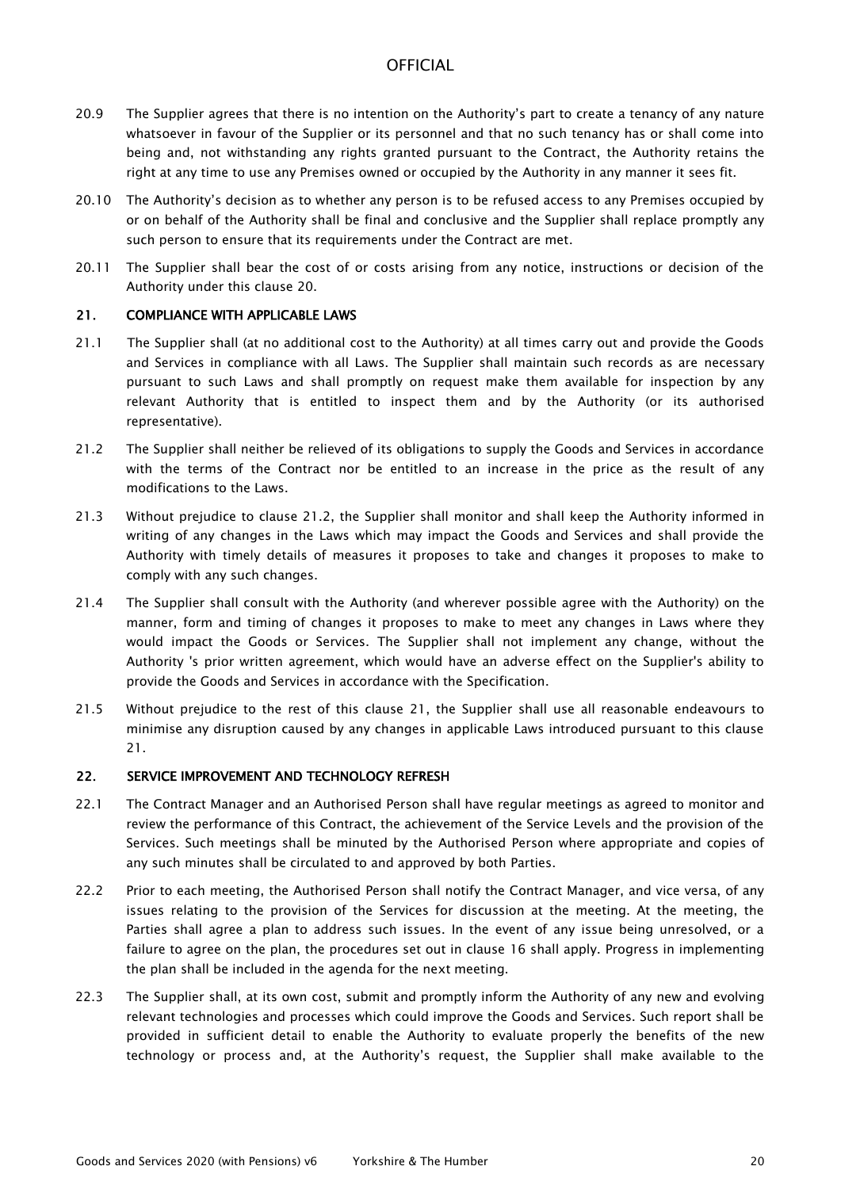- 20.9 The Supplier agrees that there is no intention on the Authority's part to create a tenancy of any nature whatsoever in favour of the Supplier or its personnel and that no such tenancy has or shall come into being and, not withstanding any rights granted pursuant to the Contract, the Authority retains the right at any time to use any Premises owned or occupied by the Authority in any manner it sees fit.
- 20.10 The Authority's decision as to whether any person is to be refused access to any Premises occupied by or on behalf of the Authority shall be final and conclusive and the Supplier shall replace promptly any such person to ensure that its requirements under the Contract are met.
- 20.11 The Supplier shall bear the cost of or costs arising from any notice, instructions or decision of the Authority under this clause 20.

#### 21. COMPLIANCE WITH APPLICABLE LAWS

- 21.1 The Supplier shall (at no additional cost to the Authority) at all times carry out and provide the Goods and Services in compliance with all Laws. The Supplier shall maintain such records as are necessary pursuant to such Laws and shall promptly on request make them available for inspection by any relevant Authority that is entitled to inspect them and by the Authority (or its authorised representative).
- 21.2 The Supplier shall neither be relieved of its obligations to supply the Goods and Services in accordance with the terms of the Contract nor be entitled to an increase in the price as the result of any modifications to the Laws.
- 21.3 Without prejudice to clause 21.2, the Supplier shall monitor and shall keep the Authority informed in writing of any changes in the Laws which may impact the Goods and Services and shall provide the Authority with timely details of measures it proposes to take and changes it proposes to make to comply with any such changes.
- 21.4 The Supplier shall consult with the Authority (and wherever possible agree with the Authority) on the manner, form and timing of changes it proposes to make to meet any changes in Laws where they would impact the Goods or Services. The Supplier shall not implement any change, without the Authority 's prior written agreement, which would have an adverse effect on the Supplier's ability to provide the Goods and Services in accordance with the Specification.
- 21.5 Without prejudice to the rest of this clause 21, the Supplier shall use all reasonable endeavours to minimise any disruption caused by any changes in applicable Laws introduced pursuant to this clause 21.

#### 22. SERVICE IMPROVEMENT AND TECHNOLOGY REFRESH

- 22.1 The Contract Manager and an Authorised Person shall have regular meetings as agreed to monitor and review the performance of this Contract, the achievement of the Service Levels and the provision of the Services. Such meetings shall be minuted by the Authorised Person where appropriate and copies of any such minutes shall be circulated to and approved by both Parties.
- 22.2 Prior to each meeting, the Authorised Person shall notify the Contract Manager, and vice versa, of any issues relating to the provision of the Services for discussion at the meeting. At the meeting, the Parties shall agree a plan to address such issues. In the event of any issue being unresolved, or a failure to agree on the plan, the procedures set out in clause 16 shall apply. Progress in implementing the plan shall be included in the agenda for the next meeting.
- 22.3 The Supplier shall, at its own cost, submit and promptly inform the Authority of any new and evolving relevant technologies and processes which could improve the Goods and Services. Such report shall be provided in sufficient detail to enable the Authority to evaluate properly the benefits of the new technology or process and, at the Authority's request, the Supplier shall make available to the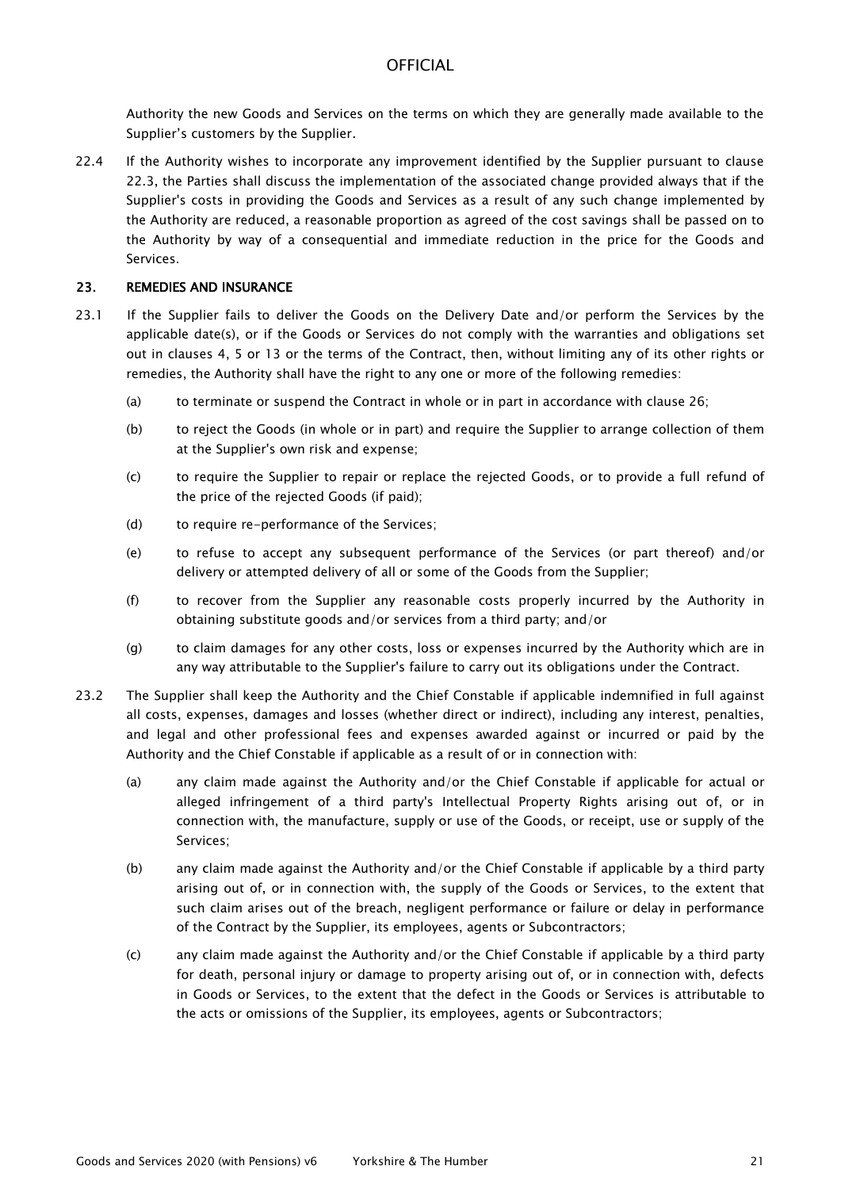Authority the new Goods and Services on the terms on which they are generally made available to the Supplier's customers by the Supplier.

22.4 If the Authority wishes to incorporate any improvement identified by the Supplier pursuant to clause 22.3, the Parties shall discuss the implementation of the associated change provided always that if the Supplier's costs in providing the Goods and Services as a result of any such change implemented by the Authority are reduced, a reasonable proportion as agreed of the cost savings shall be passed on to the Authority by way of a consequential and immediate reduction in the price for the Goods and Services.

### 23. REMEDIES AND INSURANCE

- 23.1 If the Supplier fails to deliver the Goods on the Delivery Date and/or perform the Services by the applicable date(s), or if the Goods or Services do not comply with the warranties and obligations set out in clauses 4, 5 or 13 or the terms of the Contract, then, without limiting any of its other rights or remedies, the Authority shall have the right to any one or more of the following remedies:
	- (a) to terminate or suspend the Contract in whole or in part in accordance with clause 26;
	- (b) to reject the Goods (in whole or in part) and require the Supplier to arrange collection of them at the Supplier's own risk and expense;
	- (c) to require the Supplier to repair or replace the rejected Goods, or to provide a full refund of the price of the rejected Goods (if paid);
	- (d) to require re-performance of the Services;
	- (e) to refuse to accept any subsequent performance of the Services (or part thereof) and/or delivery or attempted delivery of all or some of the Goods from the Supplier;
	- (f) to recover from the Supplier any reasonable costs properly incurred by the Authority in obtaining substitute goods and/or services from a third party; and/or
	- (g) to claim damages for any other costs, loss or expenses incurred by the Authority which are in any way attributable to the Supplier's failure to carry out its obligations under the Contract.
- 23.2 The Supplier shall keep the Authority and the Chief Constable if applicable indemnified in full against all costs, expenses, damages and losses (whether direct or indirect), including any interest, penalties, and legal and other professional fees and expenses awarded against or incurred or paid by the Authority and the Chief Constable if applicable as a result of or in connection with:
	- (a) any claim made against the Authority and/or the Chief Constable if applicable for actual or alleged infringement of a third party's Intellectual Property Rights arising out of, or in connection with, the manufacture, supply or use of the Goods, or receipt, use or supply of the Services;
	- (b) any claim made against the Authority and/or the Chief Constable if applicable by a third party arising out of, or in connection with, the supply of the Goods or Services, to the extent that such claim arises out of the breach, negligent performance or failure or delay in performance of the Contract by the Supplier, its employees, agents or Subcontractors;
	- (c) any claim made against the Authority and/or the Chief Constable if applicable by a third party for death, personal injury or damage to property arising out of, or in connection with, defects in Goods or Services, to the extent that the defect in the Goods or Services is attributable to the acts or omissions of the Supplier, its employees, agents or Subcontractors;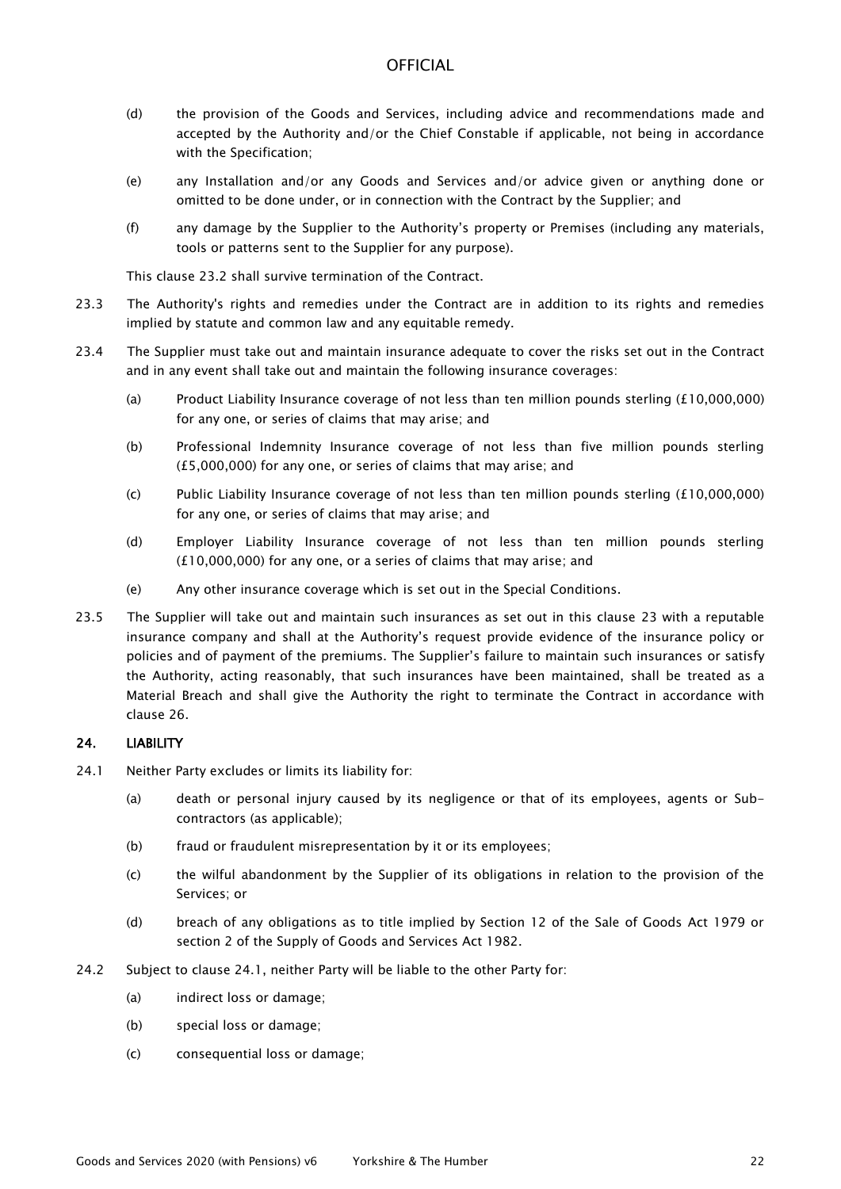- (d) the provision of the Goods and Services, including advice and recommendations made and accepted by the Authority and/or the Chief Constable if applicable, not being in accordance with the Specification;
- (e) any Installation and/or any Goods and Services and/or advice given or anything done or omitted to be done under, or in connection with the Contract by the Supplier; and
- (f) any damage by the Supplier to the Authority's property or Premises (including any materials, tools or patterns sent to the Supplier for any purpose).

This clause 23.2 shall survive termination of the Contract.

- 23.3 The Authority's rights and remedies under the Contract are in addition to its rights and remedies implied by statute and common law and any equitable remedy.
- 23.4 The Supplier must take out and maintain insurance adequate to cover the risks set out in the Contract and in any event shall take out and maintain the following insurance coverages:
	- (a) Product Liability Insurance coverage of not less than ten million pounds sterling (£10,000,000) for any one, or series of claims that may arise; and
	- (b) Professional Indemnity Insurance coverage of not less than five million pounds sterling (£5,000,000) for any one, or series of claims that may arise; and
	- (c) Public Liability Insurance coverage of not less than ten million pounds sterling (£10,000,000) for any one, or series of claims that may arise; and
	- (d) Employer Liability Insurance coverage of not less than ten million pounds sterling (£10,000,000) for any one, or a series of claims that may arise; and
	- (e) Any other insurance coverage which is set out in the Special Conditions.
- 23.5 The Supplier will take out and maintain such insurances as set out in this clause 23 with a reputable insurance company and shall at the Authority's request provide evidence of the insurance policy or policies and of payment of the premiums. The Supplier's failure to maintain such insurances or satisfy the Authority, acting reasonably, that such insurances have been maintained, shall be treated as a Material Breach and shall give the Authority the right to terminate the Contract in accordance with clause 26.

### 24. LIABILITY

- 24.1 Neither Party excludes or limits its liability for:
	- (a) death or personal injury caused by its negligence or that of its employees, agents or Subcontractors (as applicable);
	- (b) fraud or fraudulent misrepresentation by it or its employees;
	- (c) the wilful abandonment by the Supplier of its obligations in relation to the provision of the Services; or
	- (d) breach of any obligations as to title implied by Section 12 of the Sale of Goods Act 1979 or section 2 of the Supply of Goods and Services Act 1982.
- 24.2 Subject to clause 24.1, neither Party will be liable to the other Party for:
	- (a) indirect loss or damage;
	- (b) special loss or damage;
	- (c) consequential loss or damage;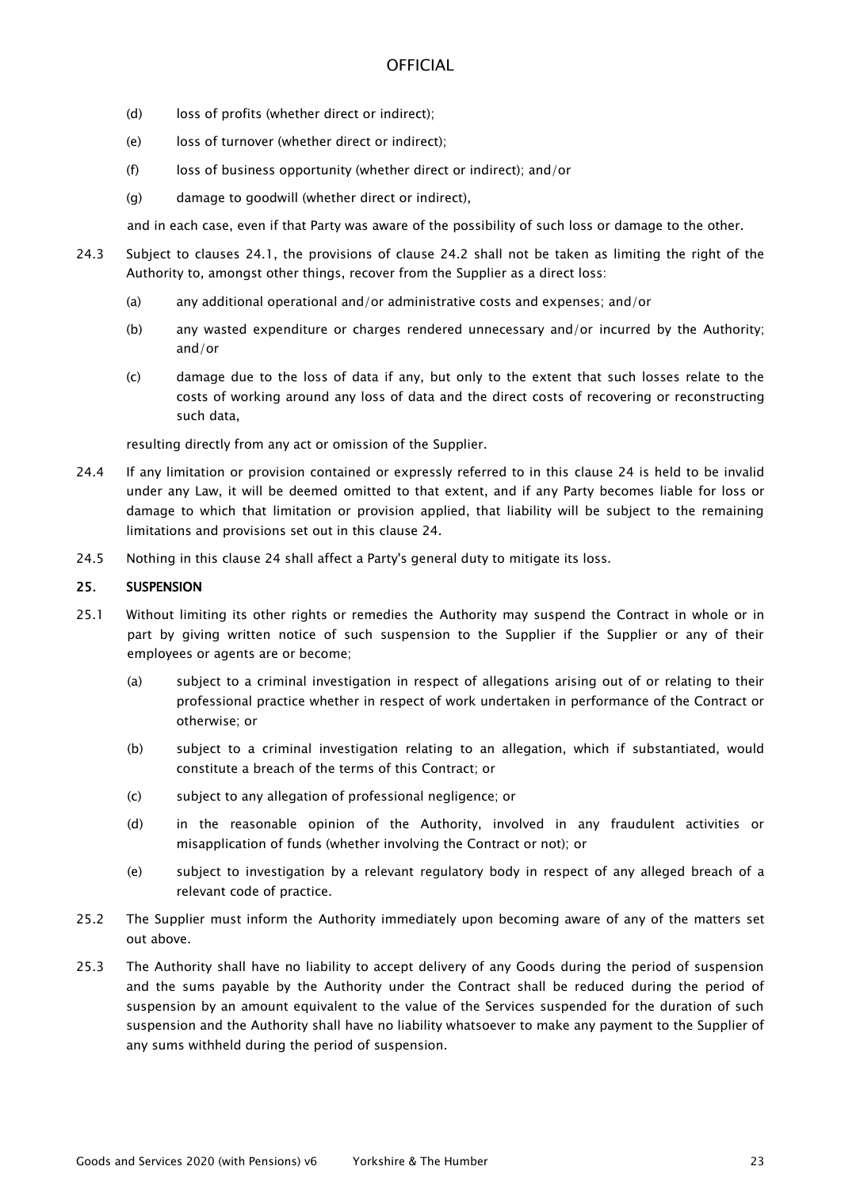- (d) loss of profits (whether direct or indirect);
- (e) loss of turnover (whether direct or indirect);
- (f) loss of business opportunity (whether direct or indirect); and/or
- (g) damage to goodwill (whether direct or indirect),

and in each case, even if that Party was aware of the possibility of such loss or damage to the other.

- 24.3 Subject to clauses 24.1, the provisions of clause 24.2 shall not be taken as limiting the right of the Authority to, amongst other things, recover from the Supplier as a direct loss:
	- (a) any additional operational and/or administrative costs and expenses; and/or
	- (b) any wasted expenditure or charges rendered unnecessary and/or incurred by the Authority; and/or
	- (c) damage due to the loss of data if any, but only to the extent that such losses relate to the costs of working around any loss of data and the direct costs of recovering or reconstructing such data,

resulting directly from any act or omission of the Supplier.

- 24.4 If any limitation or provision contained or expressly referred to in this clause 24 is held to be invalid under any Law, it will be deemed omitted to that extent, and if any Party becomes liable for loss or damage to which that limitation or provision applied, that liability will be subject to the remaining limitations and provisions set out in this clause 24.
- 24.5 Nothing in this clause 24 shall affect a Party's general duty to mitigate its loss.

#### 25. SUSPENSION

- 25.1 Without limiting its other rights or remedies the Authority may suspend the Contract in whole or in part by giving written notice of such suspension to the Supplier if the Supplier or any of their employees or agents are or become;
	- (a) subject to a criminal investigation in respect of allegations arising out of or relating to their professional practice whether in respect of work undertaken in performance of the Contract or otherwise; or
	- (b) subject to a criminal investigation relating to an allegation, which if substantiated, would constitute a breach of the terms of this Contract; or
	- (c) subject to any allegation of professional negligence; or
	- (d) in the reasonable opinion of the Authority, involved in any fraudulent activities or misapplication of funds (whether involving the Contract or not); or
	- (e) subject to investigation by a relevant regulatory body in respect of any alleged breach of a relevant code of practice.
- 25.2 The Supplier must inform the Authority immediately upon becoming aware of any of the matters set out above.
- 25.3 The Authority shall have no liability to accept delivery of any Goods during the period of suspension and the sums payable by the Authority under the Contract shall be reduced during the period of suspension by an amount equivalent to the value of the Services suspended for the duration of such suspension and the Authority shall have no liability whatsoever to make any payment to the Supplier of any sums withheld during the period of suspension.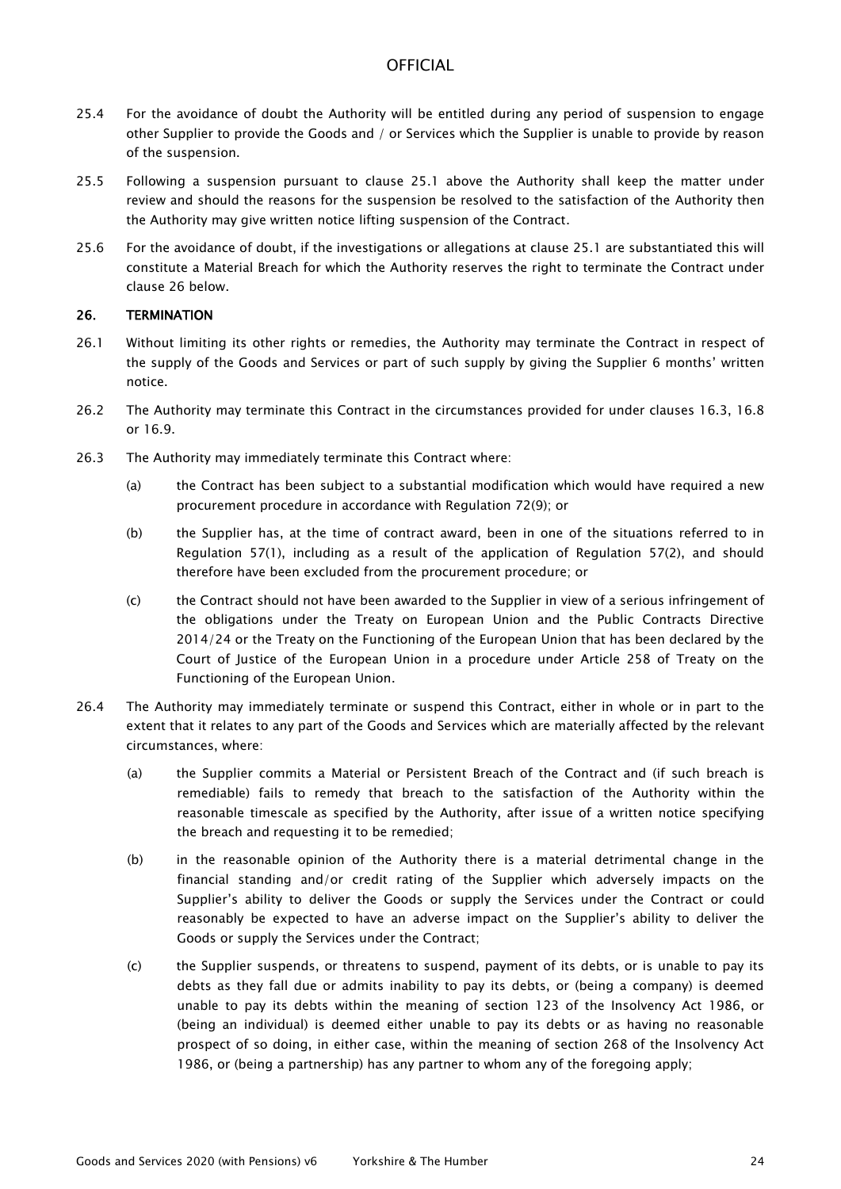- 25.4 For the avoidance of doubt the Authority will be entitled during any period of suspension to engage other Supplier to provide the Goods and / or Services which the Supplier is unable to provide by reason of the suspension.
- 25.5 Following a suspension pursuant to clause 25.1 above the Authority shall keep the matter under review and should the reasons for the suspension be resolved to the satisfaction of the Authority then the Authority may give written notice lifting suspension of the Contract.
- 25.6 For the avoidance of doubt, if the investigations or allegations at clause 25.1 are substantiated this will constitute a Material Breach for which the Authority reserves the right to terminate the Contract under clause 26 below.

### 26. TERMINATION

- 26.1 Without limiting its other rights or remedies, the Authority may terminate the Contract in respect of the supply of the Goods and Services or part of such supply by giving the Supplier 6 months' written notice.
- 26.2 The Authority may terminate this Contract in the circumstances provided for under clauses 16.3, 16.8 or 16.9.
- 26.3 The Authority may immediately terminate this Contract where:
	- (a) the Contract has been subject to a substantial modification which would have required a new procurement procedure in accordance with Regulation 72(9); or
	- (b) the Supplier has, at the time of contract award, been in one of the situations referred to in Regulation 57(1), including as a result of the application of Regulation 57(2), and should therefore have been excluded from the procurement procedure; or
	- (c) the Contract should not have been awarded to the Supplier in view of a serious infringement of the obligations under the Treaty on European Union and the Public Contracts Directive 2014/24 or the Treaty on the Functioning of the European Union that has been declared by the Court of Justice of the European Union in a procedure under Article 258 of Treaty on the Functioning of the European Union.
- 26.4 The Authority may immediately terminate or suspend this Contract, either in whole or in part to the extent that it relates to any part of the Goods and Services which are materially affected by the relevant circumstances, where:
	- (a) the Supplier commits a Material or Persistent Breach of the Contract and (if such breach is remediable) fails to remedy that breach to the satisfaction of the Authority within the reasonable timescale as specified by the Authority, after issue of a written notice specifying the breach and requesting it to be remedied;
	- (b) in the reasonable opinion of the Authority there is a material detrimental change in the financial standing and/or credit rating of the Supplier which adversely impacts on the Supplier's ability to deliver the Goods or supply the Services under the Contract or could reasonably be expected to have an adverse impact on the Supplier's ability to deliver the Goods or supply the Services under the Contract;
	- (c) the Supplier suspends, or threatens to suspend, payment of its debts, or is unable to pay its debts as they fall due or admits inability to pay its debts, or (being a company) is deemed unable to pay its debts within the meaning of section 123 of the Insolvency Act 1986, or (being an individual) is deemed either unable to pay its debts or as having no reasonable prospect of so doing, in either case, within the meaning of section 268 of the Insolvency Act 1986, or (being a partnership) has any partner to whom any of the foregoing apply;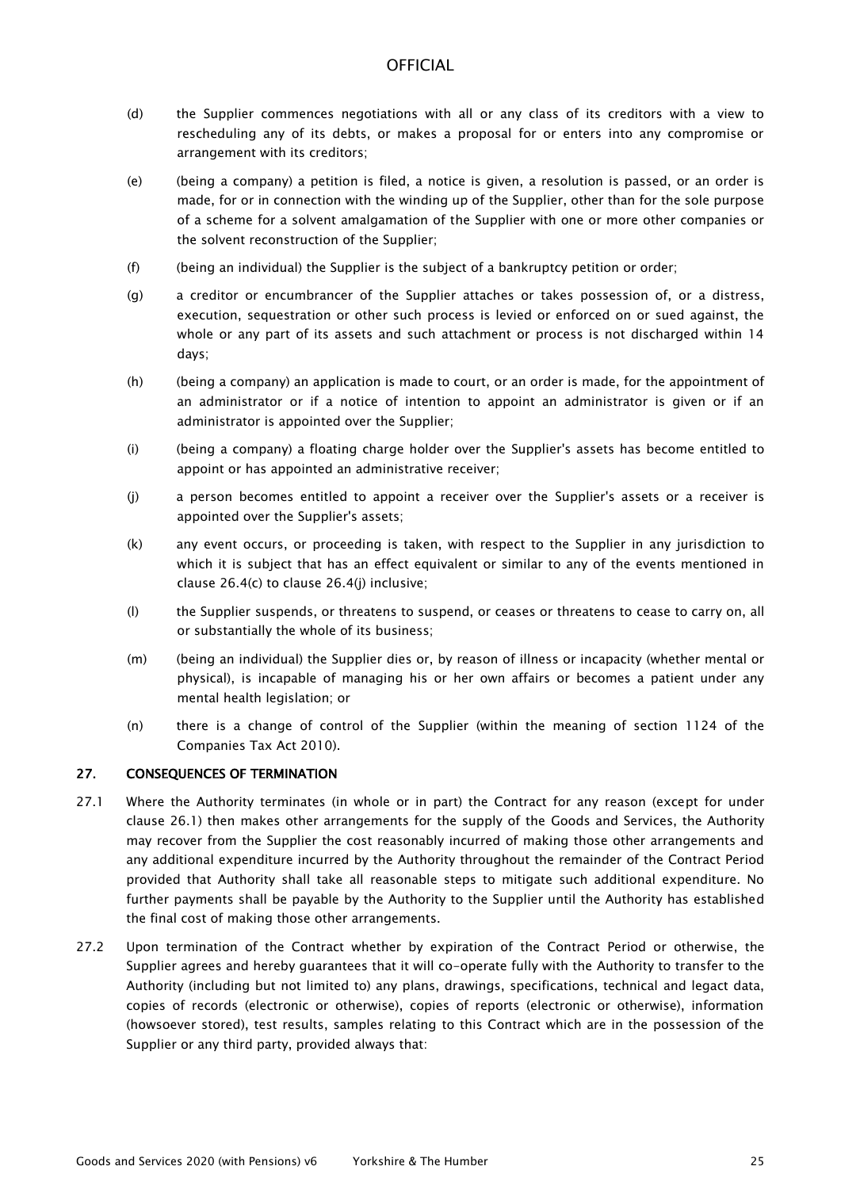- (d) the Supplier commences negotiations with all or any class of its creditors with a view to rescheduling any of its debts, or makes a proposal for or enters into any compromise or arrangement with its creditors;
- (e) (being a company) a petition is filed, a notice is given, a resolution is passed, or an order is made, for or in connection with the winding up of the Supplier, other than for the sole purpose of a scheme for a solvent amalgamation of the Supplier with one or more other companies or the solvent reconstruction of the Supplier;
- (f) (being an individual) the Supplier is the subject of a bankruptcy petition or order;
- (g) a creditor or encumbrancer of the Supplier attaches or takes possession of, or a distress, execution, sequestration or other such process is levied or enforced on or sued against, the whole or any part of its assets and such attachment or process is not discharged within 14 days;
- (h) (being a company) an application is made to court, or an order is made, for the appointment of an administrator or if a notice of intention to appoint an administrator is given or if an administrator is appointed over the Supplier;
- (i) (being a company) a floating charge holder over the Supplier's assets has become entitled to appoint or has appointed an administrative receiver;
- (j) a person becomes entitled to appoint a receiver over the Supplier's assets or a receiver is appointed over the Supplier's assets;
- (k) any event occurs, or proceeding is taken, with respect to the Supplier in any jurisdiction to which it is subject that has an effect equivalent or similar to any of the events mentioned in clause 26.4(c) to clause 26.4(j) inclusive;
- (l) the Supplier suspends, or threatens to suspend, or ceases or threatens to cease to carry on, all or substantially the whole of its business;
- (m) (being an individual) the Supplier dies or, by reason of illness or incapacity (whether mental or physical), is incapable of managing his or her own affairs or becomes a patient under any mental health legislation; or
- (n) there is a change of control of the Supplier (within the meaning of section 1124 of the Companies Tax Act 2010).

### 27. CONSEQUENCES OF TERMINATION

- 27.1 Where the Authority terminates (in whole or in part) the Contract for any reason (except for under clause 26.1) then makes other arrangements for the supply of the Goods and Services, the Authority may recover from the Supplier the cost reasonably incurred of making those other arrangements and any additional expenditure incurred by the Authority throughout the remainder of the Contract Period provided that Authority shall take all reasonable steps to mitigate such additional expenditure. No further payments shall be payable by the Authority to the Supplier until the Authority has established the final cost of making those other arrangements.
- 27.2 Upon termination of the Contract whether by expiration of the Contract Period or otherwise, the Supplier agrees and hereby guarantees that it will co-operate fully with the Authority to transfer to the Authority (including but not limited to) any plans, drawings, specifications, technical and legact data, copies of records (electronic or otherwise), copies of reports (electronic or otherwise), information (howsoever stored), test results, samples relating to this Contract which are in the possession of the Supplier or any third party, provided always that: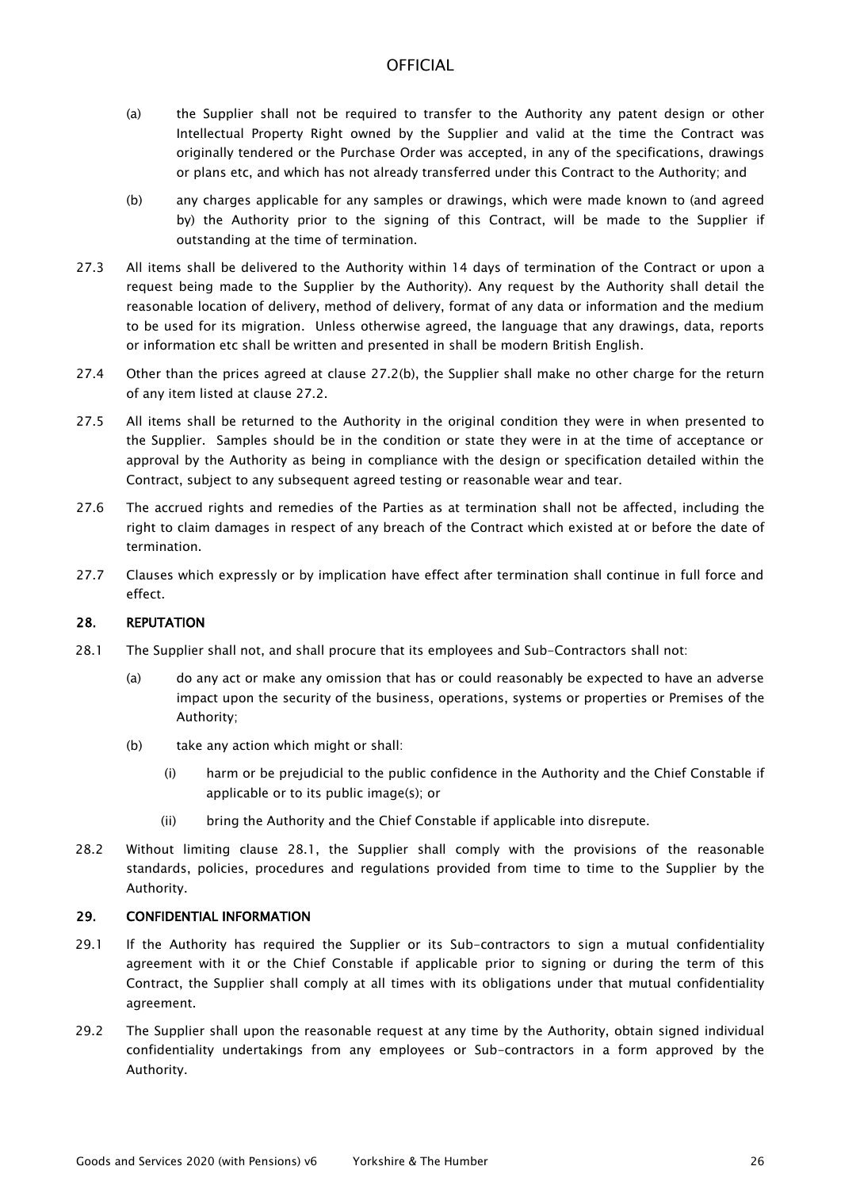- (a) the Supplier shall not be required to transfer to the Authority any patent design or other Intellectual Property Right owned by the Supplier and valid at the time the Contract was originally tendered or the Purchase Order was accepted, in any of the specifications, drawings or plans etc, and which has not already transferred under this Contract to the Authority; and
- (b) any charges applicable for any samples or drawings, which were made known to (and agreed by) the Authority prior to the signing of this Contract, will be made to the Supplier if outstanding at the time of termination.
- 27.3 All items shall be delivered to the Authority within 14 days of termination of the Contract or upon a request being made to the Supplier by the Authority). Any request by the Authority shall detail the reasonable location of delivery, method of delivery, format of any data or information and the medium to be used for its migration. Unless otherwise agreed, the language that any drawings, data, reports or information etc shall be written and presented in shall be modern British English.
- 27.4 Other than the prices agreed at clause 27.2(b), the Supplier shall make no other charge for the return of any item listed at clause 27.2.
- 27.5 All items shall be returned to the Authority in the original condition they were in when presented to the Supplier. Samples should be in the condition or state they were in at the time of acceptance or approval by the Authority as being in compliance with the design or specification detailed within the Contract, subject to any subsequent agreed testing or reasonable wear and tear.
- 27.6 The accrued rights and remedies of the Parties as at termination shall not be affected, including the right to claim damages in respect of any breach of the Contract which existed at or before the date of termination.
- 27.7 Clauses which expressly or by implication have effect after termination shall continue in full force and effect.

### 28. REPUTATION

- 28.1 The Supplier shall not, and shall procure that its employees and Sub-Contractors shall not:
	- (a) do any act or make any omission that has or could reasonably be expected to have an adverse impact upon the security of the business, operations, systems or properties or Premises of the Authority;
	- (b) take any action which might or shall:
		- (i) harm or be prejudicial to the public confidence in the Authority and the Chief Constable if applicable or to its public image(s); or
		- (ii) bring the Authority and the Chief Constable if applicable into disrepute.
- 28.2 Without limiting clause 28.1, the Supplier shall comply with the provisions of the reasonable standards, policies, procedures and regulations provided from time to time to the Supplier by the Authority.

### 29. CONFIDENTIAL INFORMATION

- 29.1 If the Authority has required the Supplier or its Sub-contractors to sign a mutual confidentiality agreement with it or the Chief Constable if applicable prior to signing or during the term of this Contract, the Supplier shall comply at all times with its obligations under that mutual confidentiality agreement.
- 29.2 The Supplier shall upon the reasonable request at any time by the Authority, obtain signed individual confidentiality undertakings from any employees or Sub-contractors in a form approved by the Authority.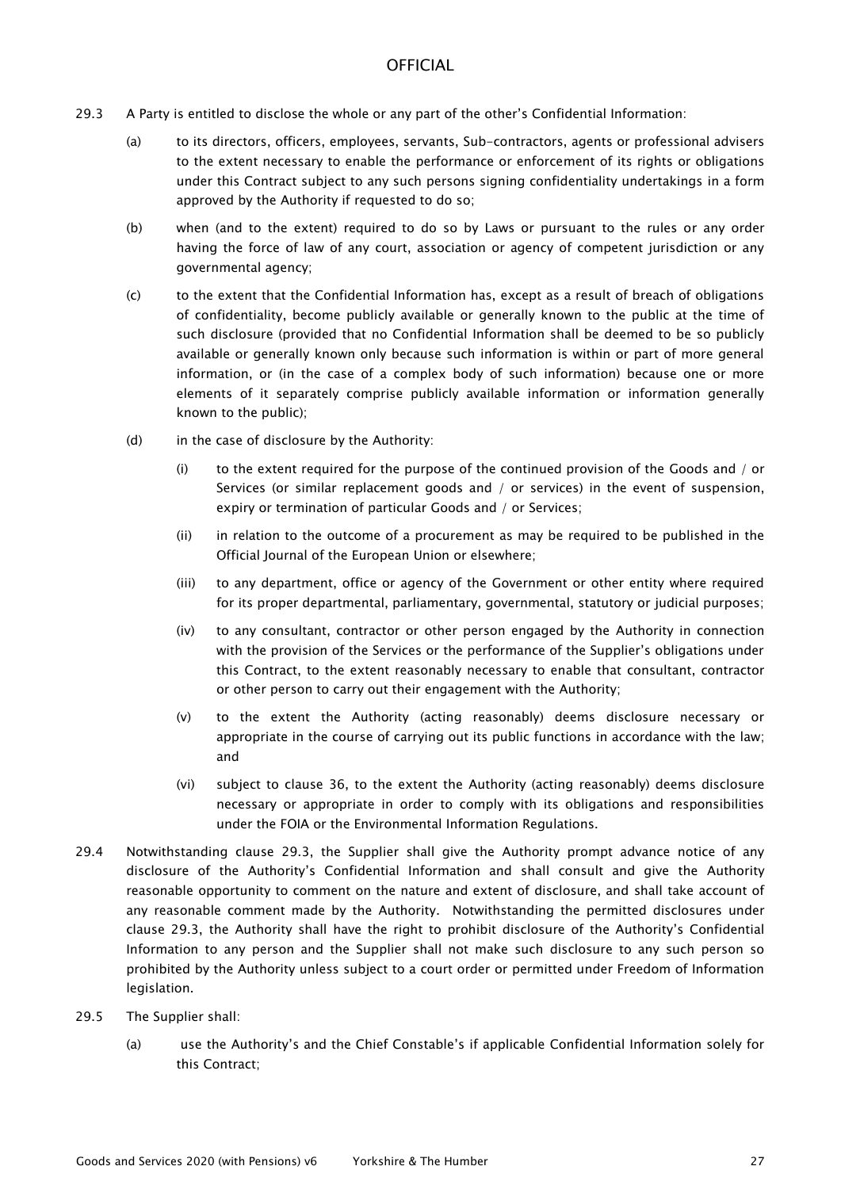- 29.3 A Party is entitled to disclose the whole or any part of the other's Confidential Information:
	- (a) to its directors, officers, employees, servants, Sub-contractors, agents or professional advisers to the extent necessary to enable the performance or enforcement of its rights or obligations under this Contract subject to any such persons signing confidentiality undertakings in a form approved by the Authority if requested to do so;
	- (b) when (and to the extent) required to do so by Laws or pursuant to the rules or any order having the force of law of any court, association or agency of competent jurisdiction or any governmental agency;
	- (c) to the extent that the Confidential Information has, except as a result of breach of obligations of confidentiality, become publicly available or generally known to the public at the time of such disclosure (provided that no Confidential Information shall be deemed to be so publicly available or generally known only because such information is within or part of more general information, or (in the case of a complex body of such information) because one or more elements of it separately comprise publicly available information or information generally known to the public);
	- (d) in the case of disclosure by the Authority:
		- (i) to the extent required for the purpose of the continued provision of the Goods and / or Services (or similar replacement goods and / or services) in the event of suspension, expiry or termination of particular Goods and / or Services;
		- (ii) in relation to the outcome of a procurement as may be required to be published in the Official Journal of the European Union or elsewhere;
		- (iii) to any department, office or agency of the Government or other entity where required for its proper departmental, parliamentary, governmental, statutory or judicial purposes;
		- (iv) to any consultant, contractor or other person engaged by the Authority in connection with the provision of the Services or the performance of the Supplier's obligations under this Contract, to the extent reasonably necessary to enable that consultant, contractor or other person to carry out their engagement with the Authority;
		- (v) to the extent the Authority (acting reasonably) deems disclosure necessary or appropriate in the course of carrying out its public functions in accordance with the law; and
		- (vi) subject to clause 36, to the extent the Authority (acting reasonably) deems disclosure necessary or appropriate in order to comply with its obligations and responsibilities under the FOIA or the Environmental Information Regulations.
- 29.4 Notwithstanding clause 29.3, the Supplier shall give the Authority prompt advance notice of any disclosure of the Authority's Confidential Information and shall consult and give the Authority reasonable opportunity to comment on the nature and extent of disclosure, and shall take account of any reasonable comment made by the Authority. Notwithstanding the permitted disclosures under clause 29.3, the Authority shall have the right to prohibit disclosure of the Authority's Confidential Information to any person and the Supplier shall not make such disclosure to any such person so prohibited by the Authority unless subject to a court order or permitted under Freedom of Information legislation.
- 29.5 The Supplier shall:
	- (a) use the Authority's and the Chief Constable's if applicable Confidential Information solely for this Contract;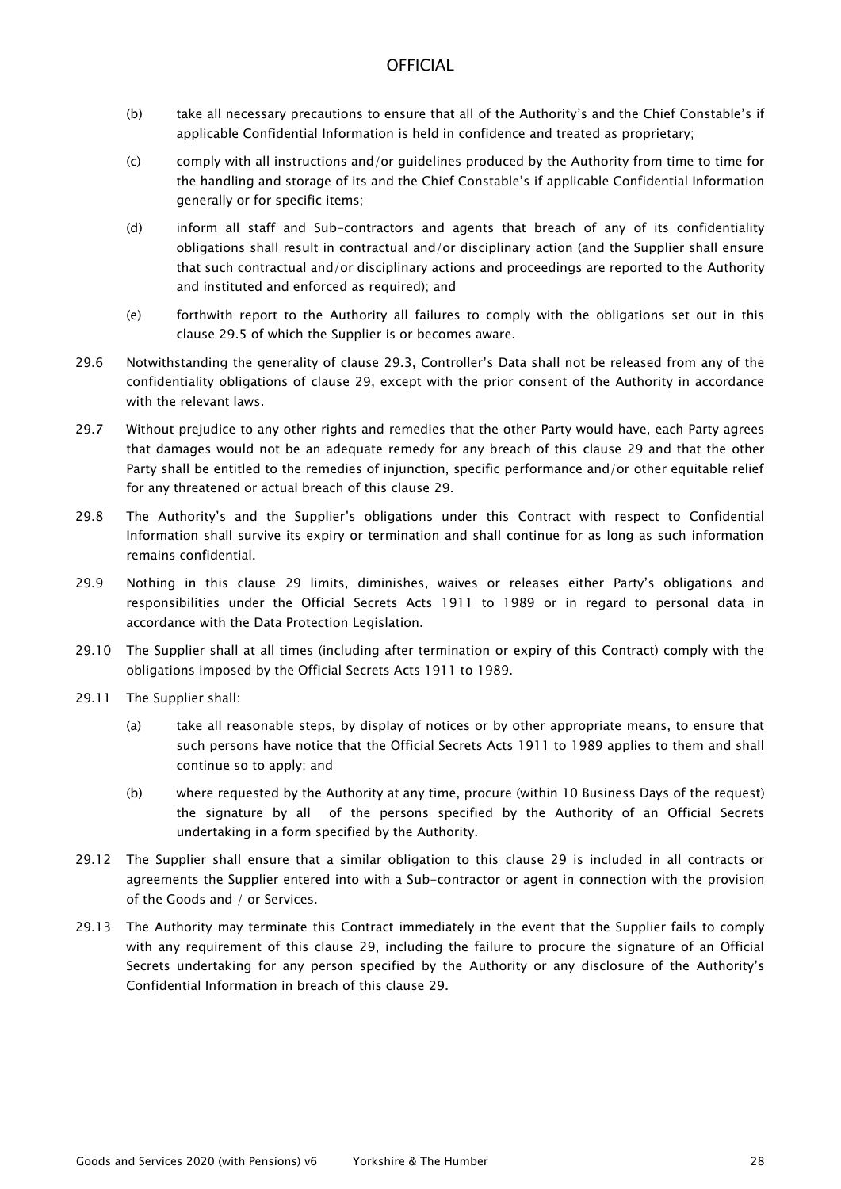- (b) take all necessary precautions to ensure that all of the Authority's and the Chief Constable's if applicable Confidential Information is held in confidence and treated as proprietary;
- (c) comply with all instructions and/or guidelines produced by the Authority from time to time for the handling and storage of its and the Chief Constable's if applicable Confidential Information generally or for specific items;
- (d) inform all staff and Sub-contractors and agents that breach of any of its confidentiality obligations shall result in contractual and/or disciplinary action (and the Supplier shall ensure that such contractual and/or disciplinary actions and proceedings are reported to the Authority and instituted and enforced as required); and
- (e) forthwith report to the Authority all failures to comply with the obligations set out in this clause 29.5 of which the Supplier is or becomes aware.
- 29.6 Notwithstanding the generality of clause 29.3, Controller's Data shall not be released from any of the confidentiality obligations of clause 29, except with the prior consent of the Authority in accordance with the relevant laws.
- 29.7 Without prejudice to any other rights and remedies that the other Party would have, each Party agrees that damages would not be an adequate remedy for any breach of this clause 29 and that the other Party shall be entitled to the remedies of injunction, specific performance and/or other equitable relief for any threatened or actual breach of this clause 29.
- 29.8 The Authority's and the Supplier's obligations under this Contract with respect to Confidential Information shall survive its expiry or termination and shall continue for as long as such information remains confidential.
- 29.9 Nothing in this clause 29 limits, diminishes, waives or releases either Party's obligations and responsibilities under the Official Secrets Acts 1911 to 1989 or in regard to personal data in accordance with the Data Protection Legislation.
- 29.10 The Supplier shall at all times (including after termination or expiry of this Contract) comply with the obligations imposed by the Official Secrets Acts 1911 to 1989.
- 29.11 The Supplier shall:
	- (a) take all reasonable steps, by display of notices or by other appropriate means, to ensure that such persons have notice that the Official Secrets Acts 1911 to 1989 applies to them and shall continue so to apply; and
	- (b) where requested by the Authority at any time, procure (within 10 Business Days of the request) the signature by all of the persons specified by the Authority of an Official Secrets undertaking in a form specified by the Authority.
- 29.12 The Supplier shall ensure that a similar obligation to this clause 29 is included in all contracts or agreements the Supplier entered into with a Sub-contractor or agent in connection with the provision of the Goods and / or Services.
- 29.13 The Authority may terminate this Contract immediately in the event that the Supplier fails to comply with any requirement of this clause 29, including the failure to procure the signature of an Official Secrets undertaking for any person specified by the Authority or any disclosure of the Authority's Confidential Information in breach of this clause 29.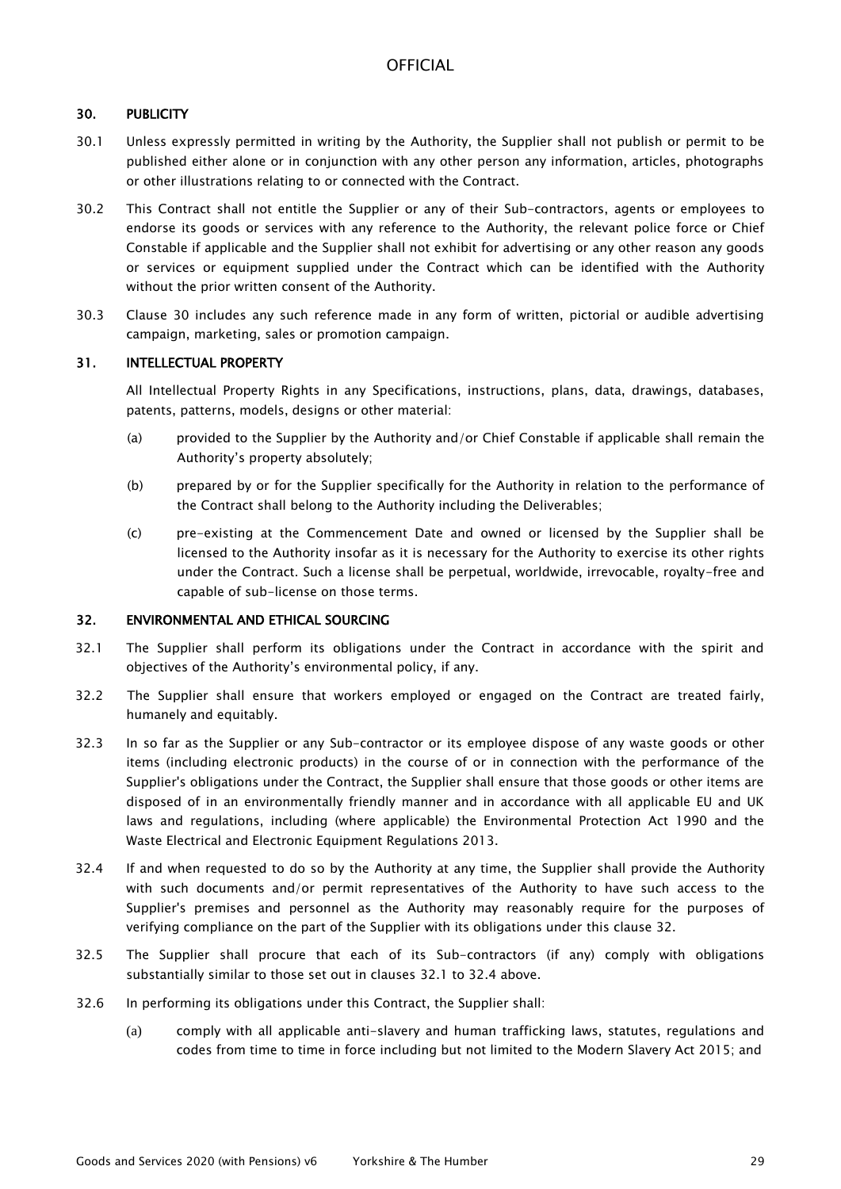## 30. PUBLICITY

- 30.1 Unless expressly permitted in writing by the Authority, the Supplier shall not publish or permit to be published either alone or in conjunction with any other person any information, articles, photographs or other illustrations relating to or connected with the Contract.
- 30.2 This Contract shall not entitle the Supplier or any of their Sub-contractors, agents or employees to endorse its goods or services with any reference to the Authority, the relevant police force or Chief Constable if applicable and the Supplier shall not exhibit for advertising or any other reason any goods or services or equipment supplied under the Contract which can be identified with the Authority without the prior written consent of the Authority.
- 30.3 Clause 30 includes any such reference made in any form of written, pictorial or audible advertising campaign, marketing, sales or promotion campaign.

### 31. INTELLECTUAL PROPERTY

All Intellectual Property Rights in any Specifications, instructions, plans, data, drawings, databases, patents, patterns, models, designs or other material:

- (a) provided to the Supplier by the Authority and/or Chief Constable if applicable shall remain the Authority's property absolutely;
- (b) prepared by or for the Supplier specifically for the Authority in relation to the performance of the Contract shall belong to the Authority including the Deliverables;
- (c) pre-existing at the Commencement Date and owned or licensed by the Supplier shall be licensed to the Authority insofar as it is necessary for the Authority to exercise its other rights under the Contract. Such a license shall be perpetual, worldwide, irrevocable, royalty-free and capable of sub-license on those terms.

### 32. ENVIRONMENTAL AND ETHICAL SOURCING

- 32.1 The Supplier shall perform its obligations under the Contract in accordance with the spirit and objectives of the Authority's environmental policy, if any.
- 32.2 The Supplier shall ensure that workers employed or engaged on the Contract are treated fairly, humanely and equitably.
- 32.3 In so far as the Supplier or any Sub-contractor or its employee dispose of any waste goods or other items (including electronic products) in the course of or in connection with the performance of the Supplier's obligations under the Contract, the Supplier shall ensure that those goods or other items are disposed of in an environmentally friendly manner and in accordance with all applicable EU and UK laws and regulations, including (where applicable) the Environmental Protection Act 1990 and the Waste Electrical and Electronic Equipment Regulations 2013.
- 32.4 If and when requested to do so by the Authority at any time, the Supplier shall provide the Authority with such documents and/or permit representatives of the Authority to have such access to the Supplier's premises and personnel as the Authority may reasonably require for the purposes of verifying compliance on the part of the Supplier with its obligations under this clause 32.
- 32.5 The Supplier shall procure that each of its Sub-contractors (if any) comply with obligations substantially similar to those set out in clauses 32.1 to 32.4 above.
- 32.6 In performing its obligations under this Contract, the Supplier shall:
	- (a) comply with all applicable anti-slavery and human trafficking laws, statutes, regulations and codes from time to time in force including but not limited to the Modern Slavery Act 2015; and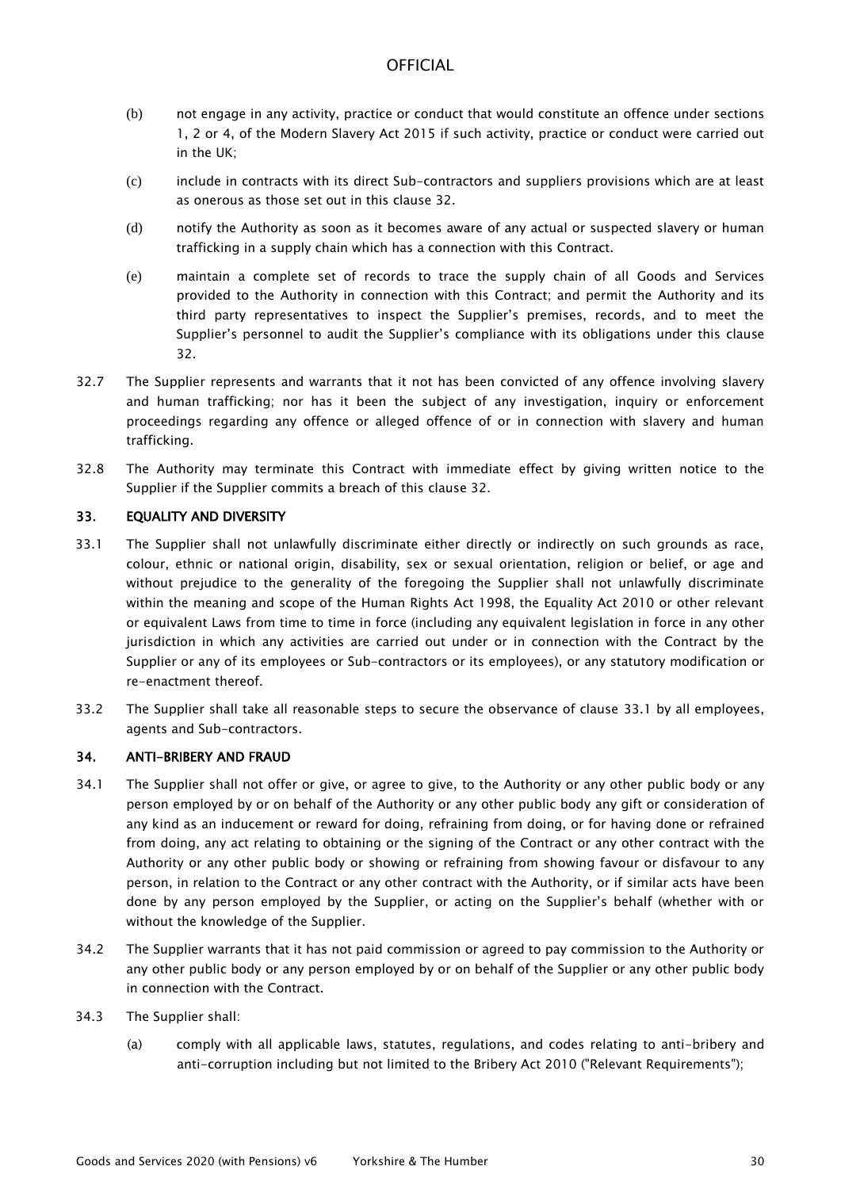- (b) not engage in any activity, practice or conduct that would constitute an offence under sections 1, 2 or 4, of the Modern Slavery Act 2015 if such activity, practice or conduct were carried out in the UK;
- (c) include in contracts with its direct Sub-contractors and suppliers provisions which are at least as onerous as those set out in this clause 32.
- (d) notify the Authority as soon as it becomes aware of any actual or suspected slavery or human trafficking in a supply chain which has a connection with this Contract.
- (e) maintain a complete set of records to trace the supply chain of all Goods and Services provided to the Authority in connection with this Contract; and permit the Authority and its third party representatives to inspect the Supplier's premises, records, and to meet the Supplier's personnel to audit the Supplier's compliance with its obligations under this clause 32.
- 32.7 The Supplier represents and warrants that it not has been convicted of any offence involving slavery and human trafficking; nor has it been the subject of any investigation, inquiry or enforcement proceedings regarding any offence or alleged offence of or in connection with slavery and human trafficking.
- 32.8 The Authority may terminate this Contract with immediate effect by giving written notice to the Supplier if the Supplier commits a breach of this clause 32.

### 33. EQUALITY AND DIVERSITY

- 33.1 The Supplier shall not unlawfully discriminate either directly or indirectly on such grounds as race, colour, ethnic or national origin, disability, sex or sexual orientation, religion or belief, or age and without prejudice to the generality of the foregoing the Supplier shall not unlawfully discriminate within the meaning and scope of the Human Rights Act 1998, the Equality Act 2010 or other relevant or equivalent Laws from time to time in force (including any equivalent legislation in force in any other jurisdiction in which any activities are carried out under or in connection with the Contract by the Supplier or any of its employees or Sub-contractors or its employees), or any statutory modification or re-enactment thereof.
- 33.2 The Supplier shall take all reasonable steps to secure the observance of clause 33.1 by all employees, agents and Sub-contractors.

### 34. ANTI-BRIBERY AND FRAUD

- 34.1 The Supplier shall not offer or give, or agree to give, to the Authority or any other public body or any person employed by or on behalf of the Authority or any other public body any gift or consideration of any kind as an inducement or reward for doing, refraining from doing, or for having done or refrained from doing, any act relating to obtaining or the signing of the Contract or any other contract with the Authority or any other public body or showing or refraining from showing favour or disfavour to any person, in relation to the Contract or any other contract with the Authority, or if similar acts have been done by any person employed by the Supplier, or acting on the Supplier's behalf (whether with or without the knowledge of the Supplier.
- 34.2 The Supplier warrants that it has not paid commission or agreed to pay commission to the Authority or any other public body or any person employed by or on behalf of the Supplier or any other public body in connection with the Contract.
- 34.3 The Supplier shall:
	- (a) comply with all applicable laws, statutes, regulations, and codes relating to anti-bribery and anti-corruption including but not limited to the Bribery Act 2010 ("Relevant Requirements");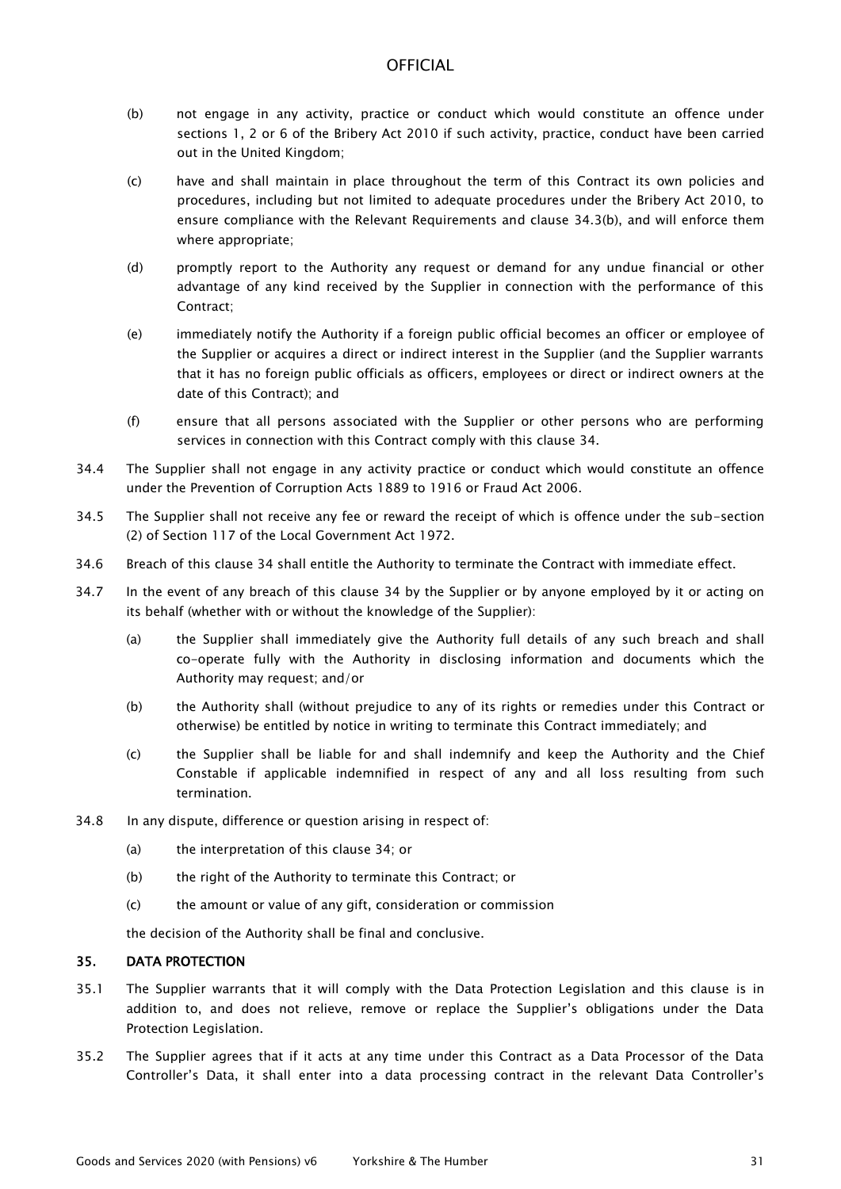- (b) not engage in any activity, practice or conduct which would constitute an offence under sections 1, 2 or 6 of the Bribery Act 2010 if such activity, practice, conduct have been carried out in the United Kingdom;
- (c) have and shall maintain in place throughout the term of this Contract its own policies and procedures, including but not limited to adequate procedures under the Bribery Act 2010, to ensure compliance with the Relevant Requirements and clause 34.3(b), and will enforce them where appropriate;
- (d) promptly report to the Authority any request or demand for any undue financial or other advantage of any kind received by the Supplier in connection with the performance of this Contract;
- (e) immediately notify the Authority if a foreign public official becomes an officer or employee of the Supplier or acquires a direct or indirect interest in the Supplier (and the Supplier warrants that it has no foreign public officials as officers, employees or direct or indirect owners at the date of this Contract); and
- (f) ensure that all persons associated with the Supplier or other persons who are performing services in connection with this Contract comply with this clause 34.
- 34.4 The Supplier shall not engage in any activity practice or conduct which would constitute an offence under the Prevention of Corruption Acts 1889 to 1916 or Fraud Act 2006.
- 34.5 The Supplier shall not receive any fee or reward the receipt of which is offence under the sub-section (2) of Section 117 of the Local Government Act 1972.
- 34.6 Breach of this clause 34 shall entitle the Authority to terminate the Contract with immediate effect.
- 34.7 In the event of any breach of this clause 34 by the Supplier or by anyone employed by it or acting on its behalf (whether with or without the knowledge of the Supplier):
	- (a) the Supplier shall immediately give the Authority full details of any such breach and shall co-operate fully with the Authority in disclosing information and documents which the Authority may request; and/or
	- (b) the Authority shall (without prejudice to any of its rights or remedies under this Contract or otherwise) be entitled by notice in writing to terminate this Contract immediately; and
	- (c) the Supplier shall be liable for and shall indemnify and keep the Authority and the Chief Constable if applicable indemnified in respect of any and all loss resulting from such termination.
- 34.8 In any dispute, difference or question arising in respect of:
	- (a) the interpretation of this clause 34; or
	- (b) the right of the Authority to terminate this Contract; or
	- (c) the amount or value of any gift, consideration or commission

the decision of the Authority shall be final and conclusive.

### 35. DATA PROTECTION

- 35.1 The Supplier warrants that it will comply with the Data Protection Legislation and this clause is in addition to, and does not relieve, remove or replace the Supplier's obligations under the Data Protection Legislation.
- 35.2 The Supplier agrees that if it acts at any time under this Contract as a Data Processor of the Data Controller's Data, it shall enter into a data processing contract in the relevant Data Controller's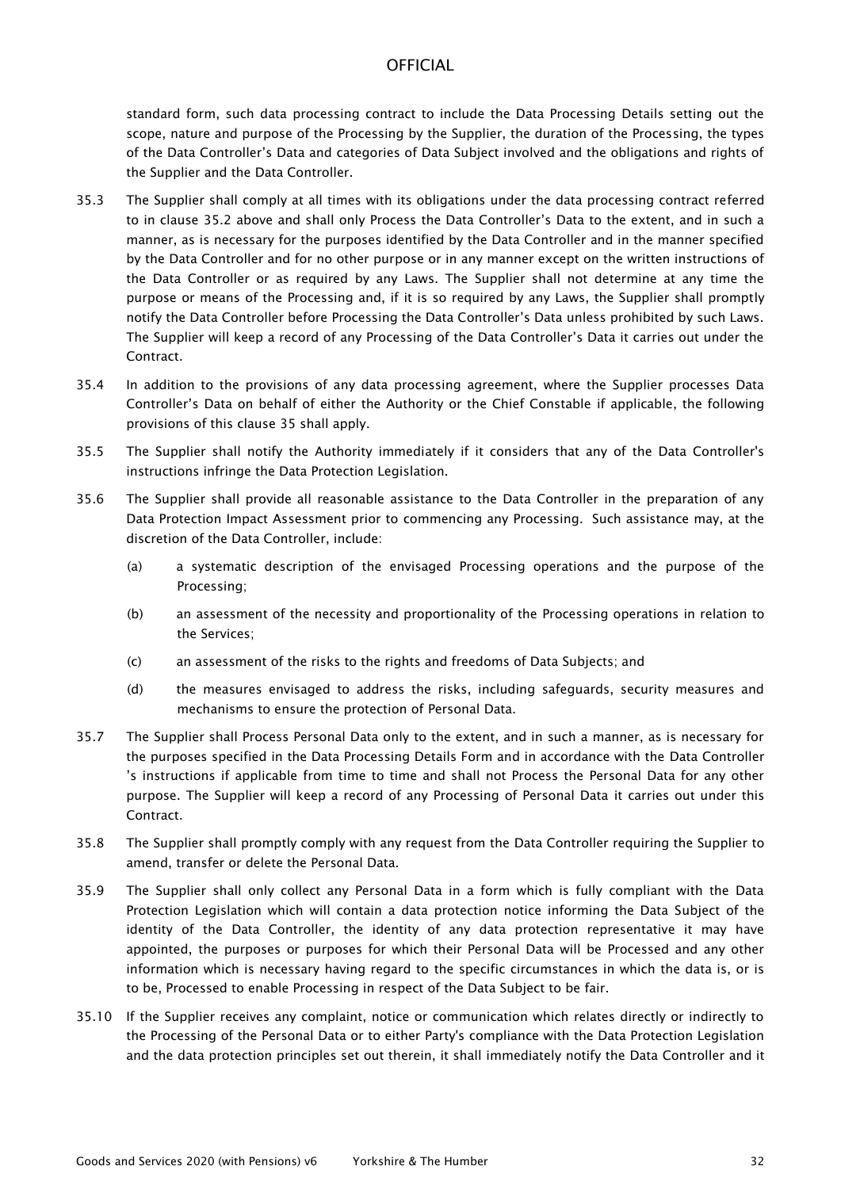standard form, such data processing contract to include the Data Processing Details setting out the scope, nature and purpose of the Processing by the Supplier, the duration of the Processing, the types of the Data Controller's Data and categories of Data Subject involved and the obligations and rights of the Supplier and the Data Controller.

- 35.3 The Supplier shall comply at all times with its obligations under the data processing contract referred to in clause 35.2 above and shall only Process the Data Controller's Data to the extent, and in such a manner, as is necessary for the purposes identified by the Data Controller and in the manner specified by the Data Controller and for no other purpose or in any manner except on the written instructions of the Data Controller or as required by any Laws. The Supplier shall not determine at any time the purpose or means of the Processing and, if it is so required by any Laws, the Supplier shall promptly notify the Data Controller before Processing the Data Controller's Data unless prohibited by such Laws. The Supplier will keep a record of any Processing of the Data Controller's Data it carries out under the Contract.
- 35.4 In addition to the provisions of any data processing agreement, where the Supplier processes Data Controller's Data on behalf of either the Authority or the Chief Constable if applicable, the following provisions of this clause 35 shall apply.
- 35.5 The Supplier shall notify the Authority immediately if it considers that any of the Data Controller's instructions infringe the Data Protection Legislation.
- 35.6 The Supplier shall provide all reasonable assistance to the Data Controller in the preparation of any Data Protection Impact Assessment prior to commencing any Processing. Such assistance may, at the discretion of the Data Controller, include:
	- (a) a systematic description of the envisaged Processing operations and the purpose of the Processing;
	- (b) an assessment of the necessity and proportionality of the Processing operations in relation to the Services;
	- (c) an assessment of the risks to the rights and freedoms of Data Subjects; and
	- (d) the measures envisaged to address the risks, including safeguards, security measures and mechanisms to ensure the protection of Personal Data.
- 35.7 The Supplier shall Process Personal Data only to the extent, and in such a manner, as is necessary for the purposes specified in the Data Processing Details Form and in accordance with the Data Controller 's instructions if applicable from time to time and shall not Process the Personal Data for any other purpose. The Supplier will keep a record of any Processing of Personal Data it carries out under this Contract.
- 35.8 The Supplier shall promptly comply with any request from the Data Controller requiring the Supplier to amend, transfer or delete the Personal Data.
- 35.9 The Supplier shall only collect any Personal Data in a form which is fully compliant with the Data Protection Legislation which will contain a data protection notice informing the Data Subject of the identity of the Data Controller, the identity of any data protection representative it may have appointed, the purposes or purposes for which their Personal Data will be Processed and any other information which is necessary having regard to the specific circumstances in which the data is, or is to be, Processed to enable Processing in respect of the Data Subject to be fair.
- 35.10 If the Supplier receives any complaint, notice or communication which relates directly or indirectly to the Processing of the Personal Data or to either Party's compliance with the Data Protection Legislation and the data protection principles set out therein, it shall immediately notify the Data Controller and it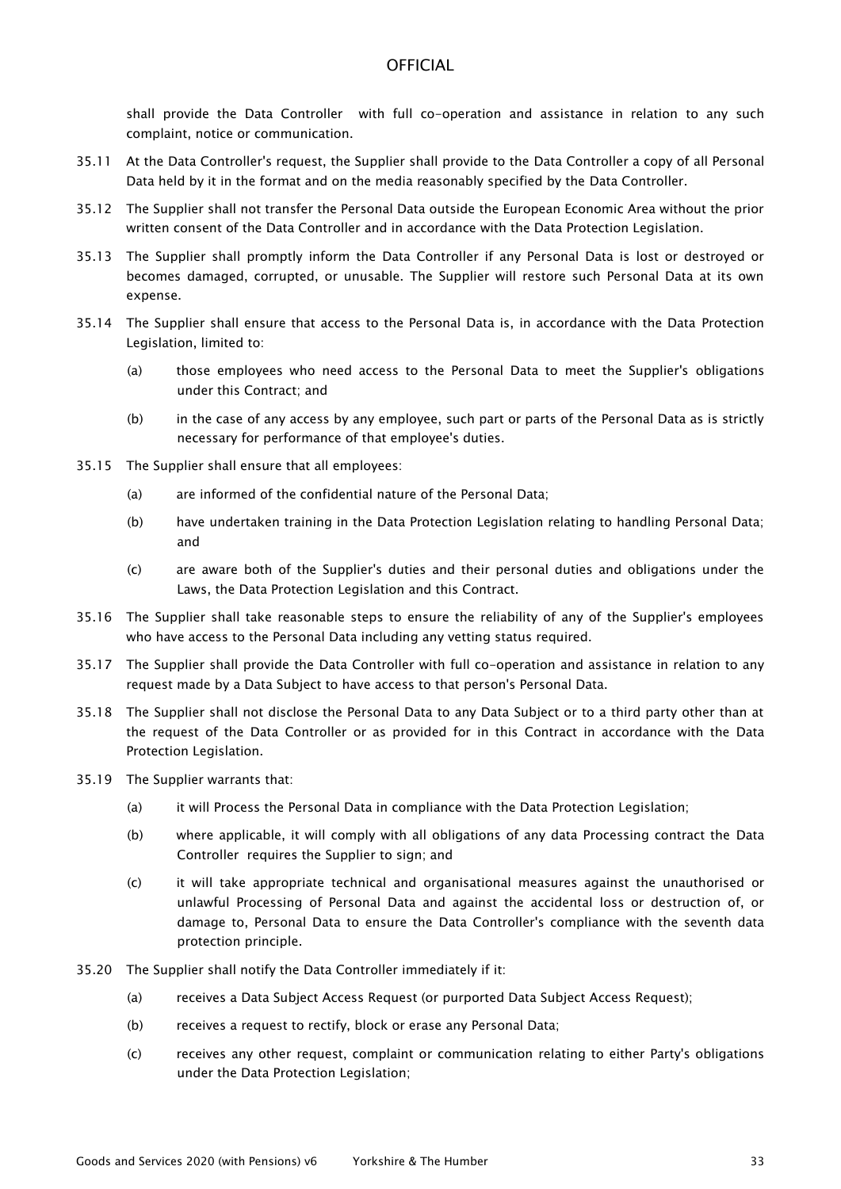shall provide the Data Controller with full co-operation and assistance in relation to any such complaint, notice or communication.

- 35.11 At the Data Controller's request, the Supplier shall provide to the Data Controller a copy of all Personal Data held by it in the format and on the media reasonably specified by the Data Controller.
- 35.12 The Supplier shall not transfer the Personal Data outside the European Economic Area without the prior written consent of the Data Controller and in accordance with the Data Protection Legislation.
- 35.13 The Supplier shall promptly inform the Data Controller if any Personal Data is lost or destroyed or becomes damaged, corrupted, or unusable. The Supplier will restore such Personal Data at its own expense.
- 35.14 The Supplier shall ensure that access to the Personal Data is, in accordance with the Data Protection Legislation, limited to:
	- (a) those employees who need access to the Personal Data to meet the Supplier's obligations under this Contract; and
	- (b) in the case of any access by any employee, such part or parts of the Personal Data as is strictly necessary for performance of that employee's duties.
- 35.15 The Supplier shall ensure that all employees:
	- (a) are informed of the confidential nature of the Personal Data;
	- (b) have undertaken training in the Data Protection Legislation relating to handling Personal Data; and
	- (c) are aware both of the Supplier's duties and their personal duties and obligations under the Laws, the Data Protection Legislation and this Contract.
- 35.16 The Supplier shall take reasonable steps to ensure the reliability of any of the Supplier's employees who have access to the Personal Data including any vetting status required.
- 35.17 The Supplier shall provide the Data Controller with full co-operation and assistance in relation to any request made by a Data Subject to have access to that person's Personal Data.
- 35.18 The Supplier shall not disclose the Personal Data to any Data Subject or to a third party other than at the request of the Data Controller or as provided for in this Contract in accordance with the Data Protection Legislation.
- 35.19 The Supplier warrants that:
	- (a) it will Process the Personal Data in compliance with the Data Protection Legislation;
	- (b) where applicable, it will comply with all obligations of any data Processing contract the Data Controller requires the Supplier to sign; and
	- (c) it will take appropriate technical and organisational measures against the unauthorised or unlawful Processing of Personal Data and against the accidental loss or destruction of, or damage to, Personal Data to ensure the Data Controller's compliance with the seventh data protection principle.
- 35.20 The Supplier shall notify the Data Controller immediately if it:
	- (a) receives a Data Subject Access Request (or purported Data Subject Access Request);
	- (b) receives a request to rectify, block or erase any Personal Data;
	- (c) receives any other request, complaint or communication relating to either Party's obligations under the Data Protection Legislation;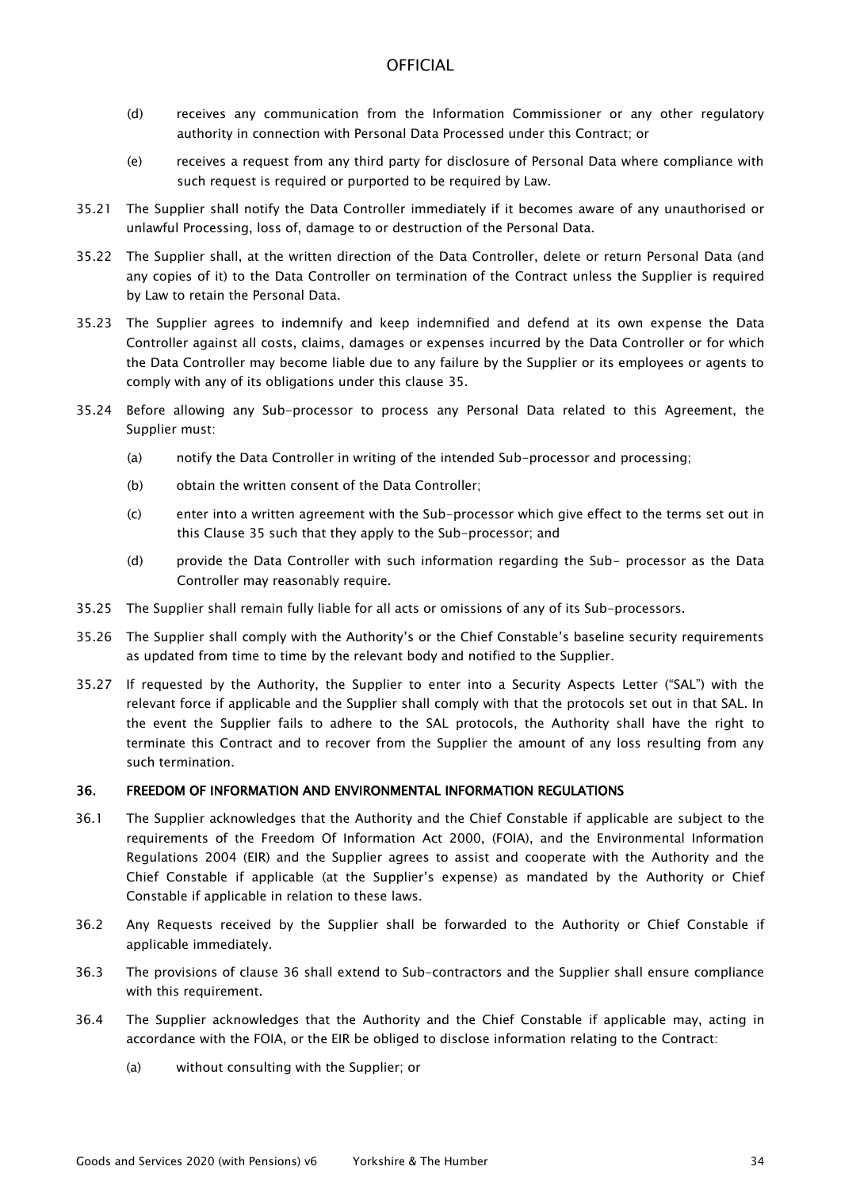- (d) receives any communication from the Information Commissioner or any other regulatory authority in connection with Personal Data Processed under this Contract; or
- (e) receives a request from any third party for disclosure of Personal Data where compliance with such request is required or purported to be required by Law.
- 35.21 The Supplier shall notify the Data Controller immediately if it becomes aware of any unauthorised or unlawful Processing, loss of, damage to or destruction of the Personal Data.
- 35.22 The Supplier shall, at the written direction of the Data Controller, delete or return Personal Data (and any copies of it) to the Data Controller on termination of the Contract unless the Supplier is required by Law to retain the Personal Data.
- 35.23 The Supplier agrees to indemnify and keep indemnified and defend at its own expense the Data Controller against all costs, claims, damages or expenses incurred by the Data Controller or for which the Data Controller may become liable due to any failure by the Supplier or its employees or agents to comply with any of its obligations under this clause 35.
- 35.24 Before allowing any Sub-processor to process any Personal Data related to this Agreement, the Supplier must:
	- (a) notify the Data Controller in writing of the intended Sub-processor and processing;
	- (b) obtain the written consent of the Data Controller;
	- (c) enter into a written agreement with the Sub-processor which give effect to the terms set out in this Clause 35 such that they apply to the Sub-processor; and
	- (d) provide the Data Controller with such information regarding the Sub- processor as the Data Controller may reasonably require.
- 35.25 The Supplier shall remain fully liable for all acts or omissions of any of its Sub-processors.
- 35.26 The Supplier shall comply with the Authority's or the Chief Constable's baseline security requirements as updated from time to time by the relevant body and notified to the Supplier.
- 35.27 If requested by the Authority, the Supplier to enter into a Security Aspects Letter ("SAL") with the relevant force if applicable and the Supplier shall comply with that the protocols set out in that SAL. In the event the Supplier fails to adhere to the SAL protocols, the Authority shall have the right to terminate this Contract and to recover from the Supplier the amount of any loss resulting from any such termination.

### 36. FREEDOM OF INFORMATION AND ENVIRONMENTAL INFORMATION REGULATIONS

- 36.1 The Supplier acknowledges that the Authority and the Chief Constable if applicable are subject to the requirements of the Freedom Of Information Act 2000, (FOIA), and the Environmental Information Regulations 2004 (EIR) and the Supplier agrees to assist and cooperate with the Authority and the Chief Constable if applicable (at the Supplier's expense) as mandated by the Authority or Chief Constable if applicable in relation to these laws.
- 36.2 Any Requests received by the Supplier shall be forwarded to the Authority or Chief Constable if applicable immediately.
- 36.3 The provisions of clause 36 shall extend to Sub-contractors and the Supplier shall ensure compliance with this requirement.
- 36.4 The Supplier acknowledges that the Authority and the Chief Constable if applicable may, acting in accordance with the FOIA, or the EIR be obliged to disclose information relating to the Contract:
	- (a) without consulting with the Supplier; or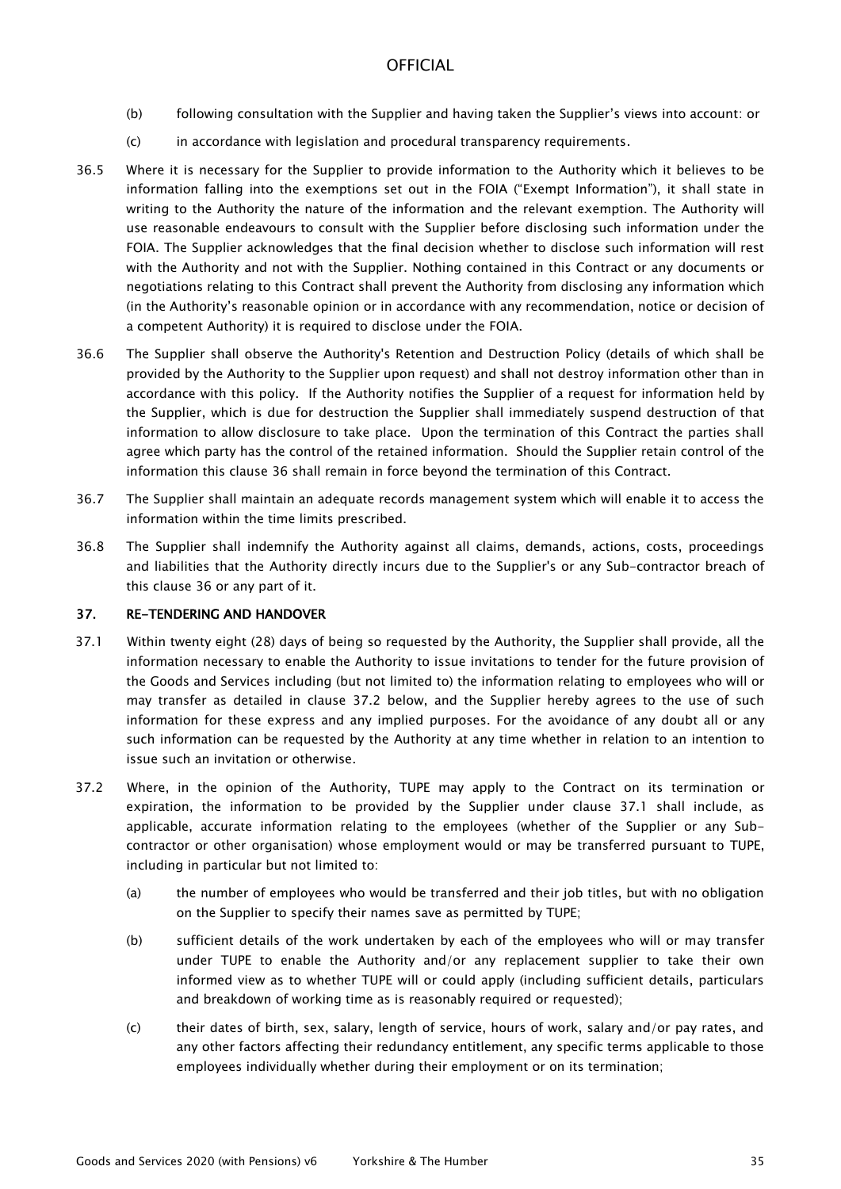- (b) following consultation with the Supplier and having taken the Supplier's views into account: or
- (c) in accordance with legislation and procedural transparency requirements.
- 36.5 Where it is necessary for the Supplier to provide information to the Authority which it believes to be information falling into the exemptions set out in the FOIA ("Exempt Information"), it shall state in writing to the Authority the nature of the information and the relevant exemption. The Authority will use reasonable endeavours to consult with the Supplier before disclosing such information under the FOIA. The Supplier acknowledges that the final decision whether to disclose such information will rest with the Authority and not with the Supplier. Nothing contained in this Contract or any documents or negotiations relating to this Contract shall prevent the Authority from disclosing any information which (in the Authority's reasonable opinion or in accordance with any recommendation, notice or decision of a competent Authority) it is required to disclose under the FOIA.
- 36.6 The Supplier shall observe the Authority's Retention and Destruction Policy (details of which shall be provided by the Authority to the Supplier upon request) and shall not destroy information other than in accordance with this policy. If the Authority notifies the Supplier of a request for information held by the Supplier, which is due for destruction the Supplier shall immediately suspend destruction of that information to allow disclosure to take place. Upon the termination of this Contract the parties shall agree which party has the control of the retained information. Should the Supplier retain control of the information this clause 36 shall remain in force beyond the termination of this Contract.
- 36.7 The Supplier shall maintain an adequate records management system which will enable it to access the information within the time limits prescribed.
- 36.8 The Supplier shall indemnify the Authority against all claims, demands, actions, costs, proceedings and liabilities that the Authority directly incurs due to the Supplier's or any Sub-contractor breach of this clause 36 or any part of it.

#### 37. RE-TENDERING AND HANDOVER

- 37.1 Within twenty eight (28) days of being so requested by the Authority, the Supplier shall provide, all the information necessary to enable the Authority to issue invitations to tender for the future provision of the Goods and Services including (but not limited to) the information relating to employees who will or may transfer as detailed in clause 37.2 below, and the Supplier hereby agrees to the use of such information for these express and any implied purposes. For the avoidance of any doubt all or any such information can be requested by the Authority at any time whether in relation to an intention to issue such an invitation or otherwise.
- 37.2 Where, in the opinion of the Authority, TUPE may apply to the Contract on its termination or expiration, the information to be provided by the Supplier under clause 37.1 shall include, as applicable, accurate information relating to the employees (whether of the Supplier or any Subcontractor or other organisation) whose employment would or may be transferred pursuant to TUPE, including in particular but not limited to:
	- (a) the number of employees who would be transferred and their job titles, but with no obligation on the Supplier to specify their names save as permitted by TUPE;
	- (b) sufficient details of the work undertaken by each of the employees who will or may transfer under TUPE to enable the Authority and/or any replacement supplier to take their own informed view as to whether TUPE will or could apply (including sufficient details, particulars and breakdown of working time as is reasonably required or requested);
	- (c) their dates of birth, sex, salary, length of service, hours of work, salary and/or pay rates, and any other factors affecting their redundancy entitlement, any specific terms applicable to those employees individually whether during their employment or on its termination;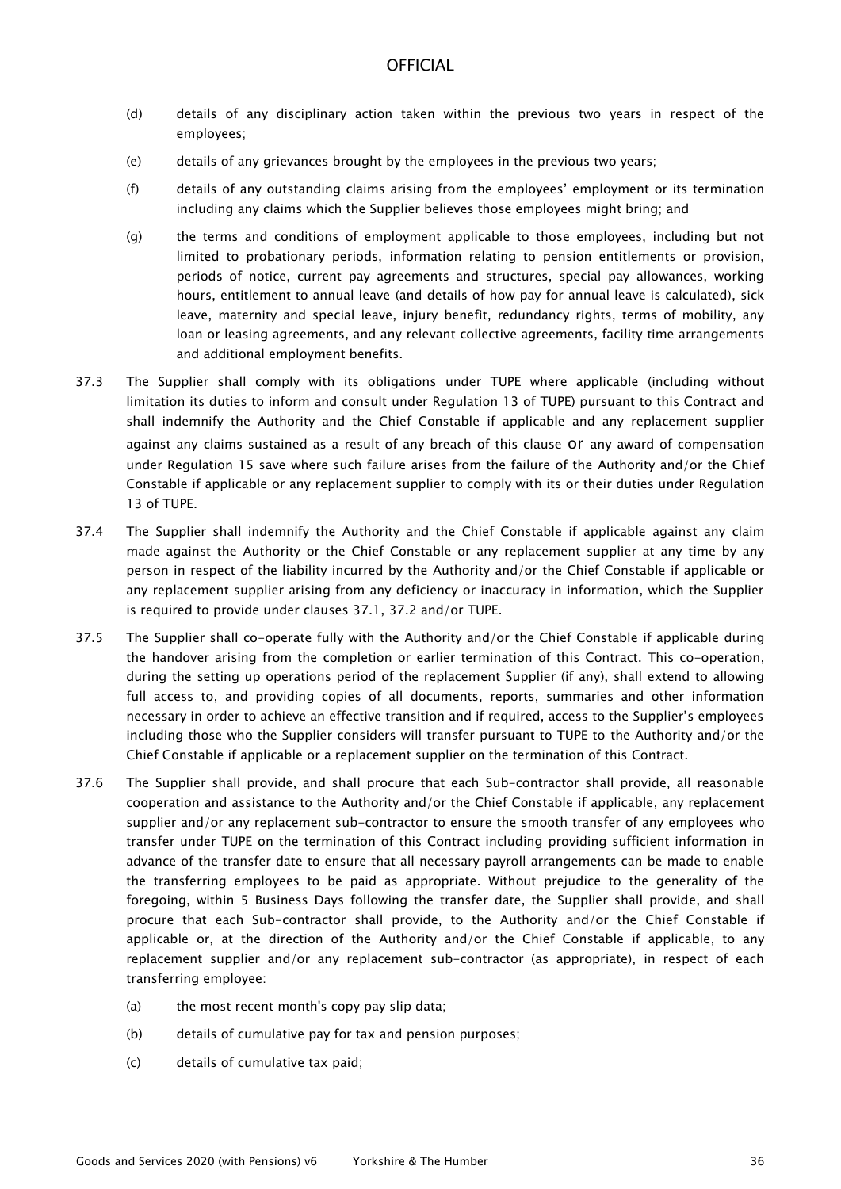- (d) details of any disciplinary action taken within the previous two years in respect of the employees;
- (e) details of any grievances brought by the employees in the previous two years;
- (f) details of any outstanding claims arising from the employees' employment or its termination including any claims which the Supplier believes those employees might bring; and
- (g) the terms and conditions of employment applicable to those employees, including but not limited to probationary periods, information relating to pension entitlements or provision, periods of notice, current pay agreements and structures, special pay allowances, working hours, entitlement to annual leave (and details of how pay for annual leave is calculated), sick leave, maternity and special leave, injury benefit, redundancy rights, terms of mobility, any loan or leasing agreements, and any relevant collective agreements, facility time arrangements and additional employment benefits.
- 37.3 The Supplier shall comply with its obligations under TUPE where applicable (including without limitation its duties to inform and consult under Regulation 13 of TUPE) pursuant to this Contract and shall indemnify the Authority and the Chief Constable if applicable and any replacement supplier against any claims sustained as a result of any breach of this clause or any award of compensation under Regulation 15 save where such failure arises from the failure of the Authority and/or the Chief Constable if applicable or any replacement supplier to comply with its or their duties under Regulation 13 of TUPE.
- 37.4 The Supplier shall indemnify the Authority and the Chief Constable if applicable against any claim made against the Authority or the Chief Constable or any replacement supplier at any time by any person in respect of the liability incurred by the Authority and/or the Chief Constable if applicable or any replacement supplier arising from any deficiency or inaccuracy in information, which the Supplier is required to provide under clauses 37.1, 37.2 and/or TUPE.
- 37.5 The Supplier shall co-operate fully with the Authority and/or the Chief Constable if applicable during the handover arising from the completion or earlier termination of this Contract. This co-operation, during the setting up operations period of the replacement Supplier (if any), shall extend to allowing full access to, and providing copies of all documents, reports, summaries and other information necessary in order to achieve an effective transition and if required, access to the Supplier's employees including those who the Supplier considers will transfer pursuant to TUPE to the Authority and/or the Chief Constable if applicable or a replacement supplier on the termination of this Contract.
- 37.6 The Supplier shall provide, and shall procure that each Sub-contractor shall provide, all reasonable cooperation and assistance to the Authority and/or the Chief Constable if applicable, any replacement supplier and/or any replacement sub-contractor to ensure the smooth transfer of any employees who transfer under TUPE on the termination of this Contract including providing sufficient information in advance of the transfer date to ensure that all necessary payroll arrangements can be made to enable the transferring employees to be paid as appropriate. Without prejudice to the generality of the foregoing, within 5 Business Days following the transfer date, the Supplier shall provide, and shall procure that each Sub-contractor shall provide, to the Authority and/or the Chief Constable if applicable or, at the direction of the Authority and/or the Chief Constable if applicable, to any replacement supplier and/or any replacement sub-contractor (as appropriate), in respect of each transferring employee:
	- (a) the most recent month's copy pay slip data;
	- (b) details of cumulative pay for tax and pension purposes;
	- (c) details of cumulative tax paid;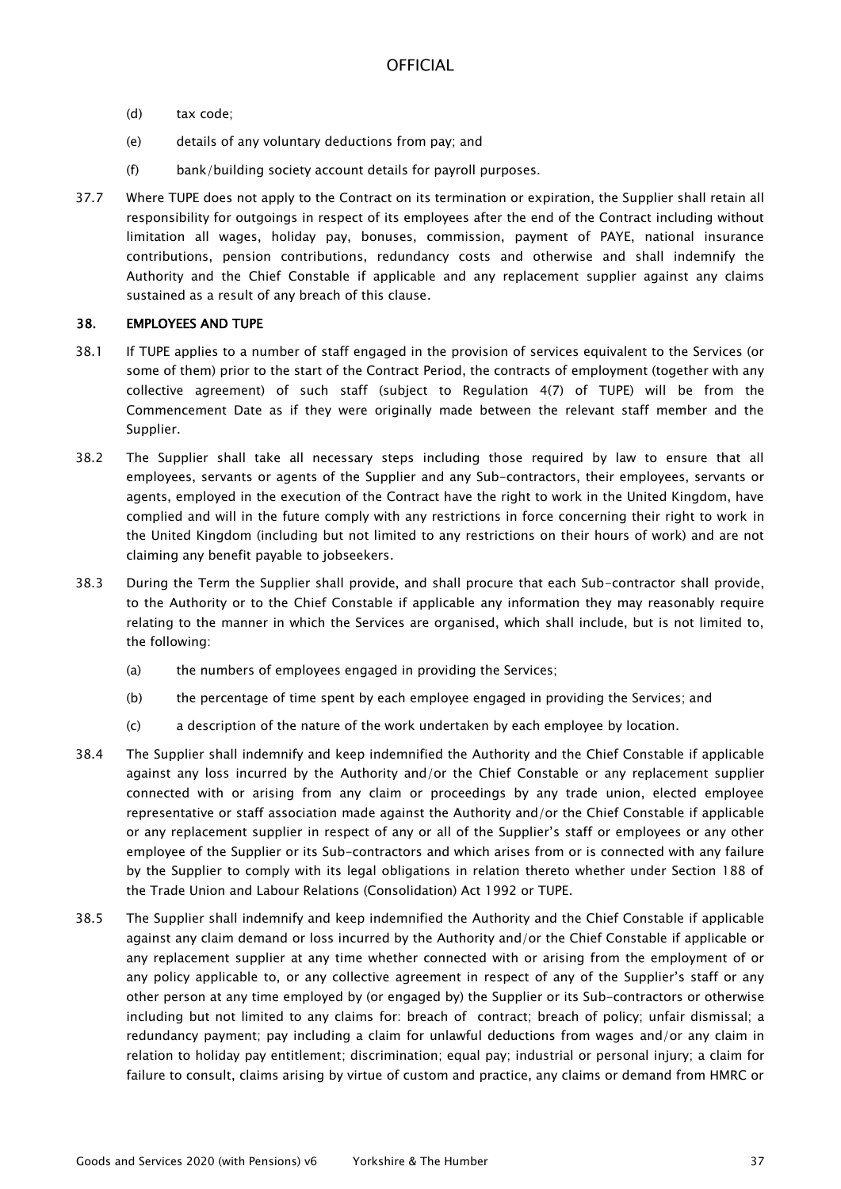- (d) tax code;
- (e) details of any voluntary deductions from pay; and
- (f) bank/building society account details for payroll purposes.
- 37.7 Where TUPE does not apply to the Contract on its termination or expiration, the Supplier shall retain all responsibility for outgoings in respect of its employees after the end of the Contract including without limitation all wages, holiday pay, bonuses, commission, payment of PAYE, national insurance contributions, pension contributions, redundancy costs and otherwise and shall indemnify the Authority and the Chief Constable if applicable and any replacement supplier against any claims sustained as a result of any breach of this clause.

## 38. EMPLOYEES AND TUPE

- 38.1 If TUPE applies to a number of staff engaged in the provision of services equivalent to the Services (or some of them) prior to the start of the Contract Period, the contracts of employment (together with any collective agreement) of such staff (subject to Regulation 4(7) of TUPE) will be from the Commencement Date as if they were originally made between the relevant staff member and the Supplier.
- 38.2 The Supplier shall take all necessary steps including those required by law to ensure that all employees, servants or agents of the Supplier and any Sub-contractors, their employees, servants or agents, employed in the execution of the Contract have the right to work in the United Kingdom, have complied and will in the future comply with any restrictions in force concerning their right to work in the United Kingdom (including but not limited to any restrictions on their hours of work) and are not claiming any benefit payable to jobseekers.
- 38.3 During the Term the Supplier shall provide, and shall procure that each Sub-contractor shall provide, to the Authority or to the Chief Constable if applicable any information they may reasonably require relating to the manner in which the Services are organised, which shall include, but is not limited to, the following:
	- (a) the numbers of employees engaged in providing the Services;
	- (b) the percentage of time spent by each employee engaged in providing the Services; and
	- (c) a description of the nature of the work undertaken by each employee by location.
- 38.4 The Supplier shall indemnify and keep indemnified the Authority and the Chief Constable if applicable against any loss incurred by the Authority and/or the Chief Constable or any replacement supplier connected with or arising from any claim or proceedings by any trade union, elected employee representative or staff association made against the Authority and/or the Chief Constable if applicable or any replacement supplier in respect of any or all of the Supplier's staff or employees or any other employee of the Supplier or its Sub-contractors and which arises from or is connected with any failure by the Supplier to comply with its legal obligations in relation thereto whether under Section 188 of the Trade Union and Labour Relations (Consolidation) Act 1992 or TUPE.
- 38.5 The Supplier shall indemnify and keep indemnified the Authority and the Chief Constable if applicable against any claim demand or loss incurred by the Authority and/or the Chief Constable if applicable or any replacement supplier at any time whether connected with or arising from the employment of or any policy applicable to, or any collective agreement in respect of any of the Supplier's staff or any other person at any time employed by (or engaged by) the Supplier or its Sub-contractors or otherwise including but not limited to any claims for: breach of contract; breach of policy; unfair dismissal; a redundancy payment; pay including a claim for unlawful deductions from wages and/or any claim in relation to holiday pay entitlement; discrimination; equal pay; industrial or personal injury; a claim for failure to consult, claims arising by virtue of custom and practice, any claims or demand from HMRC or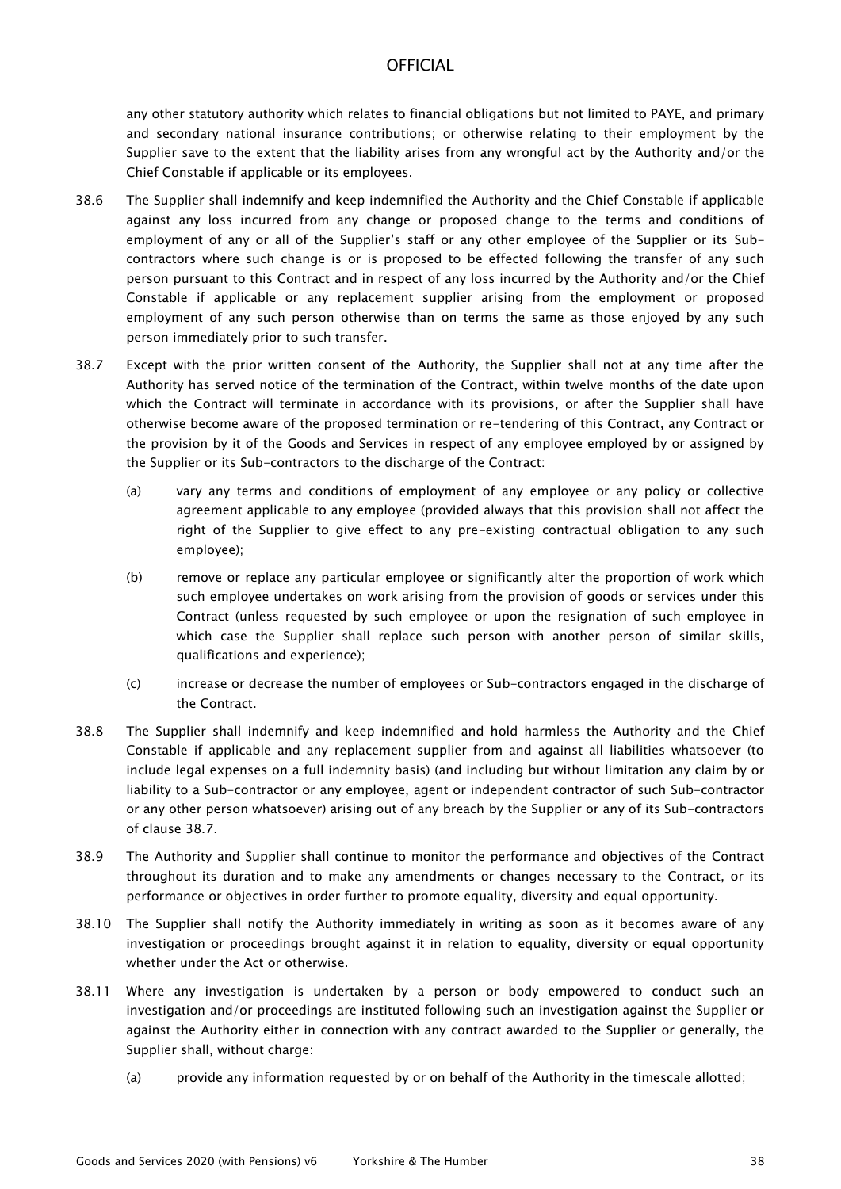any other statutory authority which relates to financial obligations but not limited to PAYE, and primary and secondary national insurance contributions; or otherwise relating to their employment by the Supplier save to the extent that the liability arises from any wrongful act by the Authority and/or the Chief Constable if applicable or its employees.

- 38.6 The Supplier shall indemnify and keep indemnified the Authority and the Chief Constable if applicable against any loss incurred from any change or proposed change to the terms and conditions of employment of any or all of the Supplier's staff or any other employee of the Supplier or its Subcontractors where such change is or is proposed to be effected following the transfer of any such person pursuant to this Contract and in respect of any loss incurred by the Authority and/or the Chief Constable if applicable or any replacement supplier arising from the employment or proposed employment of any such person otherwise than on terms the same as those enjoyed by any such person immediately prior to such transfer.
- 38.7 Except with the prior written consent of the Authority, the Supplier shall not at any time after the Authority has served notice of the termination of the Contract, within twelve months of the date upon which the Contract will terminate in accordance with its provisions, or after the Supplier shall have otherwise become aware of the proposed termination or re-tendering of this Contract, any Contract or the provision by it of the Goods and Services in respect of any employee employed by or assigned by the Supplier or its Sub-contractors to the discharge of the Contract:
	- (a) vary any terms and conditions of employment of any employee or any policy or collective agreement applicable to any employee (provided always that this provision shall not affect the right of the Supplier to give effect to any pre-existing contractual obligation to any such employee);
	- (b) remove or replace any particular employee or significantly alter the proportion of work which such employee undertakes on work arising from the provision of goods or services under this Contract (unless requested by such employee or upon the resignation of such employee in which case the Supplier shall replace such person with another person of similar skills, qualifications and experience);
	- (c) increase or decrease the number of employees or Sub-contractors engaged in the discharge of the Contract.
- 38.8 The Supplier shall indemnify and keep indemnified and hold harmless the Authority and the Chief Constable if applicable and any replacement supplier from and against all liabilities whatsoever (to include legal expenses on a full indemnity basis) (and including but without limitation any claim by or liability to a Sub-contractor or any employee, agent or independent contractor of such Sub-contractor or any other person whatsoever) arising out of any breach by the Supplier or any of its Sub-contractors of clause 38.7.
- 38.9 The Authority and Supplier shall continue to monitor the performance and objectives of the Contract throughout its duration and to make any amendments or changes necessary to the Contract, or its performance or objectives in order further to promote equality, diversity and equal opportunity.
- 38.10 The Supplier shall notify the Authority immediately in writing as soon as it becomes aware of any investigation or proceedings brought against it in relation to equality, diversity or equal opportunity whether under the Act or otherwise.
- 38.11 Where any investigation is undertaken by a person or body empowered to conduct such an investigation and/or proceedings are instituted following such an investigation against the Supplier or against the Authority either in connection with any contract awarded to the Supplier or generally, the Supplier shall, without charge:
	- (a) provide any information requested by or on behalf of the Authority in the timescale allotted;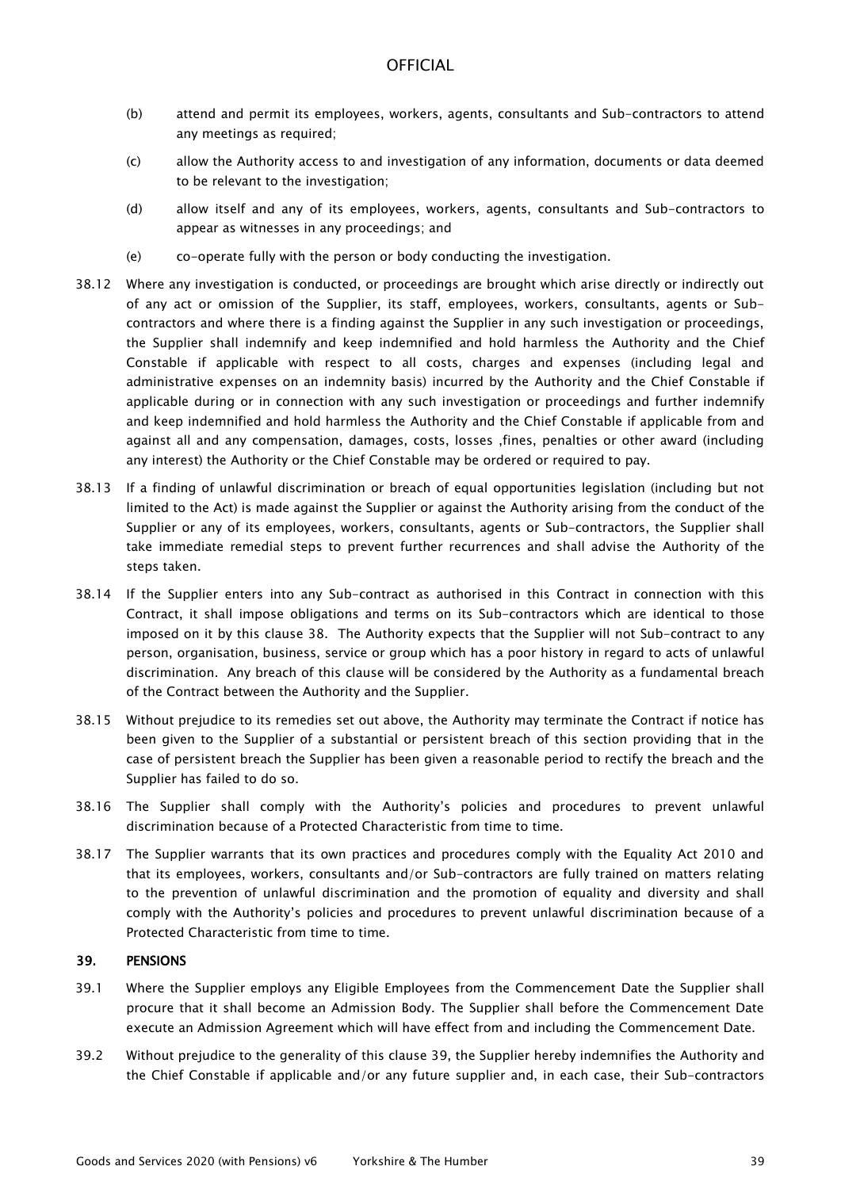- (b) attend and permit its employees, workers, agents, consultants and Sub-contractors to attend any meetings as required;
- (c) allow the Authority access to and investigation of any information, documents or data deemed to be relevant to the investigation;
- (d) allow itself and any of its employees, workers, agents, consultants and Sub-contractors to appear as witnesses in any proceedings; and
- (e) co-operate fully with the person or body conducting the investigation.
- 38.12 Where any investigation is conducted, or proceedings are brought which arise directly or indirectly out of any act or omission of the Supplier, its staff, employees, workers, consultants, agents or Subcontractors and where there is a finding against the Supplier in any such investigation or proceedings, the Supplier shall indemnify and keep indemnified and hold harmless the Authority and the Chief Constable if applicable with respect to all costs, charges and expenses (including legal and administrative expenses on an indemnity basis) incurred by the Authority and the Chief Constable if applicable during or in connection with any such investigation or proceedings and further indemnify and keep indemnified and hold harmless the Authority and the Chief Constable if applicable from and against all and any compensation, damages, costs, losses ,fines, penalties or other award (including any interest) the Authority or the Chief Constable may be ordered or required to pay.
- 38.13 If a finding of unlawful discrimination or breach of equal opportunities legislation (including but not limited to the Act) is made against the Supplier or against the Authority arising from the conduct of the Supplier or any of its employees, workers, consultants, agents or Sub-contractors, the Supplier shall take immediate remedial steps to prevent further recurrences and shall advise the Authority of the steps taken.
- 38.14 If the Supplier enters into any Sub-contract as authorised in this Contract in connection with this Contract, it shall impose obligations and terms on its Sub-contractors which are identical to those imposed on it by this clause 38. The Authority expects that the Supplier will not Sub-contract to any person, organisation, business, service or group which has a poor history in regard to acts of unlawful discrimination. Any breach of this clause will be considered by the Authority as a fundamental breach of the Contract between the Authority and the Supplier.
- 38.15 Without prejudice to its remedies set out above, the Authority may terminate the Contract if notice has been given to the Supplier of a substantial or persistent breach of this section providing that in the case of persistent breach the Supplier has been given a reasonable period to rectify the breach and the Supplier has failed to do so.
- 38.16 The Supplier shall comply with the Authority's policies and procedures to prevent unlawful discrimination because of a Protected Characteristic from time to time.
- 38.17 The Supplier warrants that its own practices and procedures comply with the Equality Act 2010 and that its employees, workers, consultants and/or Sub-contractors are fully trained on matters relating to the prevention of unlawful discrimination and the promotion of equality and diversity and shall comply with the Authority's policies and procedures to prevent unlawful discrimination because of a Protected Characteristic from time to time.

#### 39. PENSIONS

- 39.1 Where the Supplier employs any Eligible Employees from the Commencement Date the Supplier shall procure that it shall become an Admission Body. The Supplier shall before the Commencement Date execute an Admission Agreement which will have effect from and including the Commencement Date.
- 39.2 Without prejudice to the generality of this clause 39, the Supplier hereby indemnifies the Authority and the Chief Constable if applicable and/or any future supplier and, in each case, their Sub-contractors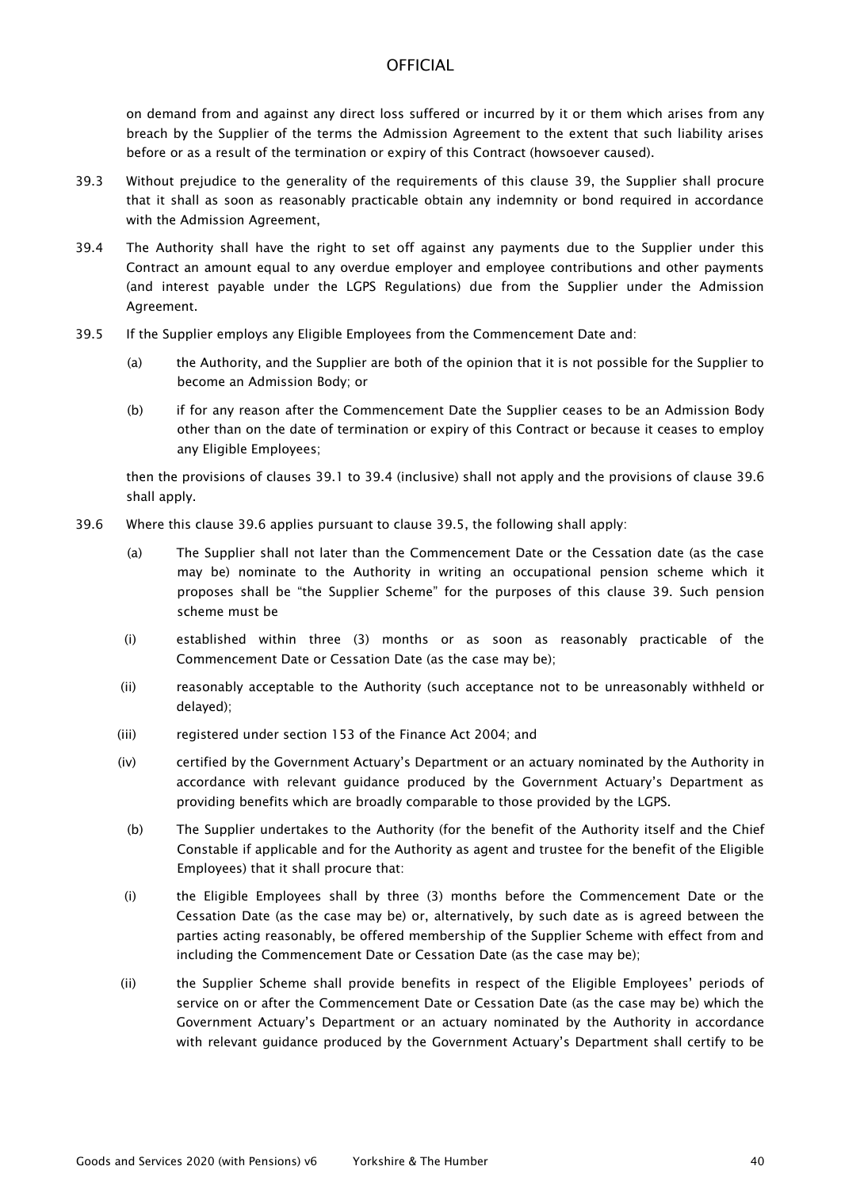on demand from and against any direct loss suffered or incurred by it or them which arises from any breach by the Supplier of the terms the Admission Agreement to the extent that such liability arises before or as a result of the termination or expiry of this Contract (howsoever caused).

- 39.3 Without prejudice to the generality of the requirements of this clause 39, the Supplier shall procure that it shall as soon as reasonably practicable obtain any indemnity or bond required in accordance with the Admission Agreement,
- 39.4 The Authority shall have the right to set off against any payments due to the Supplier under this Contract an amount equal to any overdue employer and employee contributions and other payments (and interest payable under the LGPS Regulations) due from the Supplier under the Admission Agreement.
- 39.5 If the Supplier employs any Eligible Employees from the Commencement Date and:
	- (a) the Authority, and the Supplier are both of the opinion that it is not possible for the Supplier to become an Admission Body; or
	- (b) if for any reason after the Commencement Date the Supplier ceases to be an Admission Body other than on the date of termination or expiry of this Contract or because it ceases to employ any Eligible Employees;

then the provisions of clauses 39.1 to 39.4 (inclusive) shall not apply and the provisions of clause 39.6 shall apply.

- 39.6 Where this clause 39.6 applies pursuant to clause 39.5, the following shall apply:
	- (a) The Supplier shall not later than the Commencement Date or the Cessation date (as the case may be) nominate to the Authority in writing an occupational pension scheme which it proposes shall be "the Supplier Scheme" for the purposes of this clause 39. Such pension scheme must be
	- (i) established within three (3) months or as soon as reasonably practicable of the Commencement Date or Cessation Date (as the case may be);
	- (ii) reasonably acceptable to the Authority (such acceptance not to be unreasonably withheld or delayed);
	- (iii) registered under section 153 of the Finance Act 2004; and
	- (iv) certified by the Government Actuary's Department or an actuary nominated by the Authority in accordance with relevant guidance produced by the Government Actuary's Department as providing benefits which are broadly comparable to those provided by the LGPS.
	- (b) The Supplier undertakes to the Authority (for the benefit of the Authority itself and the Chief Constable if applicable and for the Authority as agent and trustee for the benefit of the Eligible Employees) that it shall procure that:
	- (i) the Eligible Employees shall by three (3) months before the Commencement Date or the Cessation Date (as the case may be) or, alternatively, by such date as is agreed between the parties acting reasonably, be offered membership of the Supplier Scheme with effect from and including the Commencement Date or Cessation Date (as the case may be);
	- (ii) the Supplier Scheme shall provide benefits in respect of the Eligible Employees' periods of service on or after the Commencement Date or Cessation Date (as the case may be) which the Government Actuary's Department or an actuary nominated by the Authority in accordance with relevant guidance produced by the Government Actuary's Department shall certify to be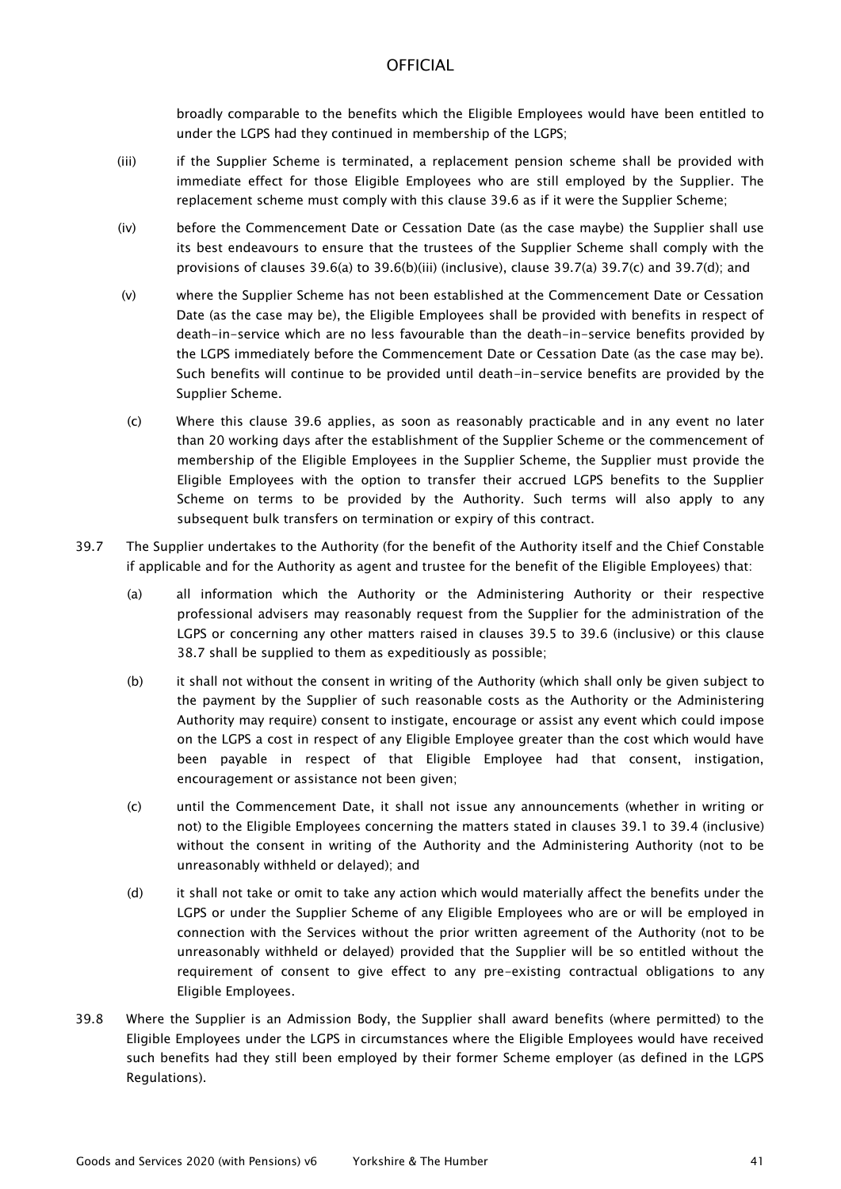broadly comparable to the benefits which the Eligible Employees would have been entitled to under the LGPS had they continued in membership of the LGPS;

- (iii) if the Supplier Scheme is terminated, a replacement pension scheme shall be provided with immediate effect for those Eligible Employees who are still employed by the Supplier. The replacement scheme must comply with this clause 39.6 as if it were the Supplier Scheme;
- (iv) before the Commencement Date or Cessation Date (as the case maybe) the Supplier shall use its best endeavours to ensure that the trustees of the Supplier Scheme shall comply with the provisions of clauses 39.6(a) to 39.6(b)(iii) (inclusive), clause 39.7(a) 39.7(c) and 39.7(d); and
- (v) where the Supplier Scheme has not been established at the Commencement Date or Cessation Date (as the case may be), the Eligible Employees shall be provided with benefits in respect of death-in-service which are no less favourable than the death-in-service benefits provided by the LGPS immediately before the Commencement Date or Cessation Date (as the case may be). Such benefits will continue to be provided until death-in-service benefits are provided by the Supplier Scheme.
- (c) Where this clause 39.6 applies, as soon as reasonably practicable and in any event no later than 20 working days after the establishment of the Supplier Scheme or the commencement of membership of the Eligible Employees in the Supplier Scheme, the Supplier must provide the Eligible Employees with the option to transfer their accrued LGPS benefits to the Supplier Scheme on terms to be provided by the Authority. Such terms will also apply to any subsequent bulk transfers on termination or expiry of this contract.
- 39.7 The Supplier undertakes to the Authority (for the benefit of the Authority itself and the Chief Constable if applicable and for the Authority as agent and trustee for the benefit of the Eligible Employees) that:
	- (a) all information which the Authority or the Administering Authority or their respective professional advisers may reasonably request from the Supplier for the administration of the LGPS or concerning any other matters raised in clauses 39.5 to 39.6 (inclusive) or this clause 38.7 shall be supplied to them as expeditiously as possible;
	- (b) it shall not without the consent in writing of the Authority (which shall only be given subject to the payment by the Supplier of such reasonable costs as the Authority or the Administering Authority may require) consent to instigate, encourage or assist any event which could impose on the LGPS a cost in respect of any Eligible Employee greater than the cost which would have been payable in respect of that Eligible Employee had that consent, instigation, encouragement or assistance not been given;
	- (c) until the Commencement Date, it shall not issue any announcements (whether in writing or not) to the Eligible Employees concerning the matters stated in clauses 39.1 to 39.4 (inclusive) without the consent in writing of the Authority and the Administering Authority (not to be unreasonably withheld or delayed); and
	- (d) it shall not take or omit to take any action which would materially affect the benefits under the LGPS or under the Supplier Scheme of any Eligible Employees who are or will be employed in connection with the Services without the prior written agreement of the Authority (not to be unreasonably withheld or delayed) provided that the Supplier will be so entitled without the requirement of consent to give effect to any pre-existing contractual obligations to any Eligible Employees.
- 39.8 Where the Supplier is an Admission Body, the Supplier shall award benefits (where permitted) to the Eligible Employees under the LGPS in circumstances where the Eligible Employees would have received such benefits had they still been employed by their former Scheme employer (as defined in the LGPS Regulations).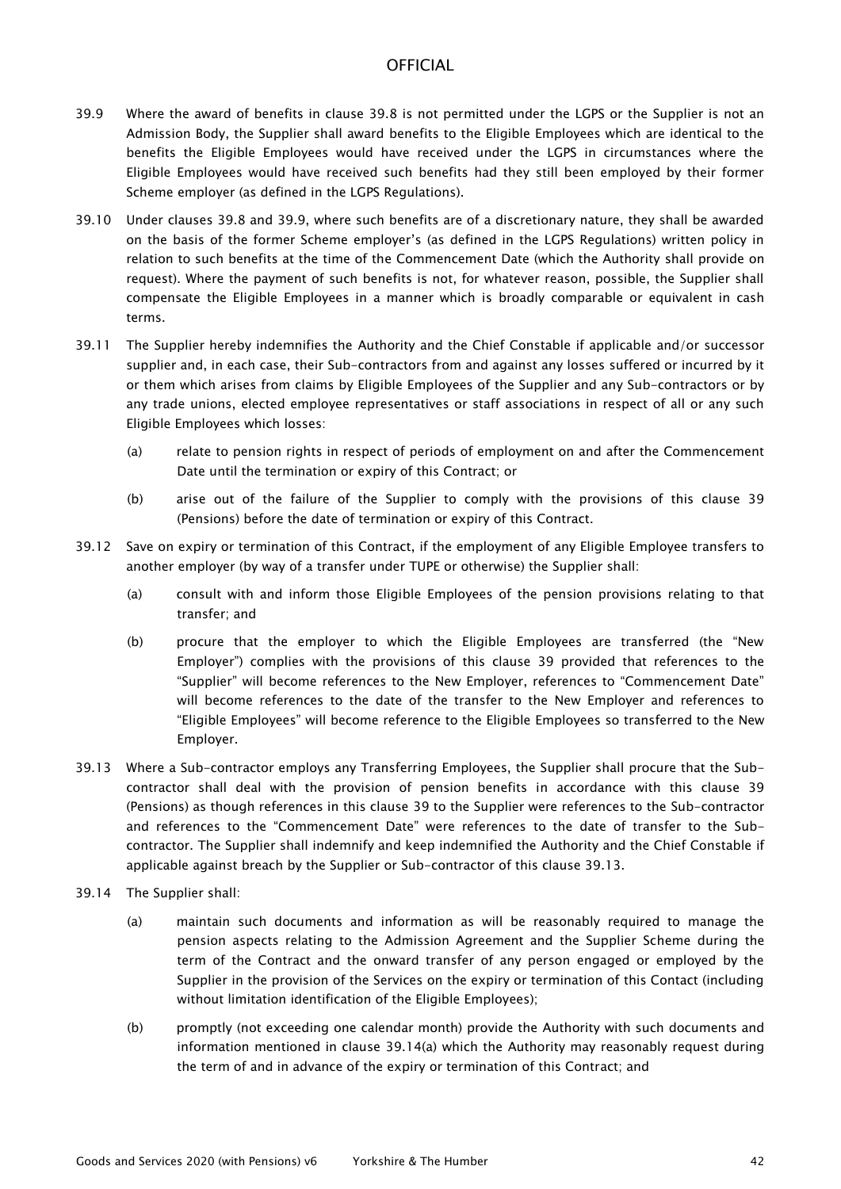- 39.9 Where the award of benefits in clause 39.8 is not permitted under the LGPS or the Supplier is not an Admission Body, the Supplier shall award benefits to the Eligible Employees which are identical to the benefits the Eligible Employees would have received under the LGPS in circumstances where the Eligible Employees would have received such benefits had they still been employed by their former Scheme employer (as defined in the LGPS Regulations).
- 39.10 Under clauses 39.8 and 39.9, where such benefits are of a discretionary nature, they shall be awarded on the basis of the former Scheme employer's (as defined in the LGPS Regulations) written policy in relation to such benefits at the time of the Commencement Date (which the Authority shall provide on request). Where the payment of such benefits is not, for whatever reason, possible, the Supplier shall compensate the Eligible Employees in a manner which is broadly comparable or equivalent in cash terms.
- 39.11 The Supplier hereby indemnifies the Authority and the Chief Constable if applicable and/or successor supplier and, in each case, their Sub-contractors from and against any losses suffered or incurred by it or them which arises from claims by Eligible Employees of the Supplier and any Sub-contractors or by any trade unions, elected employee representatives or staff associations in respect of all or any such Eligible Employees which losses:
	- (a) relate to pension rights in respect of periods of employment on and after the Commencement Date until the termination or expiry of this Contract; or
	- (b) arise out of the failure of the Supplier to comply with the provisions of this clause 39 (Pensions) before the date of termination or expiry of this Contract.
- 39.12 Save on expiry or termination of this Contract, if the employment of any Eligible Employee transfers to another employer (by way of a transfer under TUPE or otherwise) the Supplier shall:
	- (a) consult with and inform those Eligible Employees of the pension provisions relating to that transfer; and
	- (b) procure that the employer to which the Eligible Employees are transferred (the "New Employer") complies with the provisions of this clause 39 provided that references to the "Supplier" will become references to the New Employer, references to "Commencement Date" will become references to the date of the transfer to the New Employer and references to "Eligible Employees" will become reference to the Eligible Employees so transferred to the New Employer.
- 39.13 Where a Sub-contractor employs any Transferring Employees, the Supplier shall procure that the Subcontractor shall deal with the provision of pension benefits in accordance with this clause 39 (Pensions) as though references in this clause 39 to the Supplier were references to the Sub-contractor and references to the "Commencement Date" were references to the date of transfer to the Subcontractor. The Supplier shall indemnify and keep indemnified the Authority and the Chief Constable if applicable against breach by the Supplier or Sub-contractor of this clause 39.13.
- 39.14 The Supplier shall:
	- (a) maintain such documents and information as will be reasonably required to manage the pension aspects relating to the Admission Agreement and the Supplier Scheme during the term of the Contract and the onward transfer of any person engaged or employed by the Supplier in the provision of the Services on the expiry or termination of this Contact (including without limitation identification of the Eligible Employees);
	- (b) promptly (not exceeding one calendar month) provide the Authority with such documents and information mentioned in clause 39.14(a) which the Authority may reasonably request during the term of and in advance of the expiry or termination of this Contract; and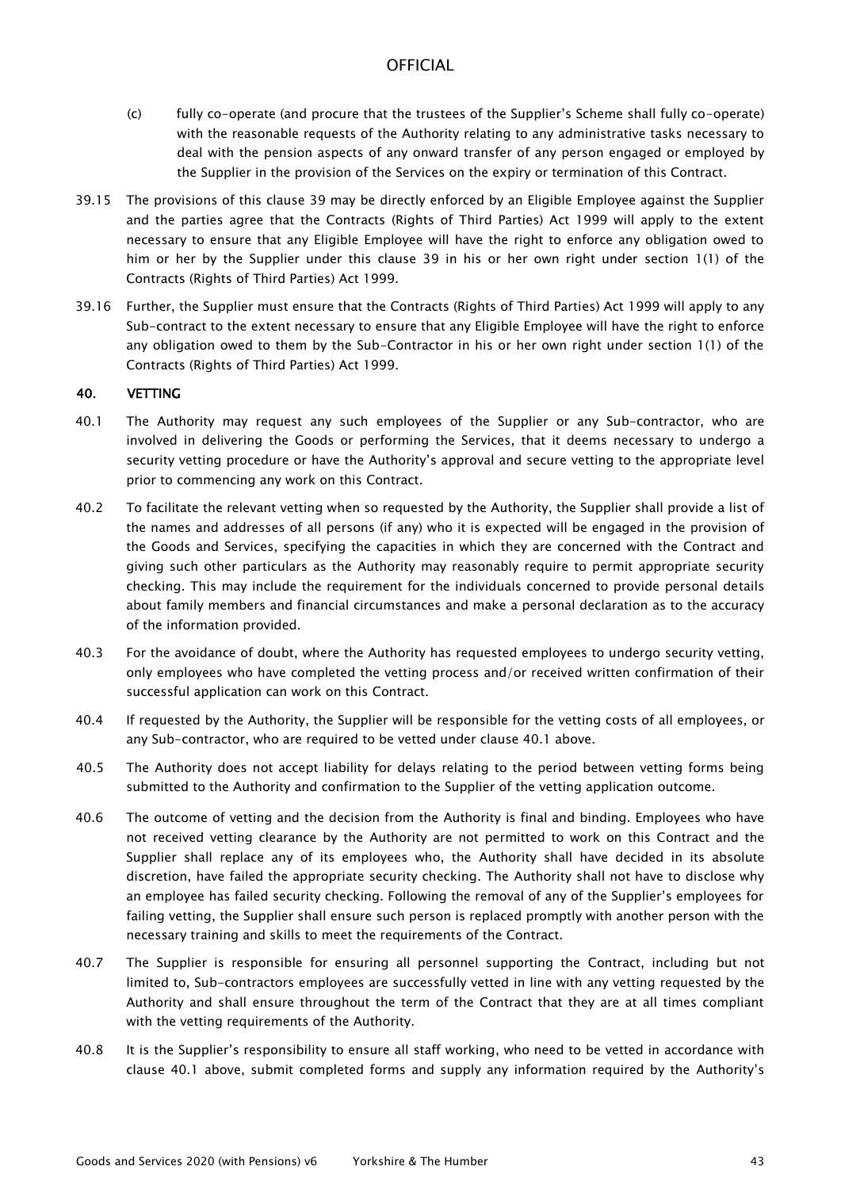- (c) fully co-operate (and procure that the trustees of the Supplier's Scheme shall fully co-operate) with the reasonable requests of the Authority relating to any administrative tasks necessary to deal with the pension aspects of any onward transfer of any person engaged or employed by the Supplier in the provision of the Services on the expiry or termination of this Contract.
- 39.15 The provisions of this clause 39 may be directly enforced by an Eligible Employee against the Supplier and the parties agree that the Contracts (Rights of Third Parties) Act 1999 will apply to the extent necessary to ensure that any Eligible Employee will have the right to enforce any obligation owed to him or her by the Supplier under this clause 39 in his or her own right under section 1(1) of the Contracts (Rights of Third Parties) Act 1999.
- 39.16 Further, the Supplier must ensure that the Contracts (Rights of Third Parties) Act 1999 will apply to any Sub-contract to the extent necessary to ensure that any Eligible Employee will have the right to enforce any obligation owed to them by the Sub-Contractor in his or her own right under section 1(1) of the Contracts (Rights of Third Parties) Act 1999.

### 40. VETTING

- 40.1 The Authority may request any such employees of the Supplier or any Sub-contractor, who are involved in delivering the Goods or performing the Services, that it deems necessary to undergo a security vetting procedure or have the Authority's approval and secure vetting to the appropriate level prior to commencing any work on this Contract.
- 40.2 To facilitate the relevant vetting when so requested by the Authority, the Supplier shall provide a list of the names and addresses of all persons (if any) who it is expected will be engaged in the provision of the Goods and Services, specifying the capacities in which they are concerned with the Contract and giving such other particulars as the Authority may reasonably require to permit appropriate security checking. This may include the requirement for the individuals concerned to provide personal details about family members and financial circumstances and make a personal declaration as to the accuracy of the information provided.
- 40.3 For the avoidance of doubt, where the Authority has requested employees to undergo security vetting, only employees who have completed the vetting process and/or received written confirmation of their successful application can work on this Contract.
- 40.4 If requested by the Authority, the Supplier will be responsible for the vetting costs of all employees, or any Sub-contractor, who are required to be vetted under clause 40.1 above.
- 40.5 The Authority does not accept liability for delays relating to the period between vetting forms being submitted to the Authority and confirmation to the Supplier of the vetting application outcome.
- 40.6 The outcome of vetting and the decision from the Authority is final and binding. Employees who have not received vetting clearance by the Authority are not permitted to work on this Contract and the Supplier shall replace any of its employees who, the Authority shall have decided in its absolute discretion, have failed the appropriate security checking. The Authority shall not have to disclose why an employee has failed security checking. Following the removal of any of the Supplier's employees for failing vetting, the Supplier shall ensure such person is replaced promptly with another person with the necessary training and skills to meet the requirements of the Contract.
- 40.7 The Supplier is responsible for ensuring all personnel supporting the Contract, including but not limited to, Sub-contractors employees are successfully vetted in line with any vetting requested by the Authority and shall ensure throughout the term of the Contract that they are at all times compliant with the vetting requirements of the Authority.
- 40.8 It is the Supplier's responsibility to ensure all staff working, who need to be vetted in accordance with clause 40.1 above, submit completed forms and supply any information required by the Authority's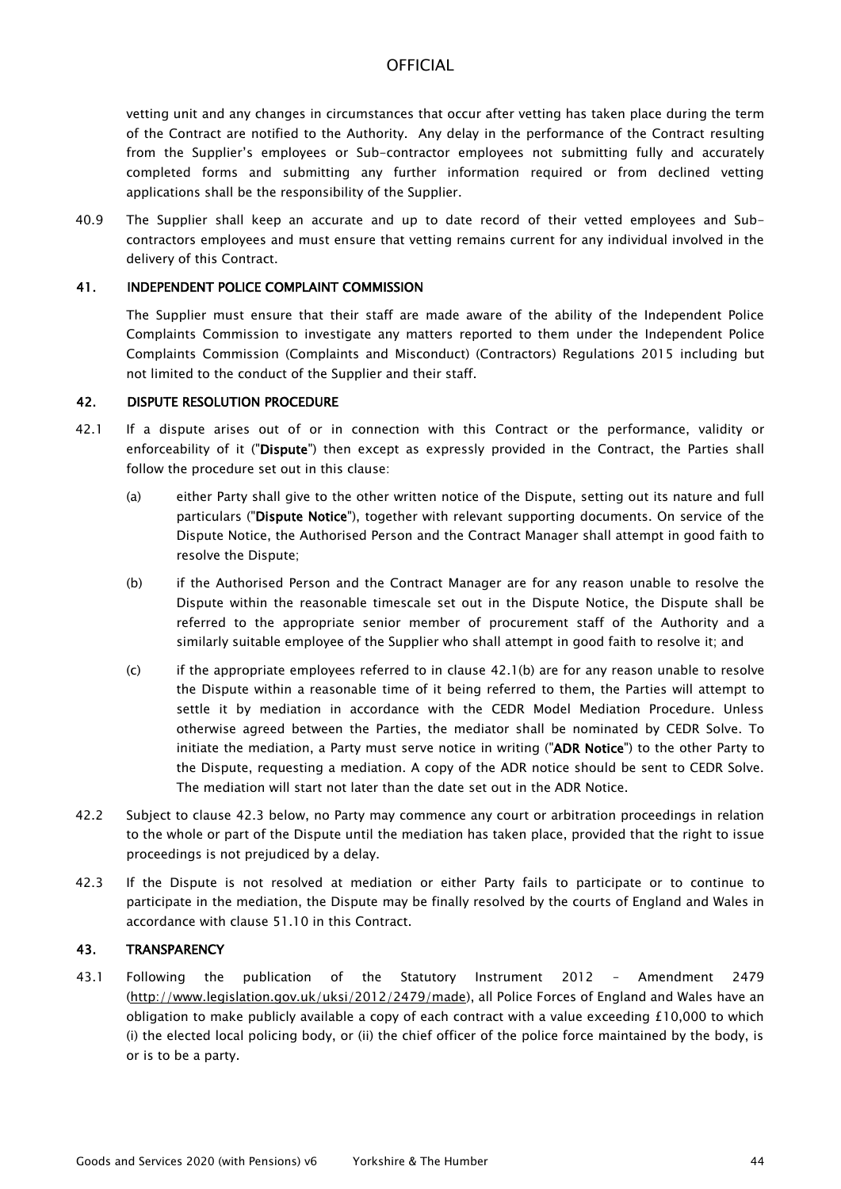vetting unit and any changes in circumstances that occur after vetting has taken place during the term of the Contract are notified to the Authority. Any delay in the performance of the Contract resulting from the Supplier's employees or Sub-contractor employees not submitting fully and accurately completed forms and submitting any further information required or from declined vetting applications shall be the responsibility of the Supplier.

40.9 The Supplier shall keep an accurate and up to date record of their vetted employees and Subcontractors employees and must ensure that vetting remains current for any individual involved in the delivery of this Contract.

#### 41. INDEPENDENT POLICE COMPLAINT COMMISSION

The Supplier must ensure that their staff are made aware of the ability of the Independent Police Complaints Commission to investigate any matters reported to them under the Independent Police Complaints Commission (Complaints and Misconduct) (Contractors) Regulations 2015 including but not limited to the conduct of the Supplier and their staff.

#### 42. DISPUTE RESOLUTION PROCEDURE

- 42.1 If a dispute arises out of or in connection with this Contract or the performance, validity or enforceability of it ("Dispute") then except as expressly provided in the Contract, the Parties shall follow the procedure set out in this clause:
	- (a) either Party shall give to the other written notice of the Dispute, setting out its nature and full particulars ("Dispute Notice"), together with relevant supporting documents. On service of the Dispute Notice, the Authorised Person and the Contract Manager shall attempt in good faith to resolve the Dispute;
	- (b) if the Authorised Person and the Contract Manager are for any reason unable to resolve the Dispute within the reasonable timescale set out in the Dispute Notice, the Dispute shall be referred to the appropriate senior member of procurement staff of the Authority and a similarly suitable employee of the Supplier who shall attempt in good faith to resolve it; and
	- (c) if the appropriate employees referred to in clause 42.1(b) are for any reason unable to resolve the Dispute within a reasonable time of it being referred to them, the Parties will attempt to settle it by mediation in accordance with the CEDR Model Mediation Procedure. Unless otherwise agreed between the Parties, the mediator shall be nominated by CEDR Solve. To initiate the mediation, a Party must serve notice in writing ("ADR Notice") to the other Party to the Dispute, requesting a mediation. A copy of the ADR notice should be sent to CEDR Solve. The mediation will start not later than the date set out in the ADR Notice.
- 42.2 Subject to clause 42.3 below, no Party may commence any court or arbitration proceedings in relation to the whole or part of the Dispute until the mediation has taken place, provided that the right to issue proceedings is not prejudiced by a delay.
- 42.3 If the Dispute is not resolved at mediation or either Party fails to participate or to continue to participate in the mediation, the Dispute may be finally resolved by the courts of England and Wales in accordance with clause 51.10 in this Contract.

## 43. TRANSPARENCY

43.1 Following the publication of the Statutory Instrument 2012 – Amendment 2479 [\(http://www.legislation.gov.uk/uksi/2012/2479/made\)](http://www.legislation.gov.uk/uksi/2012/2479/made), all Police Forces of England and Wales have an obligation to make publicly available a copy of each contract with a value exceeding £10,000 to which (i) the elected local policing body, or (ii) the chief officer of the police force maintained by the body, is or is to be a party.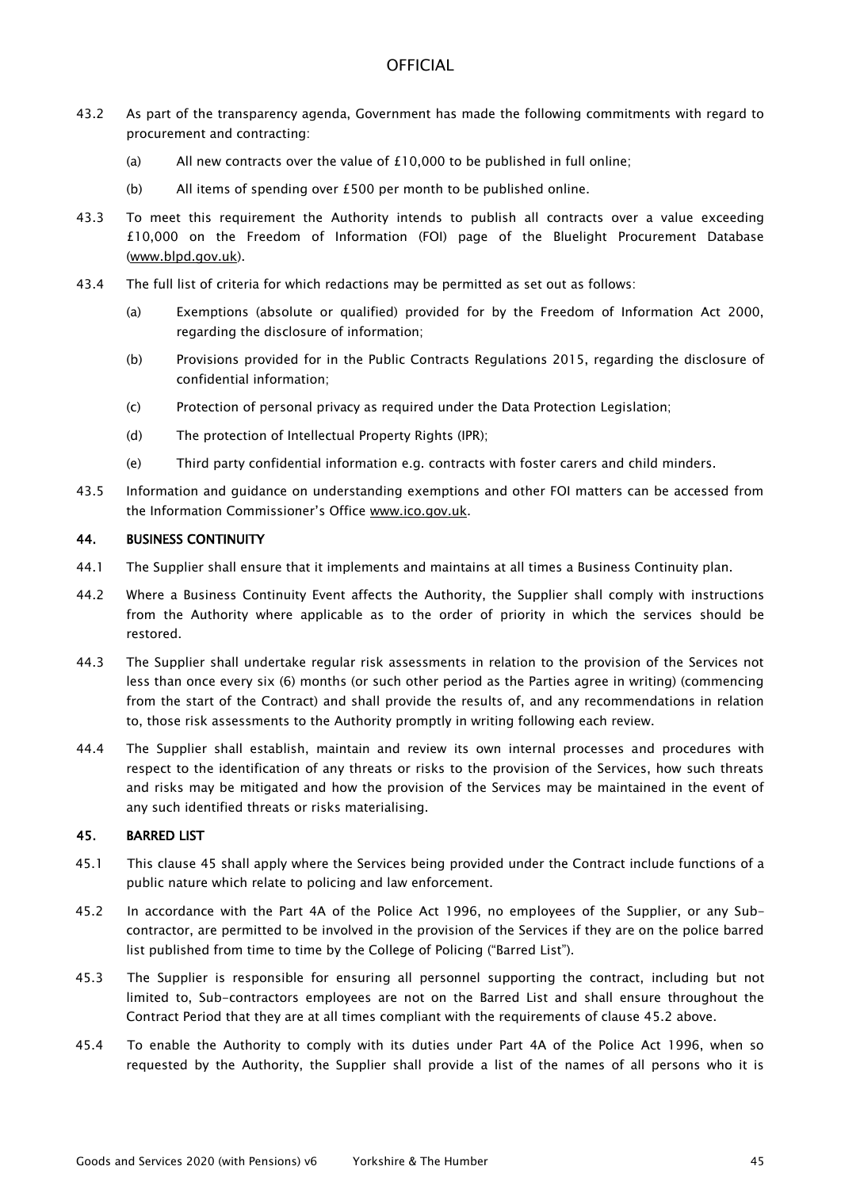- 43.2 As part of the transparency agenda, Government has made the following commitments with regard to procurement and contracting:
	- (a) All new contracts over the value of £10,000 to be published in full online;
	- (b) All items of spending over £500 per month to be published online.
- 43.3 To meet this requirement the Authority intends to publish all contracts over a value exceeding £10,000 on the Freedom of Information (FOI) page of the Bluelight Procurement Database [\(www.blpd.gov.uk\)](http://www.blpd.gov.uk/).
- 43.4 The full list of criteria for which redactions may be permitted as set out as follows:
	- (a) Exemptions (absolute or qualified) provided for by the Freedom of Information Act 2000, regarding the disclosure of information;
	- (b) Provisions provided for in the Public Contracts Regulations 2015, regarding the disclosure of confidential information;
	- (c) Protection of personal privacy as required under the Data Protection Legislation;
	- (d) The protection of Intellectual Property Rights (IPR);
	- (e) Third party confidential information e.g. contracts with foster carers and child minders.
- 43.5 Information and guidance on understanding exemptions and other FOI matters can be accessed from the Information Commissioner's Office [www.ico.gov.uk.](http://www.ico.gov.uk/)

#### 44. BUSINESS CONTINUITY

- 44.1 The Supplier shall ensure that it implements and maintains at all times a Business Continuity plan.
- 44.2 Where a Business Continuity Event affects the Authority, the Supplier shall comply with instructions from the Authority where applicable as to the order of priority in which the services should be restored.
- 44.3 The Supplier shall undertake regular risk assessments in relation to the provision of the Services not less than once every six (6) months (or such other period as the Parties agree in writing) (commencing from the start of the Contract) and shall provide the results of, and any recommendations in relation to, those risk assessments to the Authority promptly in writing following each review.
- 44.4 The Supplier shall establish, maintain and review its own internal processes and procedures with respect to the identification of any threats or risks to the provision of the Services, how such threats and risks may be mitigated and how the provision of the Services may be maintained in the event of any such identified threats or risks materialising.

### 45. BARRED LIST

- 45.1 This clause 45 shall apply where the Services being provided under the Contract include functions of a public nature which relate to policing and law enforcement.
- 45.2 In accordance with the Part 4A of the Police Act 1996, no employees of the Supplier, or any Subcontractor, are permitted to be involved in the provision of the Services if they are on the police barred list published from time to time by the College of Policing ("Barred List").
- 45.3 The Supplier is responsible for ensuring all personnel supporting the contract, including but not limited to, Sub-contractors employees are not on the Barred List and shall ensure throughout the Contract Period that they are at all times compliant with the requirements of clause 45.2 above.
- 45.4 To enable the Authority to comply with its duties under Part 4A of the Police Act 1996, when so requested by the Authority, the Supplier shall provide a list of the names of all persons who it is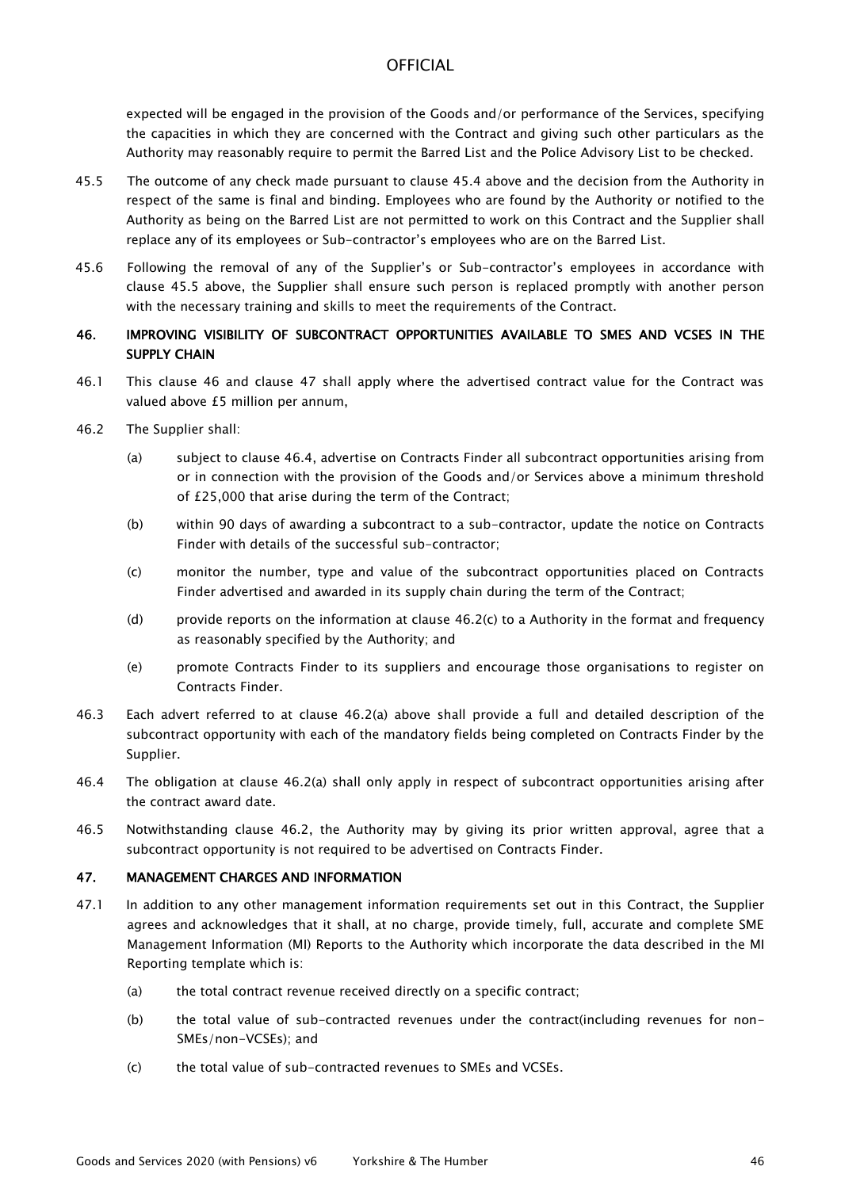expected will be engaged in the provision of the Goods and/or performance of the Services, specifying the capacities in which they are concerned with the Contract and giving such other particulars as the Authority may reasonably require to permit the Barred List and the Police Advisory List to be checked.

- 45.5 The outcome of any check made pursuant to clause 45.4 above and the decision from the Authority in respect of the same is final and binding. Employees who are found by the Authority or notified to the Authority as being on the Barred List are not permitted to work on this Contract and the Supplier shall replace any of its employees or Sub-contractor's employees who are on the Barred List.
- 45.6 Following the removal of any of the Supplier's or Sub-contractor's employees in accordance with clause 45.5 above, the Supplier shall ensure such person is replaced promptly with another person with the necessary training and skills to meet the requirements of the Contract.

## 46. IMPROVING VISIBILITY OF SUBCONTRACT OPPORTUNITIES AVAILABLE TO SMES AND VCSES IN THE SUPPLY CHAIN

- 46.1 This clause 46 and clause 47 shall apply where the advertised contract value for the Contract was valued above £5 million per annum,
- 46.2 The Supplier shall:
	- (a) subject to clause 46.4, advertise on Contracts Finder all subcontract opportunities arising from or in connection with the provision of the Goods and/or Services above a minimum threshold of £25,000 that arise during the term of the Contract;
	- (b) within 90 days of awarding a subcontract to a sub-contractor, update the notice on Contracts Finder with details of the successful sub-contractor;
	- (c) monitor the number, type and value of the subcontract opportunities placed on Contracts Finder advertised and awarded in its supply chain during the term of the Contract;
	- (d) provide reports on the information at clause 46.2(c) to a Authority in the format and frequency as reasonably specified by the Authority; and
	- (e) promote Contracts Finder to its suppliers and encourage those organisations to register on Contracts Finder.
- 46.3 Each advert referred to at clause 46.2(a) above shall provide a full and detailed description of the subcontract opportunity with each of the mandatory fields being completed on Contracts Finder by the Supplier.
- 46.4 The obligation at clause 46.2(a) shall only apply in respect of subcontract opportunities arising after the contract award date.
- 46.5 Notwithstanding clause 46.2, the Authority may by giving its prior written approval, agree that a subcontract opportunity is not required to be advertised on Contracts Finder.

## 47. MANAGEMENT CHARGES AND INFORMATION

- 47.1 In addition to any other management information requirements set out in this Contract, the Supplier agrees and acknowledges that it shall, at no charge, provide timely, full, accurate and complete SME Management Information (MI) Reports to the Authority which incorporate the data described in the MI Reporting template which is:
	- (a) the total contract revenue received directly on a specific contract;
	- (b) the total value of sub-contracted revenues under the contract(including revenues for non-SMEs/non-VCSEs); and
	- (c) the total value of sub-contracted revenues to SMEs and VCSEs.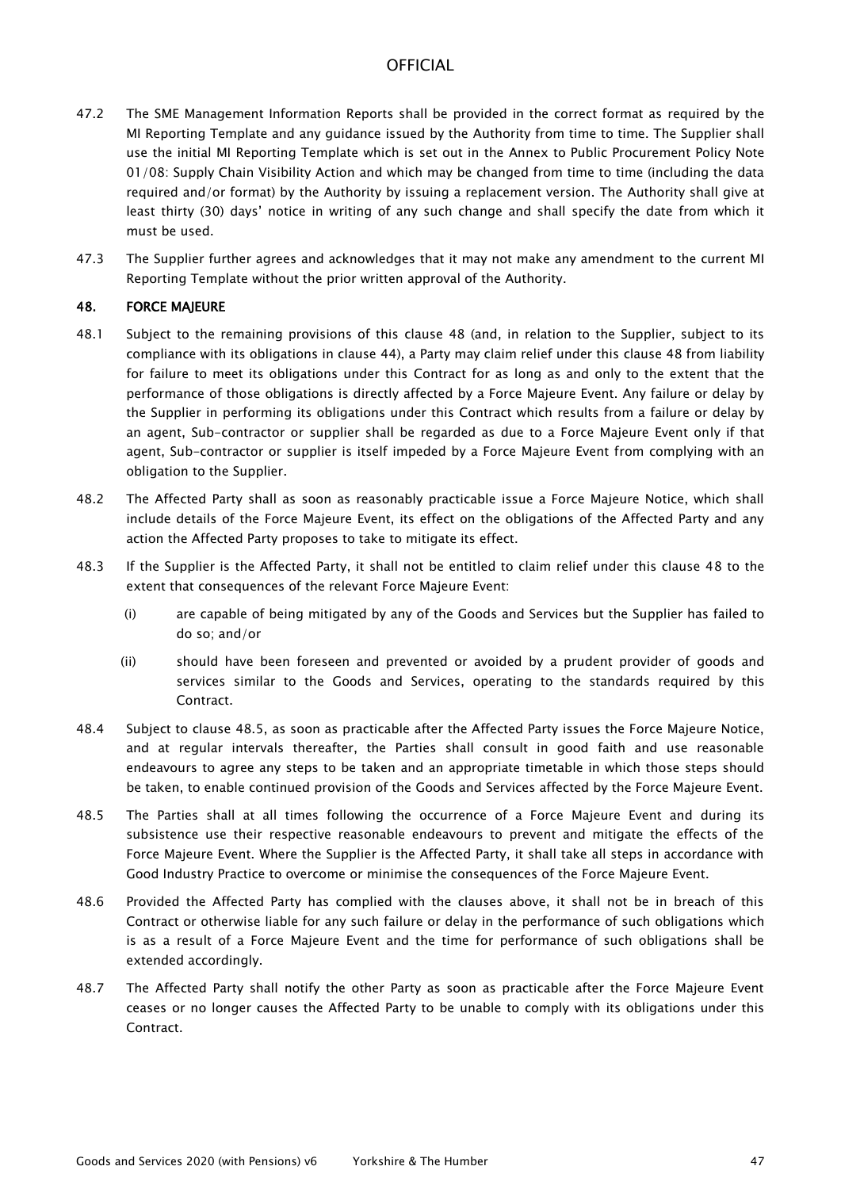- 47.2 The SME Management Information Reports shall be provided in the correct format as required by the MI Reporting Template and any guidance issued by the Authority from time to time. The Supplier shall use the initial MI Reporting Template which is set out in the Annex to Public Procurement Policy Note 01/08: Supply Chain Visibility Action and which may be changed from time to time (including the data required and/or format) by the Authority by issuing a replacement version. The Authority shall give at least thirty (30) days' notice in writing of any such change and shall specify the date from which it must be used.
- 47.3 The Supplier further agrees and acknowledges that it may not make any amendment to the current MI Reporting Template without the prior written approval of the Authority.

### 48. FORCE MAJEURE

- 48.1 Subject to the remaining provisions of this clause 48 (and, in relation to the Supplier, subject to its compliance with its obligations in clause 44), a Party may claim relief under this clause 48 from liability for failure to meet its obligations under this Contract for as long as and only to the extent that the performance of those obligations is directly affected by a Force Majeure Event. Any failure or delay by the Supplier in performing its obligations under this Contract which results from a failure or delay by an agent, Sub-contractor or supplier shall be regarded as due to a Force Majeure Event only if that agent, Sub-contractor or supplier is itself impeded by a Force Majeure Event from complying with an obligation to the Supplier.
- 48.2 The Affected Party shall as soon as reasonably practicable issue a Force Majeure Notice, which shall include details of the Force Majeure Event, its effect on the obligations of the Affected Party and any action the Affected Party proposes to take to mitigate its effect.
- 48.3 If the Supplier is the Affected Party, it shall not be entitled to claim relief under this clause 48 to the extent that consequences of the relevant Force Majeure Event:
	- (i) are capable of being mitigated by any of the Goods and Services but the Supplier has failed to do so; and/or
	- (ii) should have been foreseen and prevented or avoided by a prudent provider of goods and services similar to the Goods and Services, operating to the standards required by this Contract.
- 48.4 Subject to clause 48.5, as soon as practicable after the Affected Party issues the Force Majeure Notice, and at regular intervals thereafter, the Parties shall consult in good faith and use reasonable endeavours to agree any steps to be taken and an appropriate timetable in which those steps should be taken, to enable continued provision of the Goods and Services affected by the Force Majeure Event.
- 48.5 The Parties shall at all times following the occurrence of a Force Majeure Event and during its subsistence use their respective reasonable endeavours to prevent and mitigate the effects of the Force Majeure Event. Where the Supplier is the Affected Party, it shall take all steps in accordance with Good Industry Practice to overcome or minimise the consequences of the Force Majeure Event.
- 48.6 Provided the Affected Party has complied with the clauses above, it shall not be in breach of this Contract or otherwise liable for any such failure or delay in the performance of such obligations which is as a result of a Force Majeure Event and the time for performance of such obligations shall be extended accordingly.
- 48.7 The Affected Party shall notify the other Party as soon as practicable after the Force Majeure Event ceases or no longer causes the Affected Party to be unable to comply with its obligations under this Contract.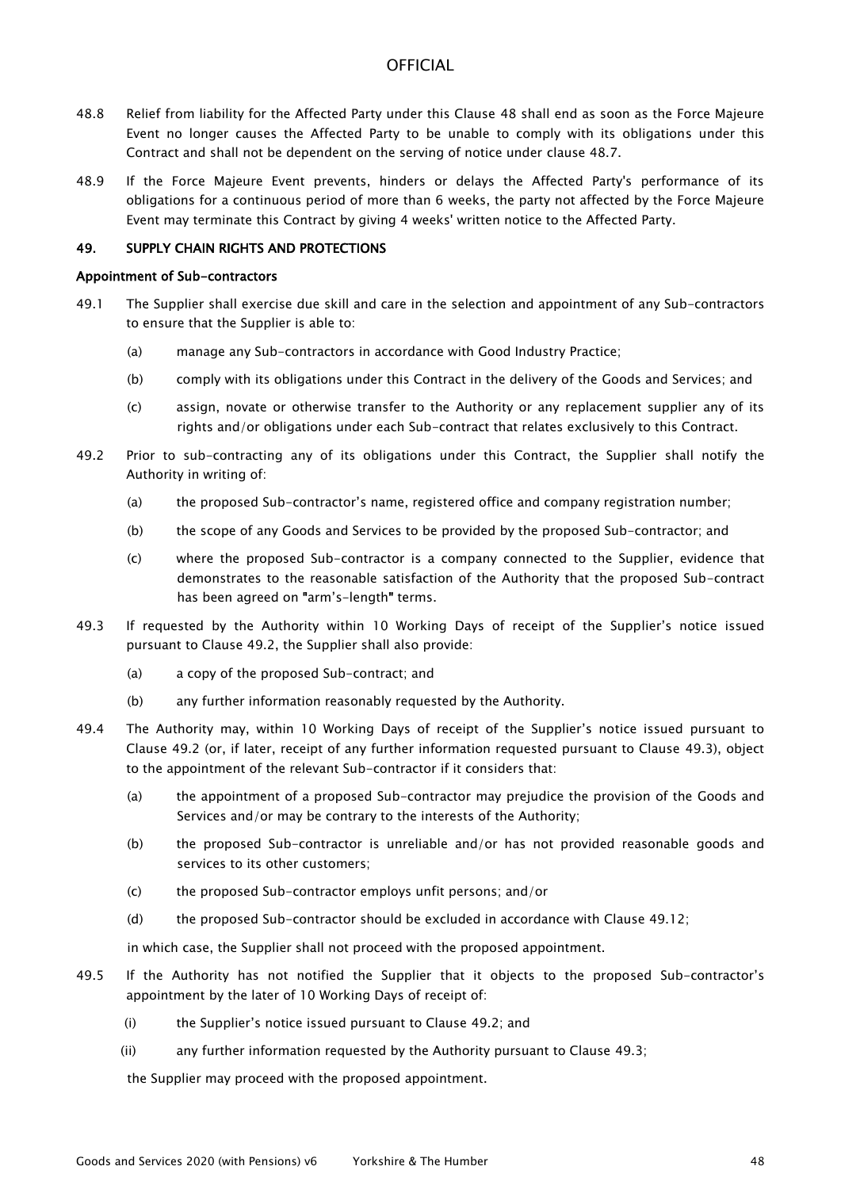- 48.8 Relief from liability for the Affected Party under this Clause 48 shall end as soon as the Force Majeure Event no longer causes the Affected Party to be unable to comply with its obligations under this Contract and shall not be dependent on the serving of notice under clause 48.7.
- 48.9 If the Force Majeure Event prevents, hinders or delays the Affected Party's performance of its obligations for a continuous period of more than 6 weeks, the party not affected by the Force Majeure Event may terminate this Contract by giving 4 weeks' written notice to the Affected Party.

### 49. SUPPLY CHAIN RIGHTS AND PROTECTIONS

#### Appointment of Sub-contractors

- 49.1 The Supplier shall exercise due skill and care in the selection and appointment of any Sub-contractors to ensure that the Supplier is able to:
	- (a) manage any Sub-contractors in accordance with Good Industry Practice;
	- (b) comply with its obligations under this Contract in the delivery of the Goods and Services; and
	- (c) assign, novate or otherwise transfer to the Authority or any replacement supplier any of its rights and/or obligations under each Sub-contract that relates exclusively to this Contract.
- 49.2 Prior to sub-contracting any of its obligations under this Contract, the Supplier shall notify the Authority in writing of:
	- (a) the proposed Sub-contractor's name, registered office and company registration number;
	- (b) the scope of any Goods and Services to be provided by the proposed Sub-contractor; and
	- (c) where the proposed Sub-contractor is a company connected to the Supplier, evidence that demonstrates to the reasonable satisfaction of the Authority that the proposed Sub-contract has been agreed on "arm's-length" terms.
- 49.3 If requested by the Authority within 10 Working Days of receipt of the Supplier's notice issued pursuant to Clause 49.2, the Supplier shall also provide:
	- (a) a copy of the proposed Sub-contract; and
	- (b) any further information reasonably requested by the Authority.
- 49.4 The Authority may, within 10 Working Days of receipt of the Supplier's notice issued pursuant to Clause 49.2 (or, if later, receipt of any further information requested pursuant to Clause 49.3), object to the appointment of the relevant Sub-contractor if it considers that:
	- (a) the appointment of a proposed Sub-contractor may prejudice the provision of the Goods and Services and/or may be contrary to the interests of the Authority;
	- (b) the proposed Sub-contractor is unreliable and/or has not provided reasonable goods and services to its other customers;
	- (c) the proposed Sub-contractor employs unfit persons; and/or
	- (d) the proposed Sub-contractor should be excluded in accordance with Clause 49.12;

in which case, the Supplier shall not proceed with the proposed appointment.

- 49.5 If the Authority has not notified the Supplier that it objects to the proposed Sub-contractor's appointment by the later of 10 Working Days of receipt of:
	- (i) the Supplier's notice issued pursuant to Clause 49.2; and
	- (ii) any further information requested by the Authority pursuant to Clause 49.3;

the Supplier may proceed with the proposed appointment.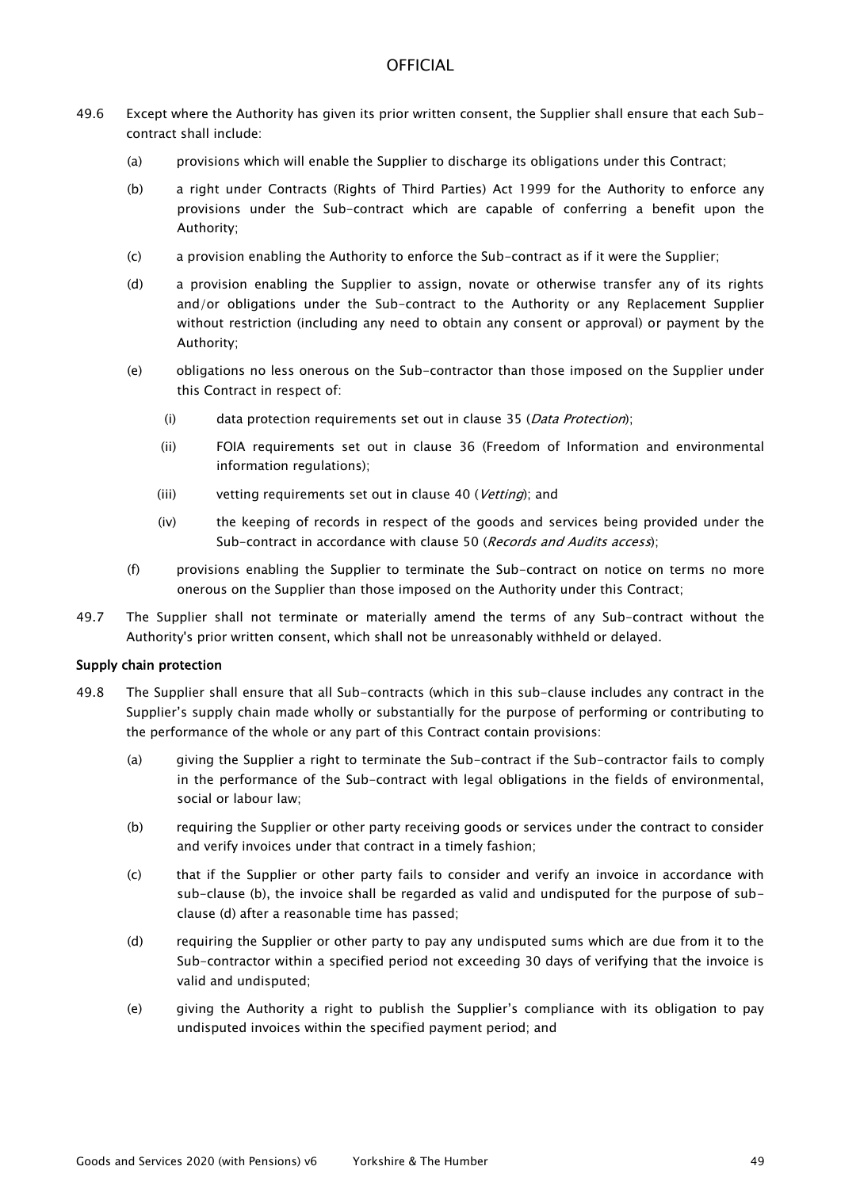- 49.6 Except where the Authority has given its prior written consent, the Supplier shall ensure that each Subcontract shall include:
	- (a) provisions which will enable the Supplier to discharge its obligations under this Contract;
	- (b) a right under Contracts (Rights of Third Parties) Act 1999 for the Authority to enforce any provisions under the Sub-contract which are capable of conferring a benefit upon the Authority;
	- (c) a provision enabling the Authority to enforce the Sub-contract as if it were the Supplier;
	- (d) a provision enabling the Supplier to assign, novate or otherwise transfer any of its rights and/or obligations under the Sub-contract to the Authority or any Replacement Supplier without restriction (including any need to obtain any consent or approval) or payment by the Authority;
	- (e) obligations no less onerous on the Sub-contractor than those imposed on the Supplier under this Contract in respect of:
		- (i) data protection requirements set out in clause 35 (Data Protection);
		- (ii) FOIA requirements set out in clause 36 (Freedom of Information and environmental information regulations);
		- (iii) vetting requirements set out in clause 40 (Vetting); and
		- (iv) the keeping of records in respect of the goods and services being provided under the Sub-contract in accordance with clause 50 (Records and Audits access);
	- (f) provisions enabling the Supplier to terminate the Sub-contract on notice on terms no more onerous on the Supplier than those imposed on the Authority under this Contract;
- 49.7 The Supplier shall not terminate or materially amend the terms of any Sub-contract without the Authority's prior written consent, which shall not be unreasonably withheld or delayed.

### Supply chain protection

- 49.8 The Supplier shall ensure that all Sub-contracts (which in this sub-clause includes any contract in the Supplier's supply chain made wholly or substantially for the purpose of performing or contributing to the performance of the whole or any part of this Contract contain provisions:
	- (a) giving the Supplier a right to terminate the Sub-contract if the Sub-contractor fails to comply in the performance of the Sub-contract with legal obligations in the fields of environmental, social or labour law;
	- (b) requiring the Supplier or other party receiving goods or services under the contract to consider and verify invoices under that contract in a timely fashion;
	- (c) that if the Supplier or other party fails to consider and verify an invoice in accordance with sub-clause (b), the invoice shall be regarded as valid and undisputed for the purpose of subclause (d) after a reasonable time has passed;
	- (d) requiring the Supplier or other party to pay any undisputed sums which are due from it to the Sub-contractor within a specified period not exceeding 30 days of verifying that the invoice is valid and undisputed;
	- (e) giving the Authority a right to publish the Supplier's compliance with its obligation to pay undisputed invoices within the specified payment period; and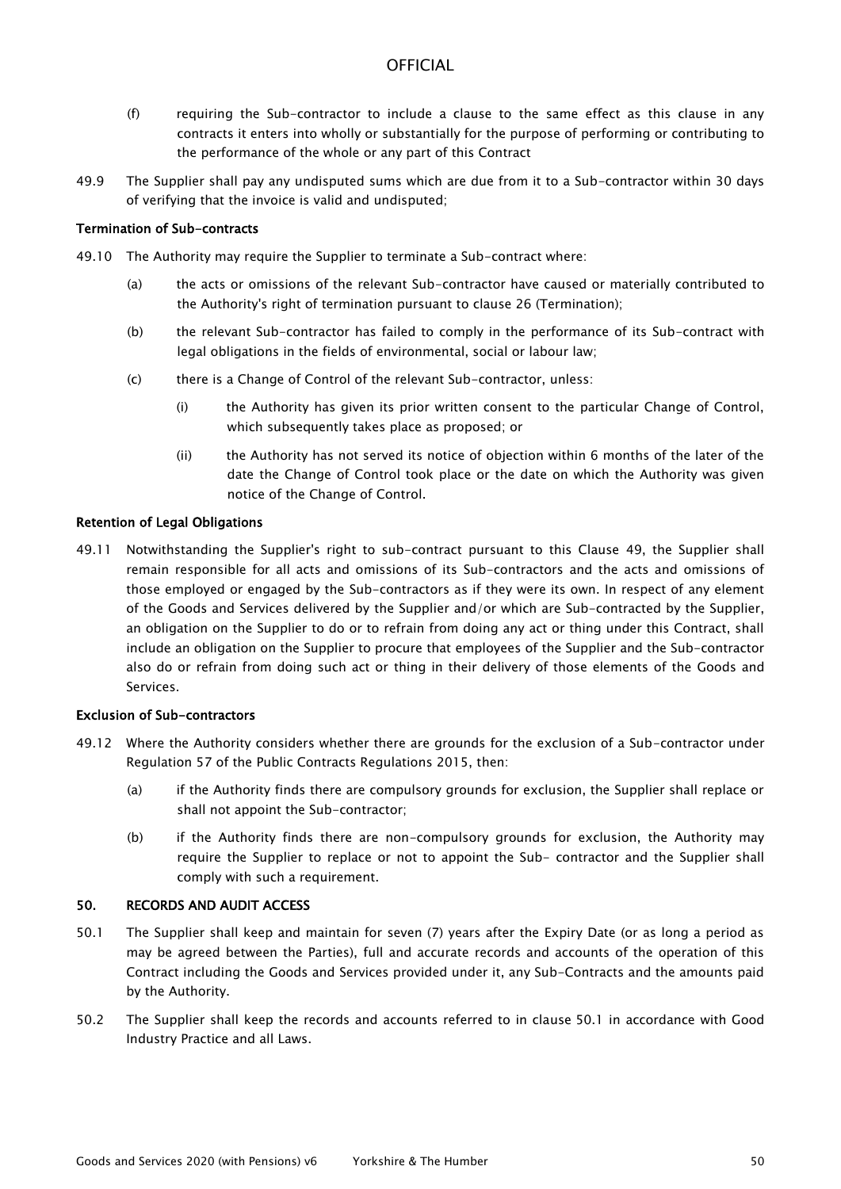- (f) requiring the Sub-contractor to include a clause to the same effect as this clause in any contracts it enters into wholly or substantially for the purpose of performing or contributing to the performance of the whole or any part of this Contract
- 49.9 The Supplier shall pay any undisputed sums which are due from it to a Sub-contractor within 30 days of verifying that the invoice is valid and undisputed;

#### Termination of Sub-contracts

- 49.10 The Authority may require the Supplier to terminate a Sub-contract where:
	- (a) the acts or omissions of the relevant Sub-contractor have caused or materially contributed to the Authority's right of termination pursuant to clause 26 (Termination);
	- (b) the relevant Sub-contractor has failed to comply in the performance of its Sub-contract with legal obligations in the fields of environmental, social or labour law;
	- (c) there is a Change of Control of the relevant Sub-contractor, unless:
		- (i) the Authority has given its prior written consent to the particular Change of Control, which subsequently takes place as proposed; or
		- (ii) the Authority has not served its notice of objection within 6 months of the later of the date the Change of Control took place or the date on which the Authority was given notice of the Change of Control.

#### Retention of Legal Obligations

49.11 Notwithstanding the Supplier's right to sub-contract pursuant to this Clause 49, the Supplier shall remain responsible for all acts and omissions of its Sub-contractors and the acts and omissions of those employed or engaged by the Sub-contractors as if they were its own. In respect of any element of the Goods and Services delivered by the Supplier and/or which are Sub-contracted by the Supplier, an obligation on the Supplier to do or to refrain from doing any act or thing under this Contract, shall include an obligation on the Supplier to procure that employees of the Supplier and the Sub-contractor also do or refrain from doing such act or thing in their delivery of those elements of the Goods and Services.

#### Exclusion of Sub-contractors

- 49.12 Where the Authority considers whether there are grounds for the exclusion of a Sub-contractor under Regulation 57 of the Public Contracts Regulations 2015, then:
	- (a) if the Authority finds there are compulsory grounds for exclusion, the Supplier shall replace or shall not appoint the Sub-contractor;
	- (b) if the Authority finds there are non-compulsory grounds for exclusion, the Authority may require the Supplier to replace or not to appoint the Sub- contractor and the Supplier shall comply with such a requirement.

### 50. RECORDS AND AUDIT ACCESS

- 50.1 The Supplier shall keep and maintain for seven (7) years after the Expiry Date (or as long a period as may be agreed between the Parties), full and accurate records and accounts of the operation of this Contract including the Goods and Services provided under it, any Sub-Contracts and the amounts paid by the Authority.
- 50.2 The Supplier shall keep the records and accounts referred to in clause 50.1 in accordance with Good Industry Practice and all Laws.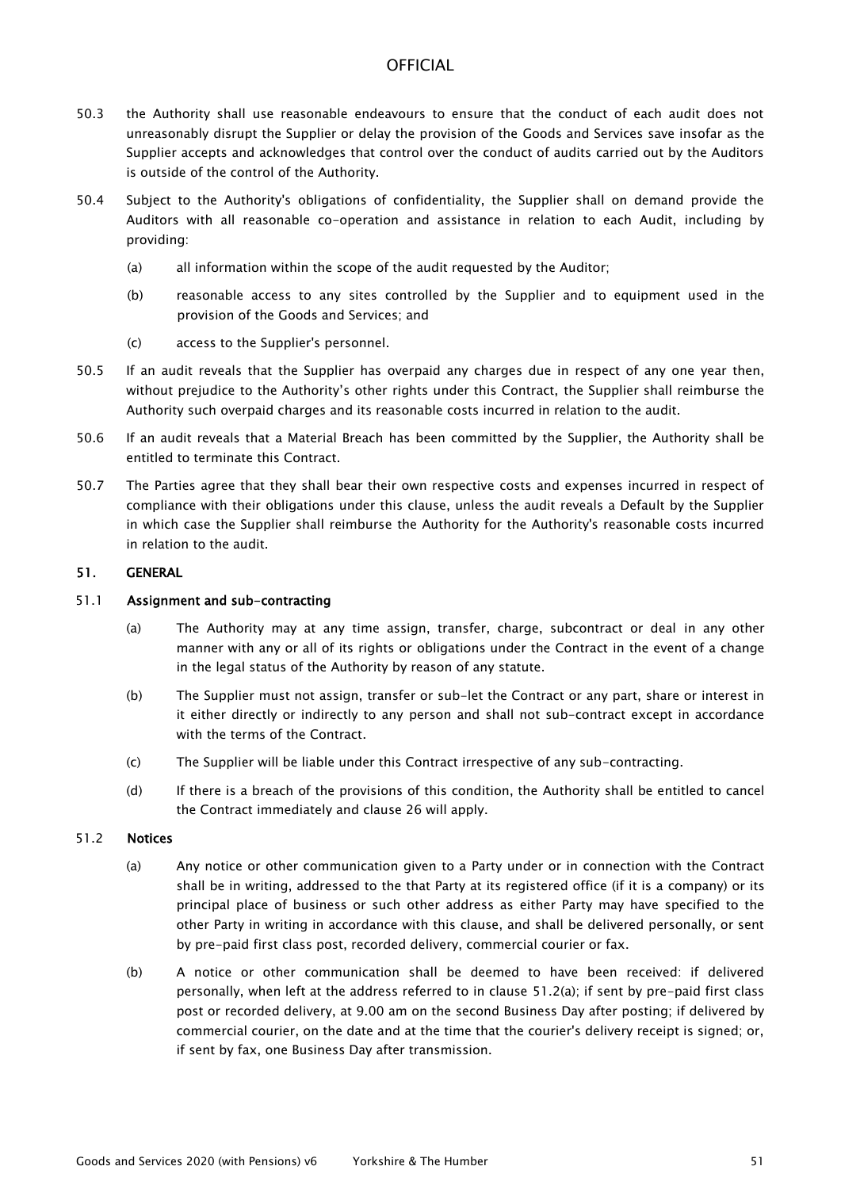- 50.3 the Authority shall use reasonable endeavours to ensure that the conduct of each audit does not unreasonably disrupt the Supplier or delay the provision of the Goods and Services save insofar as the Supplier accepts and acknowledges that control over the conduct of audits carried out by the Auditors is outside of the control of the Authority.
- 50.4 Subject to the Authority's obligations of confidentiality, the Supplier shall on demand provide the Auditors with all reasonable co-operation and assistance in relation to each Audit, including by providing:
	- (a) all information within the scope of the audit requested by the Auditor;
	- (b) reasonable access to any sites controlled by the Supplier and to equipment used in the provision of the Goods and Services; and
	- (c) access to the Supplier's personnel.
- 50.5 If an audit reveals that the Supplier has overpaid any charges due in respect of any one year then, without prejudice to the Authority's other rights under this Contract, the Supplier shall reimburse the Authority such overpaid charges and its reasonable costs incurred in relation to the audit.
- 50.6 If an audit reveals that a Material Breach has been committed by the Supplier, the Authority shall be entitled to terminate this Contract.
- 50.7 The Parties agree that they shall bear their own respective costs and expenses incurred in respect of compliance with their obligations under this clause, unless the audit reveals a Default by the Supplier in which case the Supplier shall reimburse the Authority for the Authority's reasonable costs incurred in relation to the audit.

#### 51. GENERAL

#### 51.1 Assignment and sub-contracting

- (a) The Authority may at any time assign, transfer, charge, subcontract or deal in any other manner with any or all of its rights or obligations under the Contract in the event of a change in the legal status of the Authority by reason of any statute.
- (b) The Supplier must not assign, transfer or sub-let the Contract or any part, share or interest in it either directly or indirectly to any person and shall not sub-contract except in accordance with the terms of the Contract.
- (c) The Supplier will be liable under this Contract irrespective of any sub-contracting.
- (d) If there is a breach of the provisions of this condition, the Authority shall be entitled to cancel the Contract immediately and clause 26 will apply.

#### 51.2 Notices

- (a) Any notice or other communication given to a Party under or in connection with the Contract shall be in writing, addressed to the that Party at its registered office (if it is a company) or its principal place of business or such other address as either Party may have specified to the other Party in writing in accordance with this clause, and shall be delivered personally, or sent by pre-paid first class post, recorded delivery, commercial courier or fax.
- (b) A notice or other communication shall be deemed to have been received: if delivered personally, when left at the address referred to in clause 51.2(a); if sent by pre-paid first class post or recorded delivery, at 9.00 am on the second Business Day after posting; if delivered by commercial courier, on the date and at the time that the courier's delivery receipt is signed; or, if sent by fax, one Business Day after transmission.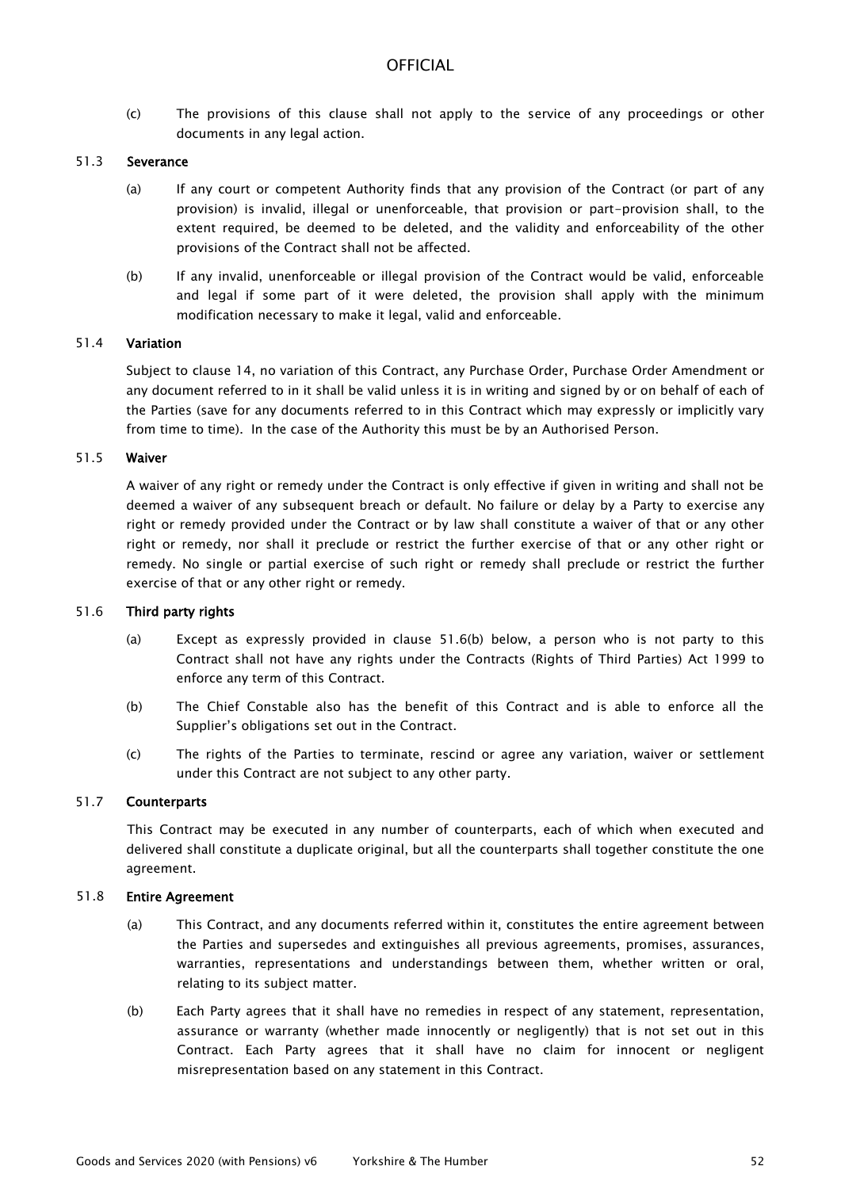(c) The provisions of this clause shall not apply to the service of any proceedings or other documents in any legal action.

#### 51.3 Severance

- (a) If any court or competent Authority finds that any provision of the Contract (or part of any provision) is invalid, illegal or unenforceable, that provision or part-provision shall, to the extent required, be deemed to be deleted, and the validity and enforceability of the other provisions of the Contract shall not be affected.
- (b) If any invalid, unenforceable or illegal provision of the Contract would be valid, enforceable and legal if some part of it were deleted, the provision shall apply with the minimum modification necessary to make it legal, valid and enforceable.

#### 51.4 Variation

Subject to clause 14, no variation of this Contract, any Purchase Order, Purchase Order Amendment or any document referred to in it shall be valid unless it is in writing and signed by or on behalf of each of the Parties (save for any documents referred to in this Contract which may expressly or implicitly vary from time to time). In the case of the Authority this must be by an Authorised Person.

#### 51.5 Waiver

A waiver of any right or remedy under the Contract is only effective if given in writing and shall not be deemed a waiver of any subsequent breach or default. No failure or delay by a Party to exercise any right or remedy provided under the Contract or by law shall constitute a waiver of that or any other right or remedy, nor shall it preclude or restrict the further exercise of that or any other right or remedy. No single or partial exercise of such right or remedy shall preclude or restrict the further exercise of that or any other right or remedy.

#### 51.6 Third party rights

- (a) Except as expressly provided in clause 51.6(b) below, a person who is not party to this Contract shall not have any rights under the Contracts (Rights of Third Parties) Act 1999 to enforce any term of this Contract.
- (b) The Chief Constable also has the benefit of this Contract and is able to enforce all the Supplier's obligations set out in the Contract.
- (c) The rights of the Parties to terminate, rescind or agree any variation, waiver or settlement under this Contract are not subject to any other party.

#### 51.7 Counterparts

This Contract may be executed in any number of counterparts, each of which when executed and delivered shall constitute a duplicate original, but all the counterparts shall together constitute the one agreement.

#### 51.8 Entire Agreement

- (a) This Contract, and any documents referred within it, constitutes the entire agreement between the Parties and supersedes and extinguishes all previous agreements, promises, assurances, warranties, representations and understandings between them, whether written or oral, relating to its subject matter.
- (b) Each Party agrees that it shall have no remedies in respect of any statement, representation, assurance or warranty (whether made innocently or negligently) that is not set out in this Contract. Each Party agrees that it shall have no claim for innocent or negligent misrepresentation based on any statement in this Contract.